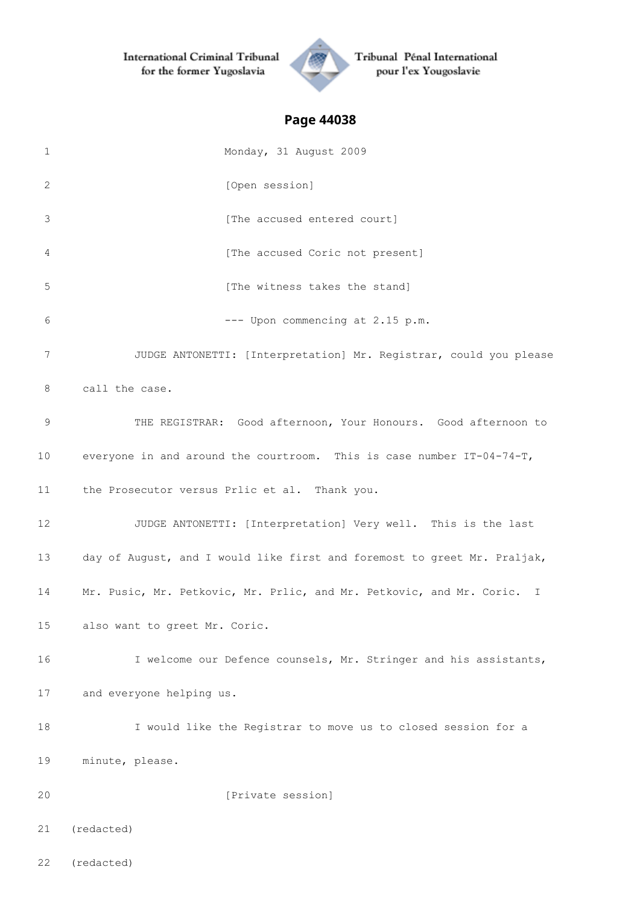

Tribunal Pénal International pour l'ex Yougoslavie

| $\mathbf 1$ | Monday, 31 August 2009                                                     |
|-------------|----------------------------------------------------------------------------|
| 2           | [Open session]                                                             |
| 3           | [The accused entered court]                                                |
| 4           | [The accused Coric not present]                                            |
| 5           | [The witness takes the stand]                                              |
| 6           | --- Upon commencing at 2.15 p.m.                                           |
| 7           | JUDGE ANTONETTI: [Interpretation] Mr. Registrar, could you please          |
| 8           | call the case.                                                             |
| $\mathsf 9$ | THE REGISTRAR: Good afternoon, Your Honours. Good afternoon to             |
| 10          | everyone in and around the courtroom. This is case number $IT-04-74-T$ ,   |
| 11          | the Prosecutor versus Prlic et al. Thank you.                              |
| 12          | JUDGE ANTONETTI: [Interpretation] Very well. This is the last              |
| 13          | day of August, and I would like first and foremost to greet Mr. Praljak,   |
| 14          | Mr. Pusic, Mr. Petkovic, Mr. Prlic, and Mr. Petkovic, and Mr. Coric.<br>I. |
| 15          | also want to greet Mr. Coric.                                              |
| 16          | I welcome our Defence counsels, Mr. Stringer and his assistants,           |
| 17          | and everyone helping us.                                                   |
| 18          | I would like the Registrar to move us to closed session for a              |
| 19          | minute, please.                                                            |
| 20          | [Private session]                                                          |
| 21          | (redacted)                                                                 |
| 22          | (redacted)                                                                 |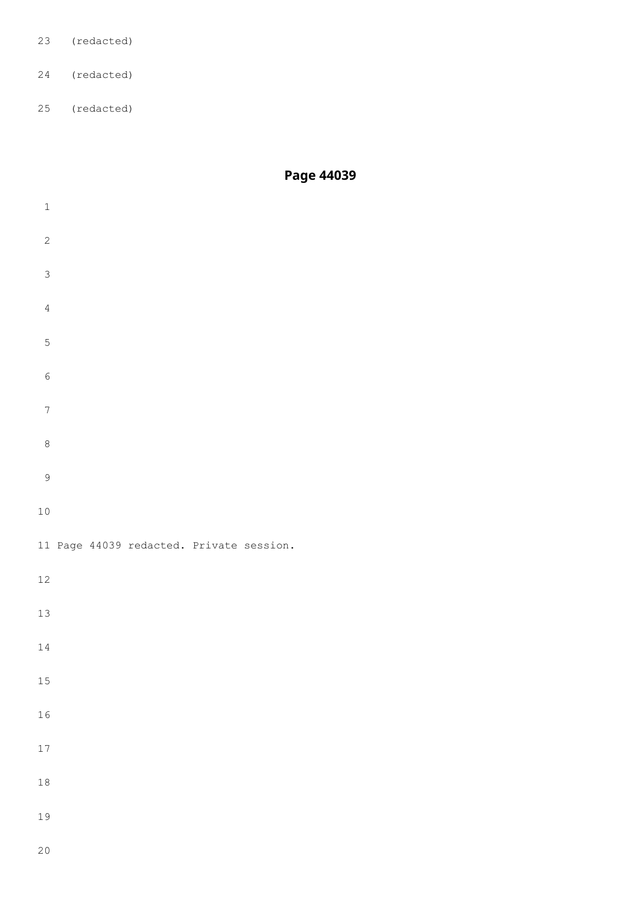- (redacted)
- (redacted)
- (redacted)

| $\,1$            |  |                                          |  |  |  |
|------------------|--|------------------------------------------|--|--|--|
| $\sqrt{2}$       |  |                                          |  |  |  |
| $\mathsf 3$      |  |                                          |  |  |  |
| $\sqrt{4}$       |  |                                          |  |  |  |
| $\mathsf S$      |  |                                          |  |  |  |
| $\epsilon$       |  |                                          |  |  |  |
| $\boldsymbol{7}$ |  |                                          |  |  |  |
| $\,8\,$          |  |                                          |  |  |  |
| $\mathsf 9$      |  |                                          |  |  |  |
| $10$             |  |                                          |  |  |  |
|                  |  | 11 Page 44039 redacted. Private session. |  |  |  |
| 12               |  |                                          |  |  |  |
| 13               |  |                                          |  |  |  |
| 14               |  |                                          |  |  |  |
| 15               |  |                                          |  |  |  |
| 16               |  |                                          |  |  |  |
| 17               |  |                                          |  |  |  |
| 18               |  |                                          |  |  |  |
| 19               |  |                                          |  |  |  |
|                  |  |                                          |  |  |  |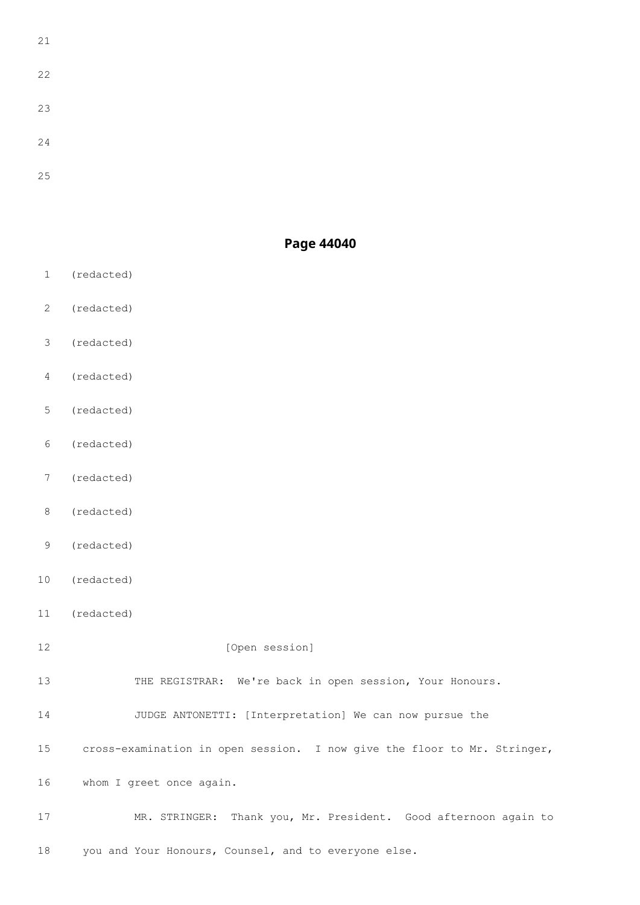### **Page 44040**

- (redacted)
- (redacted)
- (redacted)
- (redacted)
- (redacted)
- (redacted)
- (redacted)
- (redacted)
- (redacted)
- (redacted)
- (redacted)
- 12 [Open session]

THE REGISTRAR: We're back in open session, Your Honours.

JUDGE ANTONETTI: [Interpretation] We can now pursue the

cross-examination in open session. I now give the floor to Mr. Stringer,

whom I greet once again.

 MR. STRINGER: Thank you, Mr. President. Good afternoon again to you and Your Honours, Counsel, and to everyone else.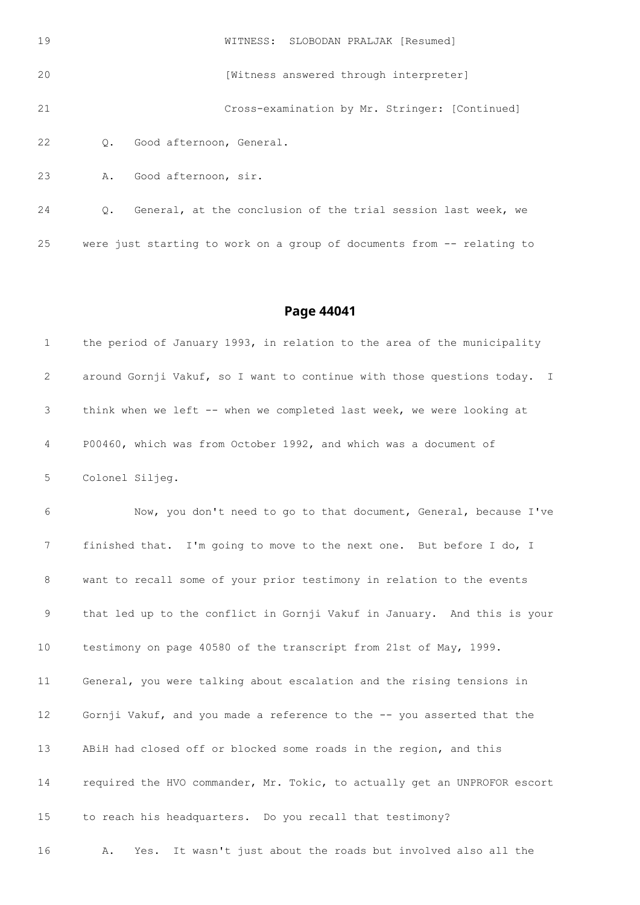| 19 |    | WITNESS: SLOBODAN PRALJAK [Resumed]                           |
|----|----|---------------------------------------------------------------|
| 20 |    | [Witness answered through interpreter]                        |
| 21 |    | Cross-examination by Mr. Stringer: [Continued]                |
| 22 | 0. | Good afternoon, General.                                      |
| 23 | Α. | Good afternoon, sir.                                          |
| 24 | Q. | General, at the conclusion of the trial session last week, we |

were just starting to work on a group of documents from -- relating to

#### **Page 44041**

|   | the period of January 1993, in relation to the area of the municipality  |
|---|--------------------------------------------------------------------------|
| 2 | around Gornji Vakuf, so I want to continue with those questions today. I |
| 3 | think when we left -- when we completed last week, we were looking at    |
| 4 | P00460, which was from October 1992, and which was a document of         |
| 5 | Colonel Siljeg.                                                          |

 Now, you don't need to go to that document, General, because I've finished that. I'm going to move to the next one. But before I do, I want to recall some of your prior testimony in relation to the events that led up to the conflict in Gornji Vakuf in January. And this is your testimony on page 40580 of the transcript from 21st of May, 1999. General, you were talking about escalation and the rising tensions in 12 Gornji Vakuf, and you made a reference to the -- you asserted that the ABiH had closed off or blocked some roads in the region, and this required the HVO commander, Mr. Tokic, to actually get an UNPROFOR escort to reach his headquarters. Do you recall that testimony? A. Yes. It wasn't just about the roads but involved also all the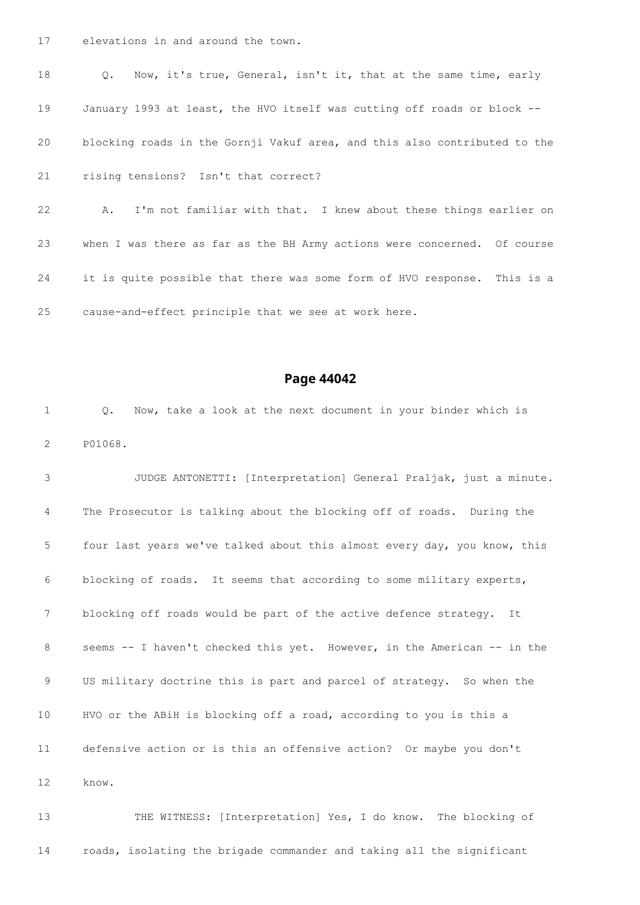elevations in and around the town.

 Q. Now, it's true, General, isn't it, that at the same time, early January 1993 at least, the HVO itself was cutting off roads or block -- blocking roads in the Gornji Vakuf area, and this also contributed to the rising tensions? Isn't that correct?

 A. I'm not familiar with that. I knew about these things earlier on when I was there as far as the BH Army actions were concerned. Of course it is quite possible that there was some form of HVO response. This is a cause-and-effect principle that we see at work here.

#### **Page 44042**

 Q. Now, take a look at the next document in your binder which is P01068.

 JUDGE ANTONETTI: [Interpretation] General Praljak, just a minute. The Prosecutor is talking about the blocking off of roads. During the four last years we've talked about this almost every day, you know, this blocking of roads. It seems that according to some military experts, 7 blocking off roads would be part of the active defence strategy. It seems -- I haven't checked this yet. However, in the American -- in the US military doctrine this is part and parcel of strategy. So when the HVO or the ABiH is blocking off a road, according to you is this a defensive action or is this an offensive action? Or maybe you don't know.

 THE WITNESS: [Interpretation] Yes, I do know. The blocking of roads, isolating the brigade commander and taking all the significant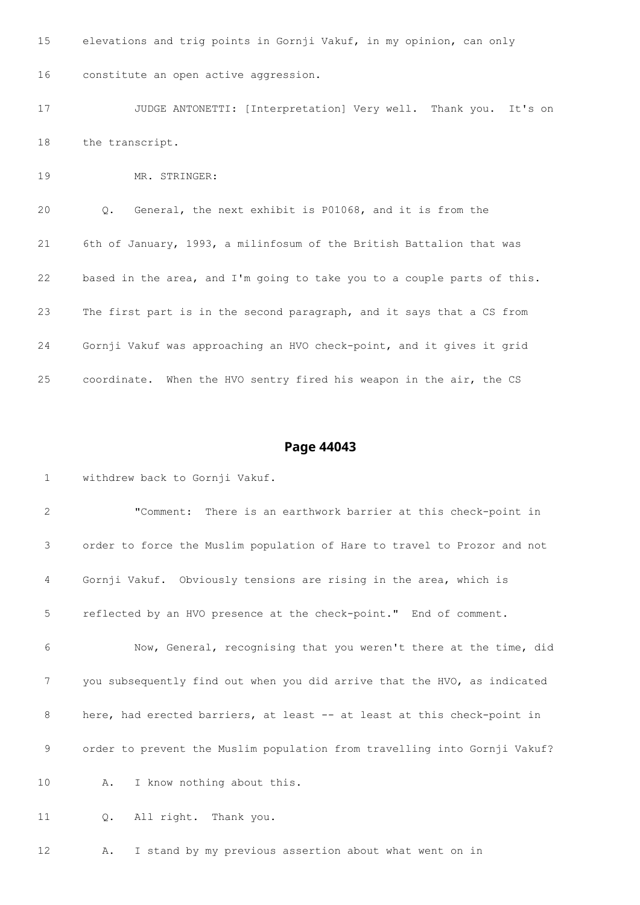elevations and trig points in Gornji Vakuf, in my opinion, can only constitute an open active aggression. JUDGE ANTONETTI: [Interpretation] Very well. Thank you. It's on the transcript. MR. STRINGER: Q. General, the next exhibit is P01068, and it is from the 6th of January, 1993, a milinfosum of the British Battalion that was based in the area, and I'm going to take you to a couple parts of this. The first part is in the second paragraph, and it says that a CS from Gornji Vakuf was approaching an HVO check-point, and it gives it grid

coordinate. When the HVO sentry fired his weapon in the air, the CS

#### **Page 44043**

withdrew back to Gornji Vakuf.

 "Comment: There is an earthwork barrier at this check-point in order to force the Muslim population of Hare to travel to Prozor and not Gornji Vakuf. Obviously tensions are rising in the area, which is reflected by an HVO presence at the check-point." End of comment. Now, General, recognising that you weren't there at the time, did you subsequently find out when you did arrive that the HVO, as indicated 8 here, had erected barriers, at least -- at least at this check-point in order to prevent the Muslim population from travelling into Gornji Vakuf? A. I know nothing about this.

Q. All right. Thank you.

A. I stand by my previous assertion about what went on in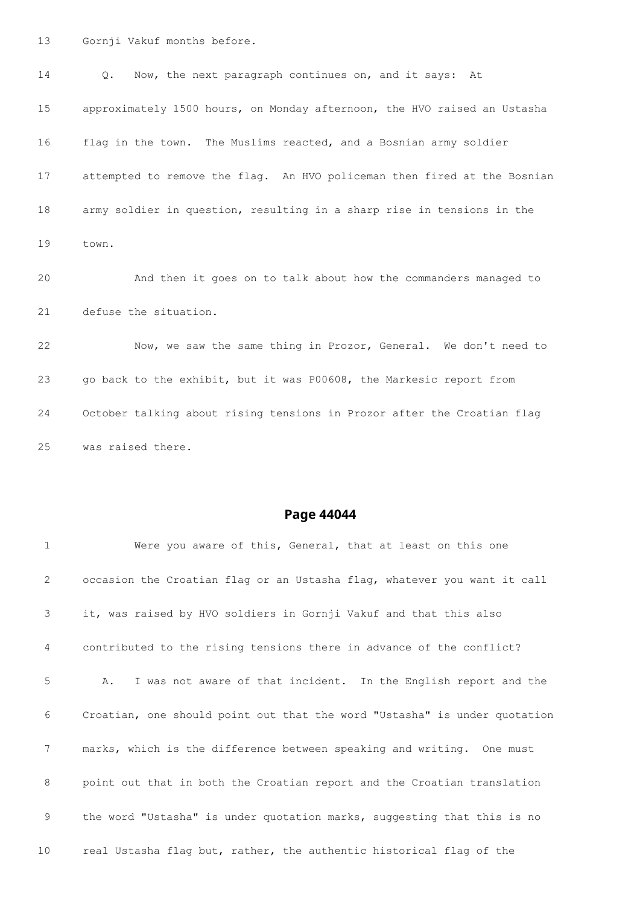Gornji Vakuf months before.

 Q. Now, the next paragraph continues on, and it says: At approximately 1500 hours, on Monday afternoon, the HVO raised an Ustasha flag in the town. The Muslims reacted, and a Bosnian army soldier attempted to remove the flag. An HVO policeman then fired at the Bosnian army soldier in question, resulting in a sharp rise in tensions in the town. And then it goes on to talk about how the commanders managed to defuse the situation. Now, we saw the same thing in Prozor, General. We don't need to go back to the exhibit, but it was P00608, the Markesic report from

 October talking about rising tensions in Prozor after the Croatian flag was raised there.

| $\mathbf{1}$ | Were you aware of this, General, that at least on this one                |
|--------------|---------------------------------------------------------------------------|
| 2            | occasion the Croatian flag or an Ustasha flag, whatever you want it call  |
| 3            | it, was raised by HVO soldiers in Gornji Vakuf and that this also         |
| 4            | contributed to the rising tensions there in advance of the conflict?      |
| 5            | I was not aware of that incident. In the English report and the<br>Α.     |
| 6            | Croatian, one should point out that the word "Ustasha" is under quotation |
| 7            | marks, which is the difference between speaking and writing. One must     |
| 8            | point out that in both the Croatian report and the Croatian translation   |
| 9            | the word "Ustasha" is under quotation marks, suggesting that this is no   |
| 10           | real Ustasha flag but, rather, the authentic historical flag of the       |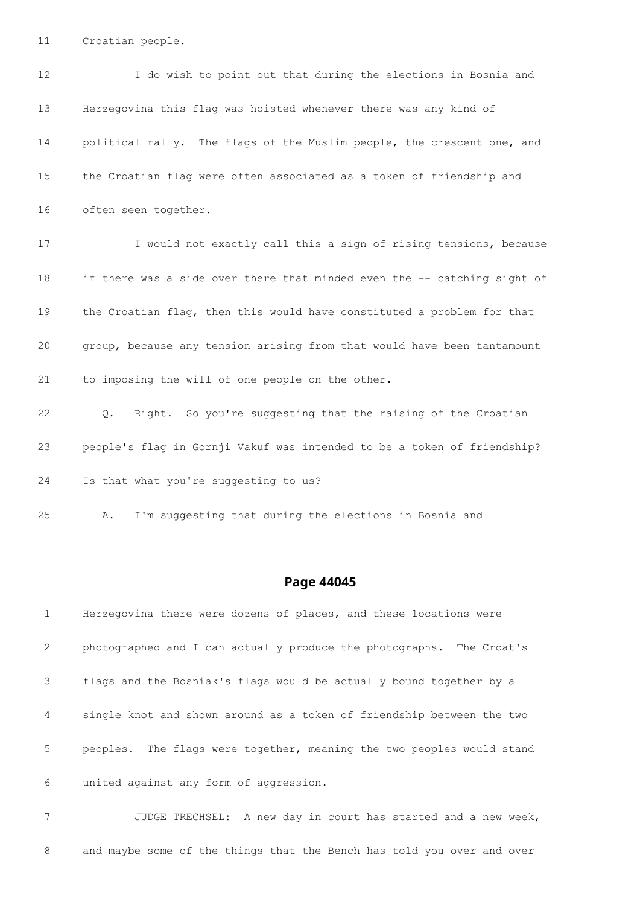Croatian people.

| $12 \overline{ }$ | I do wish to point out that during the elections in Bosnia and           |
|-------------------|--------------------------------------------------------------------------|
| 13                | Herzegovina this flag was hoisted whenever there was any kind of         |
| 14                | political rally. The flags of the Muslim people, the crescent one, and   |
| 15                | the Croatian flag were often associated as a token of friendship and     |
| 16                | often seen together.                                                     |
| 17                | I would not exactly call this a sign of rising tensions, because         |
| 18                | if there was a side over there that minded even the -- catching sight of |
| 19                | the Croatian flag, then this would have constituted a problem for that   |
| 20                | group, because any tension arising from that would have been tantamount  |
| 21                | to imposing the will of one people on the other.                         |
| 22                | Q. Right. So you're suggesting that the raising of the Croatian          |
| 23                | people's flag in Gornji Vakuf was intended to be a token of friendship?  |
| 24                | Is that what you're suggesting to us?                                    |
| 25                | I'm suggesting that during the elections in Bosnia and<br>Α.             |

### **Page 44045**

| 1              | Herzegovina there were dozens of places, and these locations were        |
|----------------|--------------------------------------------------------------------------|
| 2              | photographed and I can actually produce the photographs. The Croat's     |
| 3              | flags and the Bosniak's flags would be actually bound together by a      |
| $\overline{4}$ | single knot and shown around as a token of friendship between the two    |
| 5              | The flags were together, meaning the two peoples would stand<br>peoples. |
| 6              | united against any form of aggression.                                   |

 JUDGE TRECHSEL: A new day in court has started and a new week, and maybe some of the things that the Bench has told you over and over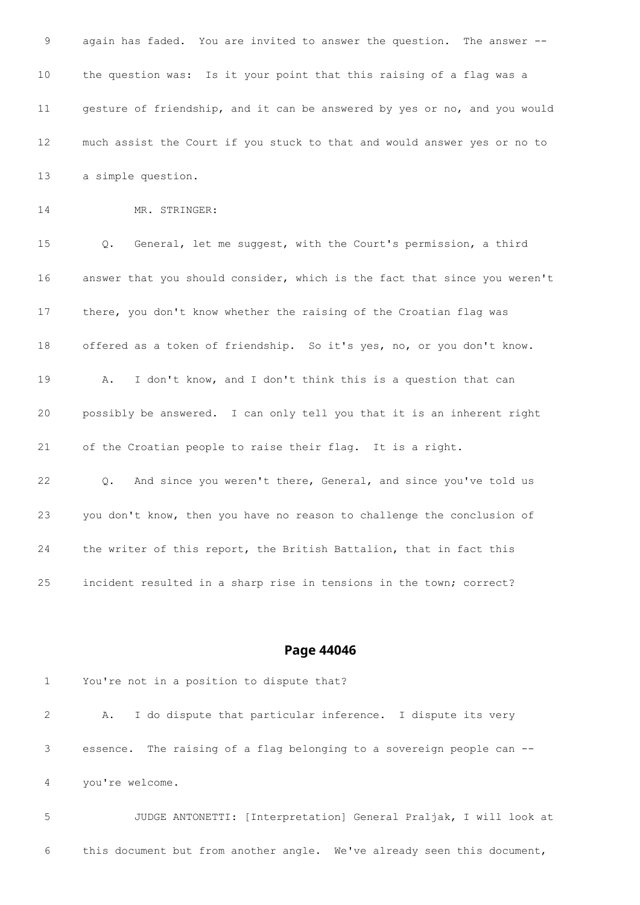again has faded. You are invited to answer the question. The answer -- the question was: Is it your point that this raising of a flag was a gesture of friendship, and it can be answered by yes or no, and you would much assist the Court if you stuck to that and would answer yes or no to a simple question. 14 MR. STRINGER: Q. General, let me suggest, with the Court's permission, a third answer that you should consider, which is the fact that since you weren't there, you don't know whether the raising of the Croatian flag was offered as a token of friendship. So it's yes, no, or you don't know. A. I don't know, and I don't think this is a question that can possibly be answered. I can only tell you that it is an inherent right of the Croatian people to raise their flag. It is a right. Q. And since you weren't there, General, and since you've told us you don't know, then you have no reason to challenge the conclusion of the writer of this report, the British Battalion, that in fact this incident resulted in a sharp rise in tensions in the town; correct?

#### **Page 44046**

 You're not in a position to dispute that? A. I do dispute that particular inference. I dispute its very essence. The raising of a flag belonging to a sovereign people can -- you're welcome. JUDGE ANTONETTI: [Interpretation] General Praljak, I will look at

this document but from another angle. We've already seen this document,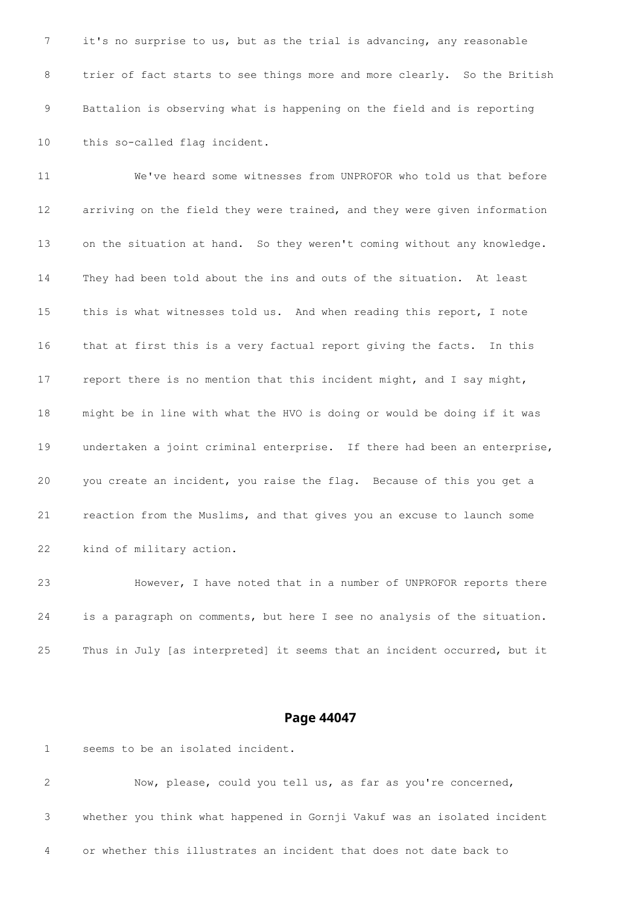it's no surprise to us, but as the trial is advancing, any reasonable 8 trier of fact starts to see things more and more clearly. So the British Battalion is observing what is happening on the field and is reporting this so-called flag incident.

 We've heard some witnesses from UNPROFOR who told us that before arriving on the field they were trained, and they were given information on the situation at hand. So they weren't coming without any knowledge. They had been told about the ins and outs of the situation. At least this is what witnesses told us. And when reading this report, I note that at first this is a very factual report giving the facts. In this report there is no mention that this incident might, and I say might, might be in line with what the HVO is doing or would be doing if it was undertaken a joint criminal enterprise. If there had been an enterprise, you create an incident, you raise the flag. Because of this you get a reaction from the Muslims, and that gives you an excuse to launch some kind of military action.

 However, I have noted that in a number of UNPROFOR reports there is a paragraph on comments, but here I see no analysis of the situation. Thus in July [as interpreted] it seems that an incident occurred, but it

#### **Page 44047**

seems to be an isolated incident.

 Now, please, could you tell us, as far as you're concerned, whether you think what happened in Gornji Vakuf was an isolated incident or whether this illustrates an incident that does not date back to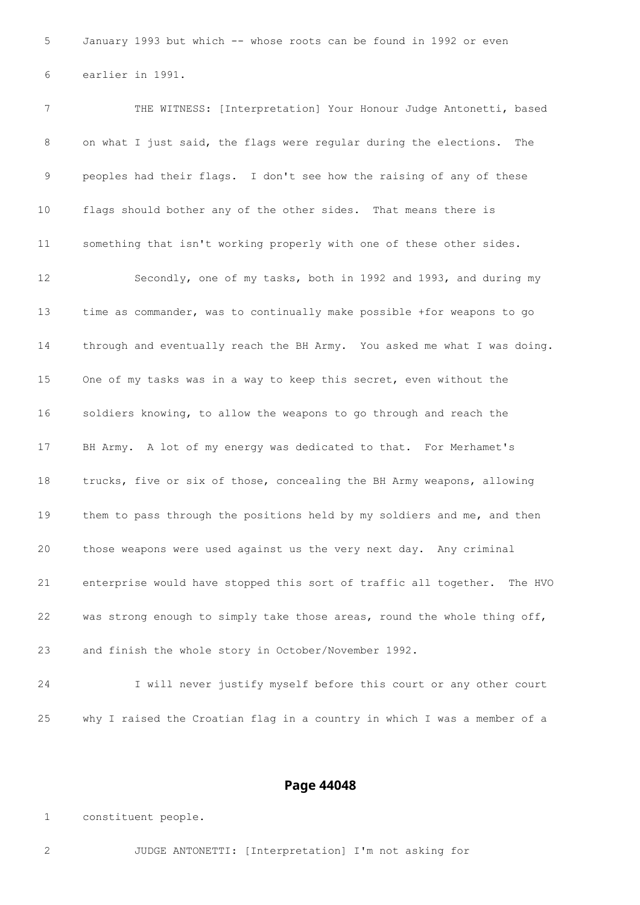January 1993 but which -- whose roots can be found in 1992 or even earlier in 1991.

 THE WITNESS: [Interpretation] Your Honour Judge Antonetti, based on what I just said, the flags were regular during the elections. The peoples had their flags. I don't see how the raising of any of these flags should bother any of the other sides. That means there is something that isn't working properly with one of these other sides. Secondly, one of my tasks, both in 1992 and 1993, and during my time as commander, was to continually make possible +for weapons to go through and eventually reach the BH Army. You asked me what I was doing. One of my tasks was in a way to keep this secret, even without the soldiers knowing, to allow the weapons to go through and reach the BH Army. A lot of my energy was dedicated to that. For Merhamet's trucks, five or six of those, concealing the BH Army weapons, allowing 19 them to pass through the positions held by my soldiers and me, and then those weapons were used against us the very next day. Any criminal enterprise would have stopped this sort of traffic all together. The HVO was strong enough to simply take those areas, round the whole thing off, and finish the whole story in October/November 1992.

 I will never justify myself before this court or any other court why I raised the Croatian flag in a country in which I was a member of a

#### **Page 44048**

constituent people.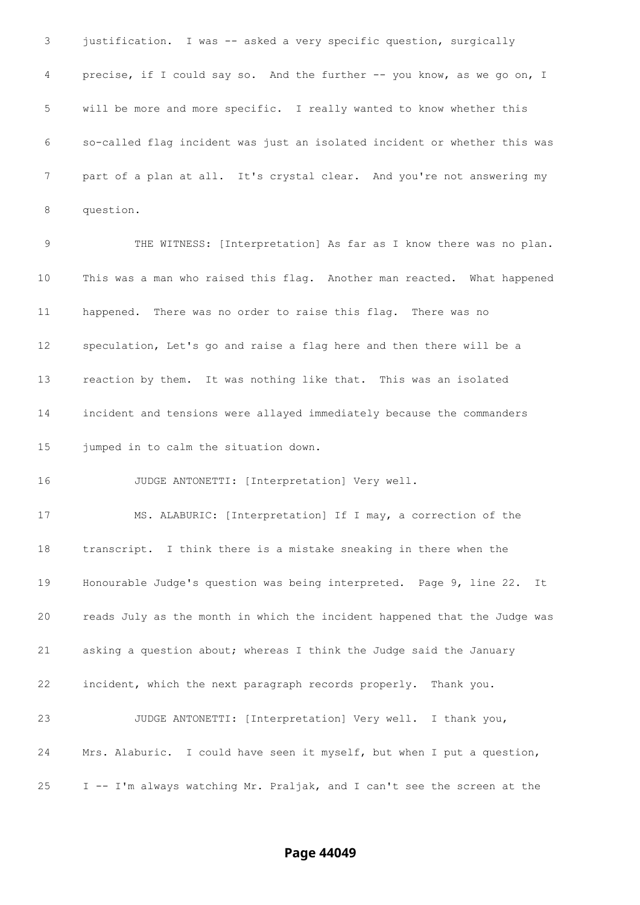justification. I was -- asked a very specific question, surgically precise, if I could say so. And the further -- you know, as we go on, I will be more and more specific. I really wanted to know whether this so-called flag incident was just an isolated incident or whether this was part of a plan at all. It's crystal clear. And you're not answering my question. THE WITNESS: [Interpretation] As far as I know there was no plan. This was a man who raised this flag. Another man reacted. What happened happened. There was no order to raise this flag. There was no speculation, Let's go and raise a flag here and then there will be a reaction by them. It was nothing like that. This was an isolated incident and tensions were allayed immediately because the commanders jumped in to calm the situation down. JUDGE ANTONETTI: [Interpretation] Very well. MS. ALABURIC: [Interpretation] If I may, a correction of the transcript. I think there is a mistake sneaking in there when the Honourable Judge's question was being interpreted. Page 9, line 22. It reads July as the month in which the incident happened that the Judge was asking a question about; whereas I think the Judge said the January incident, which the next paragraph records properly. Thank you. JUDGE ANTONETTI: [Interpretation] Very well. I thank you, Mrs. Alaburic. I could have seen it myself, but when I put a question, I -- I'm always watching Mr. Praljak, and I can't see the screen at the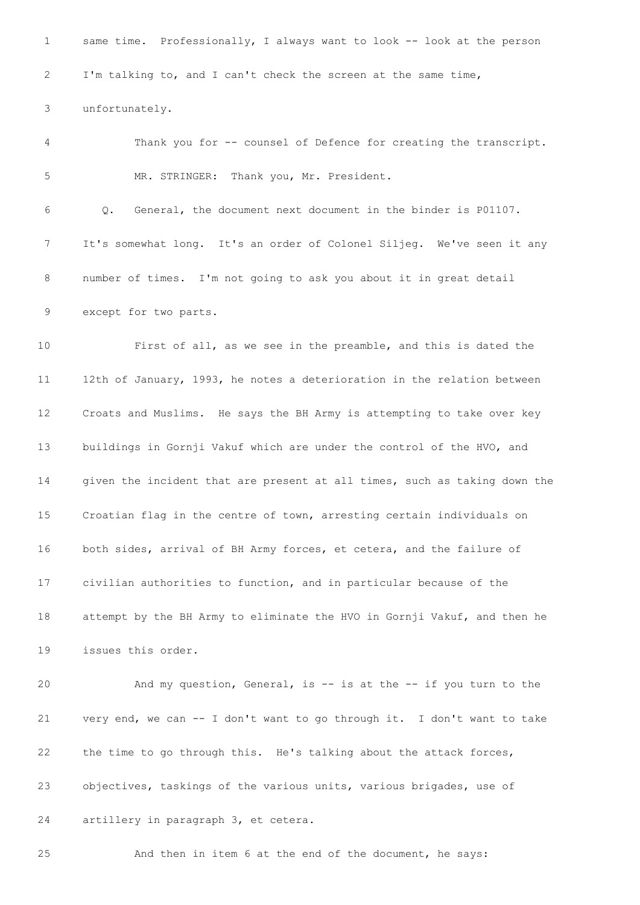1 same time. Professionally, I always want to look -- look at the person I'm talking to, and I can't check the screen at the same time, unfortunately. Thank you for -- counsel of Defence for creating the transcript. MR. STRINGER: Thank you, Mr. President. Q. General, the document next document in the binder is P01107. It's somewhat long. It's an order of Colonel Siljeg. We've seen it any number of times. I'm not going to ask you about it in great detail except for two parts. First of all, as we see in the preamble, and this is dated the 12th of January, 1993, he notes a deterioration in the relation between Croats and Muslims. He says the BH Army is attempting to take over key buildings in Gornji Vakuf which are under the control of the HVO, and given the incident that are present at all times, such as taking down the Croatian flag in the centre of town, arresting certain individuals on both sides, arrival of BH Army forces, et cetera, and the failure of civilian authorities to function, and in particular because of the attempt by the BH Army to eliminate the HVO in Gornji Vakuf, and then he issues this order. And my question, General, is -- is at the -- if you turn to the very end, we can -- I don't want to go through it. I don't want to take the time to go through this. He's talking about the attack forces, objectives, taskings of the various units, various brigades, use of artillery in paragraph 3, et cetera. And then in item 6 at the end of the document, he says: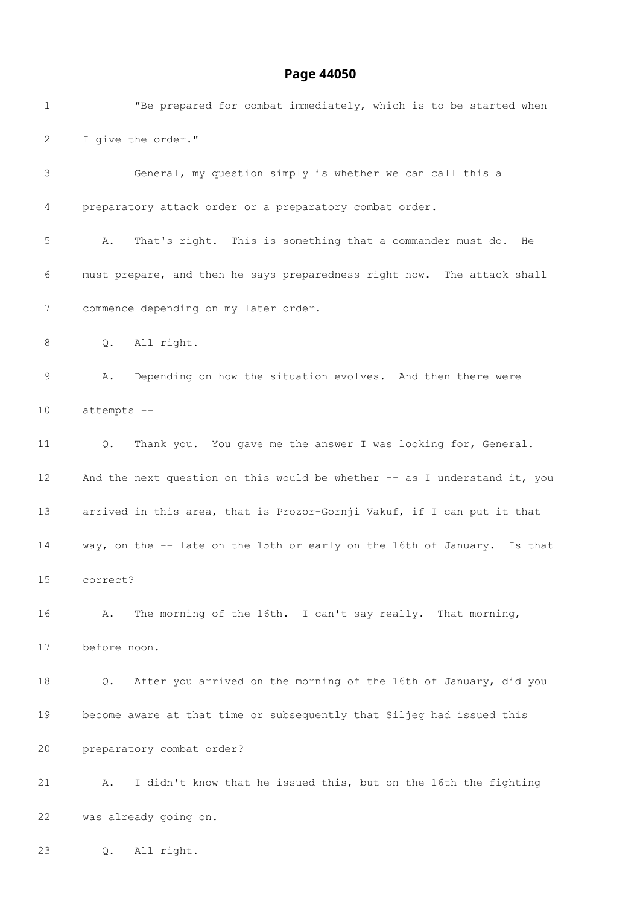| $\mathbf{1}$     | "Be prepared for combat immediately, which is to be started when          |
|------------------|---------------------------------------------------------------------------|
| 2                | I give the order."                                                        |
| 3                | General, my question simply is whether we can call this a                 |
| 4                | preparatory attack order or a preparatory combat order.                   |
| 5                | That's right. This is something that a commander must do.<br>Α.<br>He     |
| 6                | must prepare, and then he says preparedness right now. The attack shall   |
| $\boldsymbol{7}$ | commence depending on my later order.                                     |
| 8                | All right.<br>Q.                                                          |
| 9                | Depending on how the situation evolves. And then there were<br>Α.         |
| 10               | attempts --                                                               |
| 11               | Thank you. You gave me the answer I was looking for, General.<br>Q.       |
| 12 <sup>°</sup>  | And the next question on this would be whether -- as I understand it, you |
| 13               | arrived in this area, that is Prozor-Gornji Vakuf, if I can put it that   |
| 14               | way, on the -- late on the 15th or early on the 16th of January. Is that  |
| 15               | correct?                                                                  |
| 16               | The morning of the 16th. I can't say really. That morning,<br>Α.          |
| 17               | before noon.                                                              |
| 18               | After you arrived on the morning of the 16th of January, did you<br>Q.    |
| 19               | become aware at that time or subsequently that Siljeg had issued this     |
| 20               | preparatory combat order?                                                 |
| 21               | I didn't know that he issued this, but on the 16th the fighting<br>Α.     |
| 22               | was already going on.                                                     |
|                  |                                                                           |

Q. All right.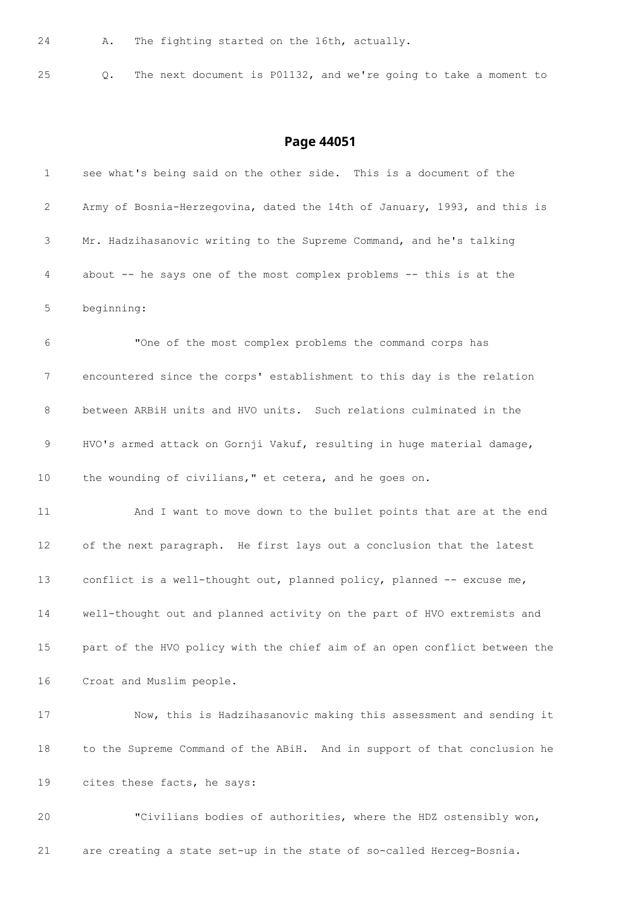A. The fighting started on the 16th, actually.

Q. The next document is P01132, and we're going to take a moment to

| $\mathbf 1$ | see what's being said on the other side. This is a document of the        |
|-------------|---------------------------------------------------------------------------|
| 2           | Army of Bosnia-Herzegovina, dated the 14th of January, 1993, and this is  |
| 3           | Mr. Hadzihasanovic writing to the Supreme Command, and he's talking       |
| 4           | about -- he says one of the most complex problems -- this is at the       |
| 5           | beginning:                                                                |
| 6           | "One of the most complex problems the command corps has                   |
| 7           | encountered since the corps' establishment to this day is the relation    |
| 8           | between ARBiH units and HVO units. Such relations culminated in the       |
| 9           | HVO's armed attack on Gornji Vakuf, resulting in huge material damage,    |
| 10          | the wounding of civilians," et cetera, and he goes on.                    |
| 11          | And I want to move down to the bullet points that are at the end          |
| 12          | of the next paragraph. He first lays out a conclusion that the latest     |
| 13          | conflict is a well-thought out, planned policy, planned -- excuse me,     |
| 14          | well-thought out and planned activity on the part of HVO extremists and   |
| $15$        | part of the HVO policy with the chief aim of an open conflict between the |
| 16          | Croat and Muslim people.                                                  |
| 17          | Now, this is Hadzihasanovic making this assessment and sending it         |
| 18          | to the Supreme Command of the ABiH. And in support of that conclusion he  |
| 19          | cites these facts, he says:                                               |
| 20          | "Civilians bodies of authorities, where the HDZ ostensibly won,           |
| 21          | are creating a state set-up in the state of so-called Herceg-Bosnia.      |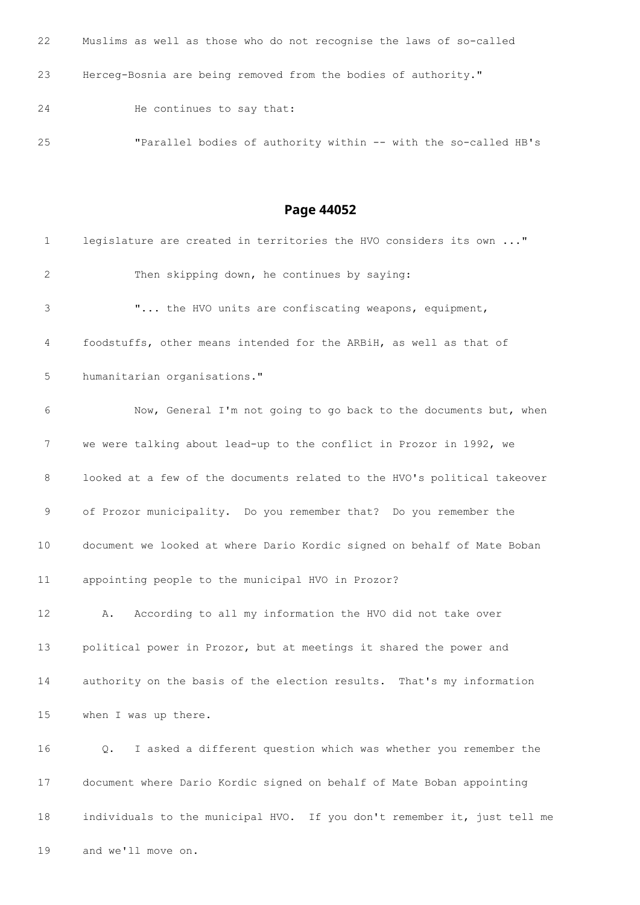| 22 | Muslims as well as those who do not recognise the laws of so-called |
|----|---------------------------------------------------------------------|
| 23 | Herceq-Bosnia are being removed from the bodies of authority."      |
| 24 | He continues to say that:                                           |
| 25 | "Parallel bodies of authority within -- with the so-called HB's     |

| $\mathbf{1}$    | legislature are created in territories the HVO considers its own "       |
|-----------------|--------------------------------------------------------------------------|
| $\mathbf{2}$    | Then skipping down, he continues by saying:                              |
| 3               | " the HVO units are confiscating weapons, equipment,                     |
| 4               | foodstuffs, other means intended for the ARBiH, as well as that of       |
| 5               | humanitarian organisations."                                             |
| 6               | Now, General I'm not going to go back to the documents but, when         |
| 7               | we were talking about lead-up to the conflict in Prozor in 1992, we      |
| 8               | looked at a few of the documents related to the HVO's political takeover |
| 9               | of Prozor municipality. Do you remember that? Do you remember the        |
| 10              | document we looked at where Dario Kordic signed on behalf of Mate Boban  |
| 11              | appointing people to the municipal HVO in Prozor?                        |
| 12 <sup>°</sup> | According to all my information the HVO did not take over<br>A.          |
| 13              | political power in Prozor, but at meetings it shared the power and       |
| 14              | authority on the basis of the election results. That's my information    |
| 15              | when I was up there.                                                     |
| 16              | I asked a different question which was whether you remember the<br>Q.    |
| 17              | document where Dario Kordic signed on behalf of Mate Boban appointing    |
| 18              | individuals to the municipal HVO. If you don't remember it, just tell me |

and we'll move on.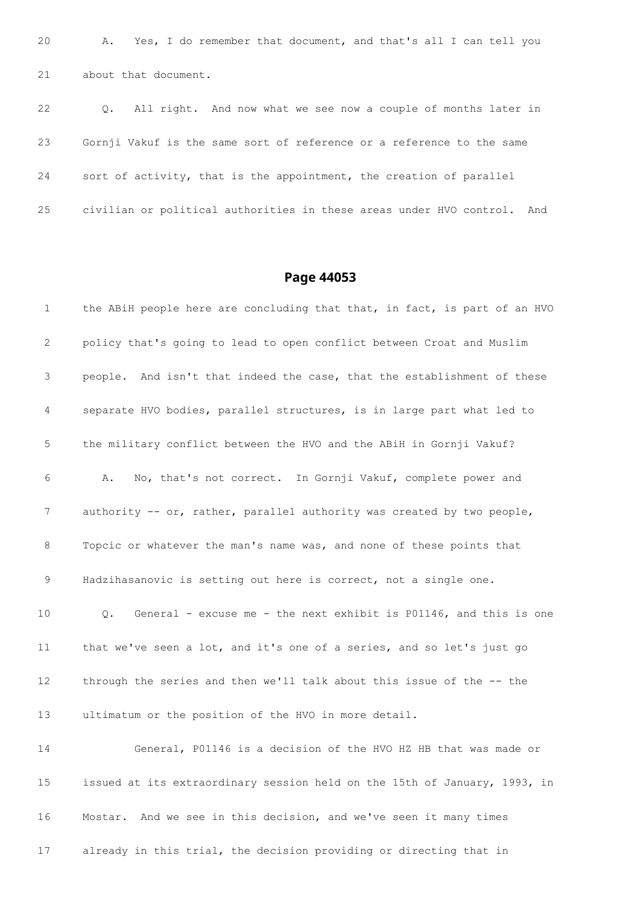A. Yes, I do remember that document, and that's all I can tell you about that document.

 Q. All right. And now what we see now a couple of months later in Gornji Vakuf is the same sort of reference or a reference to the same sort of activity, that is the appointment, the creation of parallel civilian or political authorities in these areas under HVO control. And

#### **Page 44053**

1 the ABiH people here are concluding that that, in fact, is part of an HVO policy that's going to lead to open conflict between Croat and Muslim people. And isn't that indeed the case, that the establishment of these separate HVO bodies, parallel structures, is in large part what led to the military conflict between the HVO and the ABiH in Gornji Vakuf? A. No, that's not correct. In Gornji Vakuf, complete power and 7 authority -- or, rather, parallel authority was created by two people, Topcic or whatever the man's name was, and none of these points that Hadzihasanovic is setting out here is correct, not a single one. Q. General - excuse me - the next exhibit is P01146, and this is one that we've seen a lot, and it's one of a series, and so let's just go through the series and then we'll talk about this issue of the -- the ultimatum or the position of the HVO in more detail. General, P01146 is a decision of the HVO HZ HB that was made or issued at its extraordinary session held on the 15th of January, 1993, in Mostar. And we see in this decision, and we've seen it many times

already in this trial, the decision providing or directing that in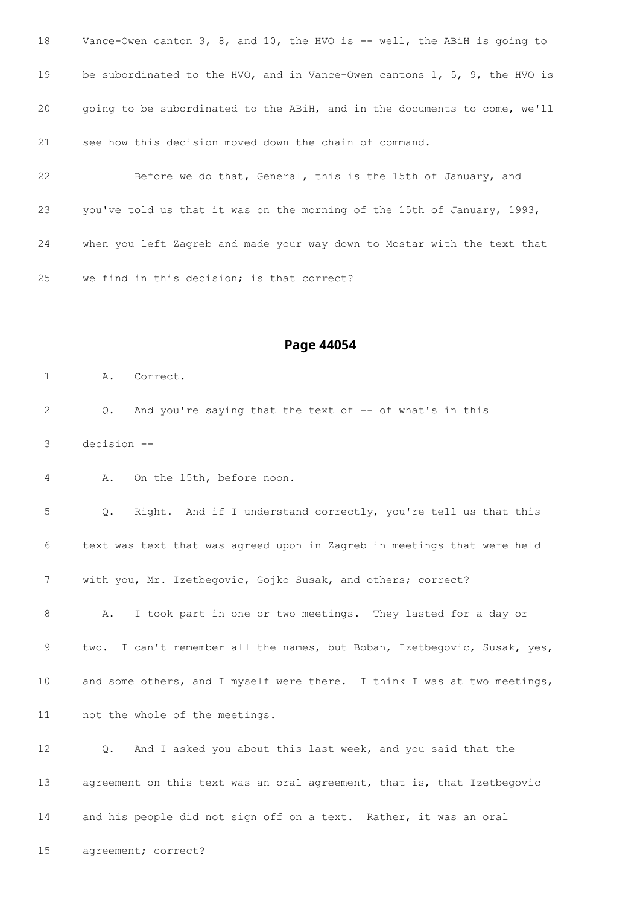| 18 | Vance-Owen canton 3, 8, and 10, the HVO is -- well, the ABiH is going to     |
|----|------------------------------------------------------------------------------|
| 19 | be subordinated to the HVO, and in Vance-Owen cantons $1, 5, 9$ , the HVO is |
| 20 | going to be subordinated to the ABiH, and in the documents to come, we'll    |
| 21 | see how this decision moved down the chain of command.                       |
| 22 | Before we do that, General, this is the 15th of January, and                 |
| 23 | you've told us that it was on the morning of the 15th of January, 1993,      |
| 24 | when you left Zagreb and made your way down to Mostar with the text that     |

we find in this decision; is that correct?

#### **Page 44054**

A. Correct.

 Q. And you're saying that the text of -- of what's in this decision --

A. On the 15th, before noon.

 Q. Right. And if I understand correctly, you're tell us that this text was text that was agreed upon in Zagreb in meetings that were held with you, Mr. Izetbegovic, Gojko Susak, and others; correct? A. I took part in one or two meetings. They lasted for a day or

9 two. I can't remember all the names, but Boban, Izetbegovic, Susak, yes, 10 and some others, and I myself were there. I think I was at two meetings, not the whole of the meetings.

 Q. And I asked you about this last week, and you said that the agreement on this text was an oral agreement, that is, that Izetbegovic and his people did not sign off on a text. Rather, it was an oral

agreement; correct?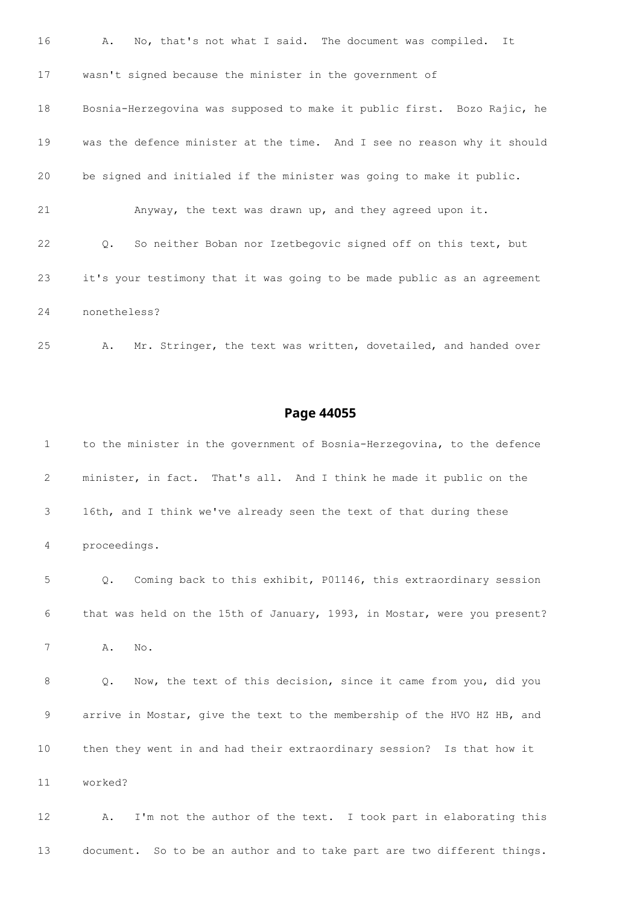| 16 | A.<br>No, that's not what I said. The document was compiled. It                |
|----|--------------------------------------------------------------------------------|
| 17 | wasn't signed because the minister in the government of                        |
| 18 | Bosnia-Herzegovina was supposed to make it public first. Bozo Rajic, he        |
| 19 | was the defence minister at the time. And I see no reason why it should        |
| 20 | be signed and initialed if the minister was going to make it public.           |
| 21 | Anyway, the text was drawn up, and they agreed upon it.                        |
| 22 | So neither Boban nor Izetbegovic signed off on this text, but<br>$Q_{\bullet}$ |
| 23 | it's your testimony that it was going to be made public as an agreement        |
| 24 | nonetheless?                                                                   |

A. Mr. Stringer, the text was written, dovetailed, and handed over

#### **Page 44055**

 to the minister in the government of Bosnia-Herzegovina, to the defence minister, in fact. That's all. And I think he made it public on the 16th, and I think we've already seen the text of that during these proceedings. Q. Coming back to this exhibit, P01146, this extraordinary session that was held on the 15th of January, 1993, in Mostar, were you present? A. No. Q. Now, the text of this decision, since it came from you, did you arrive in Mostar, give the text to the membership of the HVO HZ HB, and then they went in and had their extraordinary session? Is that how it worked? A. I'm not the author of the text. I took part in elaborating this document. So to be an author and to take part are two different things.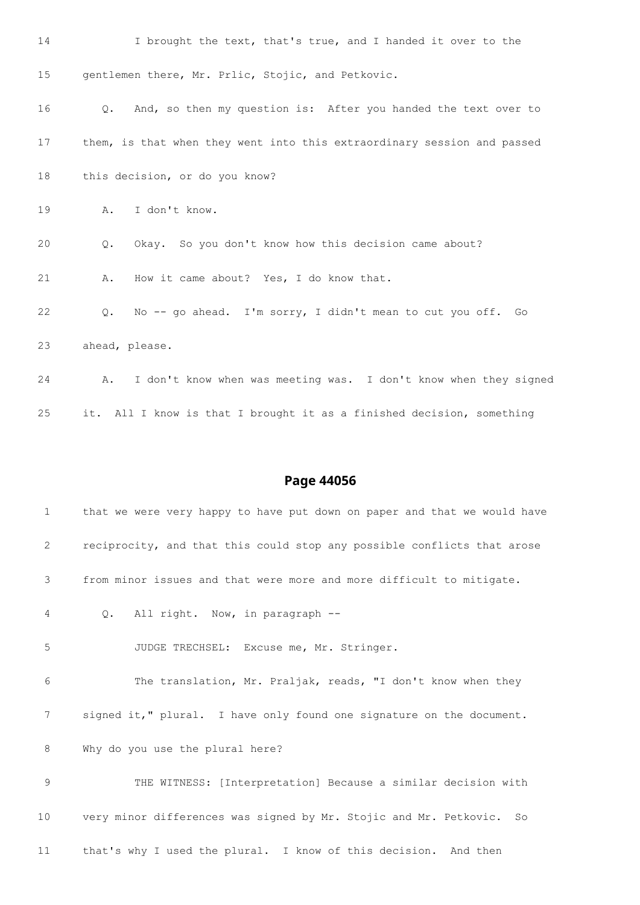| 14 | I brought the text, that's true, and I handed it over to the                 |
|----|------------------------------------------------------------------------------|
| 15 | gentlemen there, Mr. Prlic, Stojic, and Petkovic.                            |
| 16 | And, so then my question is: After you handed the text over to<br>$\circ$ .  |
| 17 | them, is that when they went into this extraordinary session and passed      |
| 18 | this decision, or do you know?                                               |
| 19 | I don't know.<br>Α.                                                          |
| 20 | Okay. So you don't know how this decision came about?<br>Q.                  |
| 21 | How it came about? Yes, I do know that.<br>Α.                                |
| 22 | No -- go ahead. I'm sorry, I didn't mean to cut you off. Go<br>$Q_{\bullet}$ |
| 23 | ahead, please.                                                               |
| 24 | I don't know when was meeting was. I don't know when they signed<br>Α.       |
| 25 | it. All I know is that I brought it as a finished decision, something        |

| $\mathbf{1}$    | that we were very happy to have put down on paper and that we would have |
|-----------------|--------------------------------------------------------------------------|
| 2               | reciprocity, and that this could stop any possible conflicts that arose  |
| 3               | from minor issues and that were more and more difficult to mitigate.     |
| 4               | All right. Now, in paragraph --<br>$Q_{\bullet}$                         |
| $\overline{5}$  | JUDGE TRECHSEL: Excuse me, Mr. Stringer.                                 |
| 6               | The translation, Mr. Praljak, reads, "I don't know when they             |
| 7               | signed it," plural. I have only found one signature on the document.     |
| 8               | Why do you use the plural here?                                          |
| 9               | THE WITNESS: [Interpretation] Because a similar decision with            |
| 10 <sub>1</sub> | very minor differences was signed by Mr. Stojic and Mr. Petkovic. So     |
| 11              | that's why I used the plural. I know of this decision. And then          |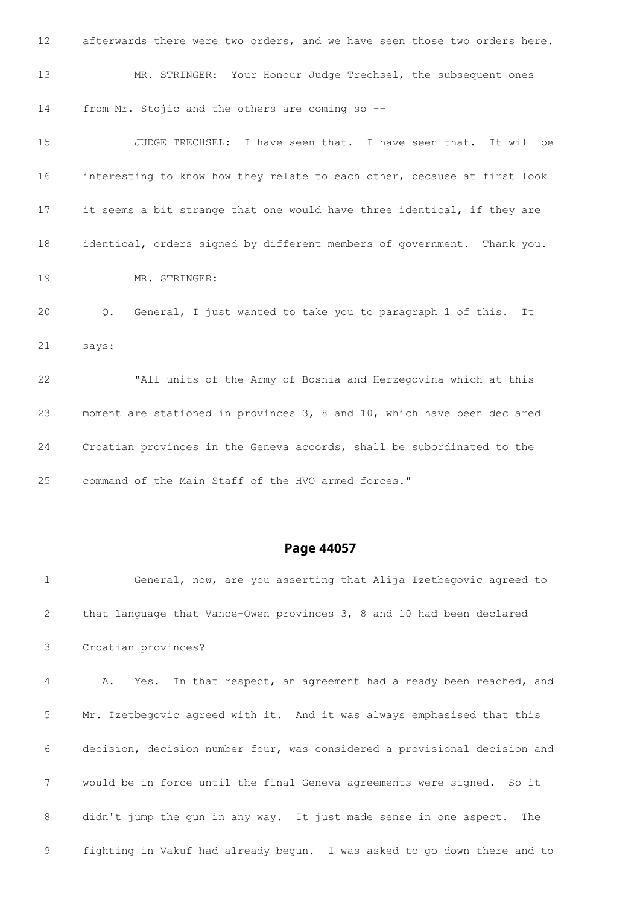| 12 <sup>°</sup> | afterwards there were two orders, and we have seen those two orders here. |
|-----------------|---------------------------------------------------------------------------|
| 13              | MR. STRINGER: Your Honour Judge Trechsel, the subsequent ones             |
| 14              | from Mr. Stojic and the others are coming so --                           |
| 15              | JUDGE TRECHSEL: I have seen that. I have seen that. It will be            |
| 16              | interesting to know how they relate to each other, because at first look  |
| 17              | it seems a bit strange that one would have three identical, if they are   |
| 18              | identical, orders signed by different members of government. Thank you.   |
| 19              | MR. STRINGER:                                                             |
| 20              | General, I just wanted to take you to paragraph 1 of this.<br>Q.<br>It    |
| 21              | says:                                                                     |
| 22              | "All units of the Army of Bosnia and Herzegovina which at this            |
| 23              | moment are stationed in provinces 3, 8 and 10, which have been declared   |
| 24              | Croatian provinces in the Geneva accords, shall be subordinated to the    |
| 25              | command of the Main Staff of the HVO armed forces."                       |

 General, now, are you asserting that Alija Izetbegovic agreed to that language that Vance-Owen provinces 3, 8 and 10 had been declared Croatian provinces? A. Yes. In that respect, an agreement had already been reached, and Mr. Izetbegovic agreed with it. And it was always emphasised that this decision, decision number four, was considered a provisional decision and would be in force until the final Geneva agreements were signed. So it didn't jump the gun in any way. It just made sense in one aspect. The fighting in Vakuf had already begun. I was asked to go down there and to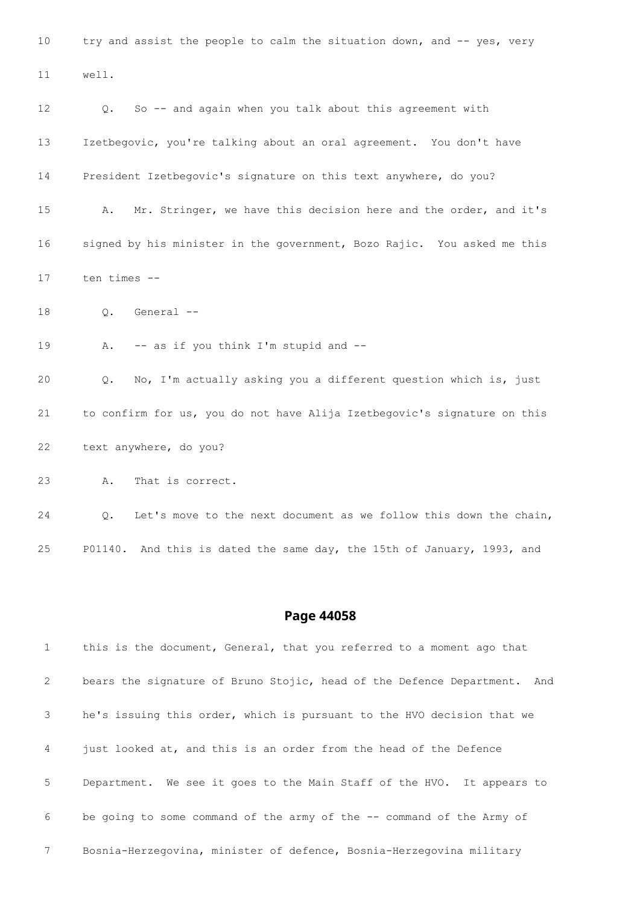10 try and assist the people to calm the situation down, and -- yes, very well. Q. So -- and again when you talk about this agreement with Izetbegovic, you're talking about an oral agreement. You don't have President Izetbegovic's signature on this text anywhere, do you? A. Mr. Stringer, we have this decision here and the order, and it's signed by his minister in the government, Bozo Rajic. You asked me this ten times -- Q. General -- 19 A. -- as if you think I'm stupid and -- Q. No, I'm actually asking you a different question which is, just to confirm for us, you do not have Alija Izetbegovic's signature on this text anywhere, do you? A. That is correct.

 Q. Let's move to the next document as we follow this down the chain, P01140. And this is dated the same day, the 15th of January, 1993, and

#### **Page 44058**

 this is the document, General, that you referred to a moment ago that bears the signature of Bruno Stojic, head of the Defence Department. And he's issuing this order, which is pursuant to the HVO decision that we just looked at, and this is an order from the head of the Defence Department. We see it goes to the Main Staff of the HVO. It appears to be going to some command of the army of the -- command of the Army of Bosnia-Herzegovina, minister of defence, Bosnia-Herzegovina military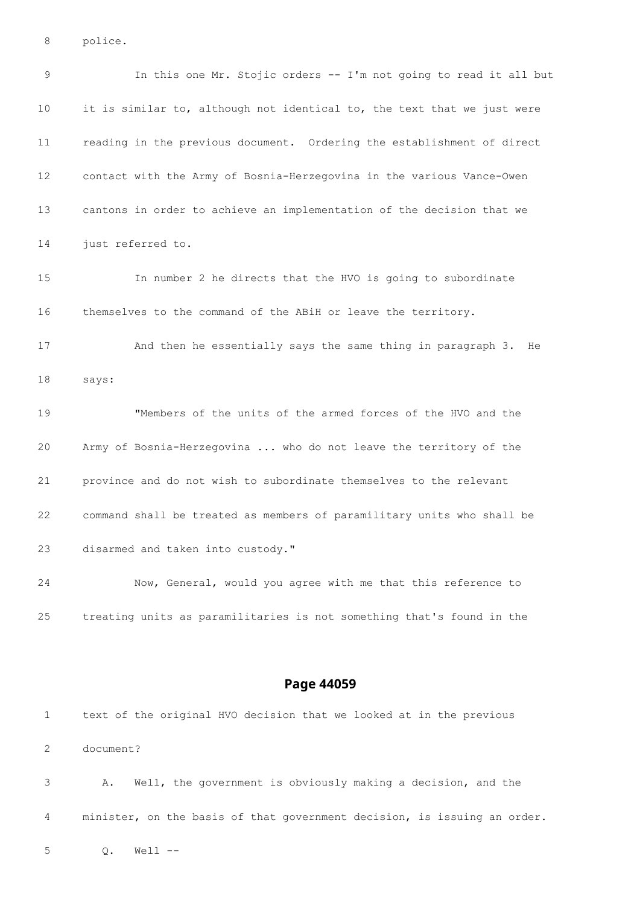police.

 In this one Mr. Stojic orders -- I'm not going to read it all but it is similar to, although not identical to, the text that we just were reading in the previous document. Ordering the establishment of direct contact with the Army of Bosnia-Herzegovina in the various Vance-Owen cantons in order to achieve an implementation of the decision that we 14 just referred to. In number 2 he directs that the HVO is going to subordinate themselves to the command of the ABiH or leave the territory. And then he essentially says the same thing in paragraph 3. He says: "Members of the units of the armed forces of the HVO and the Army of Bosnia-Herzegovina ... who do not leave the territory of the province and do not wish to subordinate themselves to the relevant command shall be treated as members of paramilitary units who shall be disarmed and taken into custody." Now, General, would you agree with me that this reference to treating units as paramilitaries is not something that's found in the

#### **Page 44059**

 text of the original HVO decision that we looked at in the previous document? A. Well, the government is obviously making a decision, and the minister, on the basis of that government decision, is issuing an order.

Q. Well --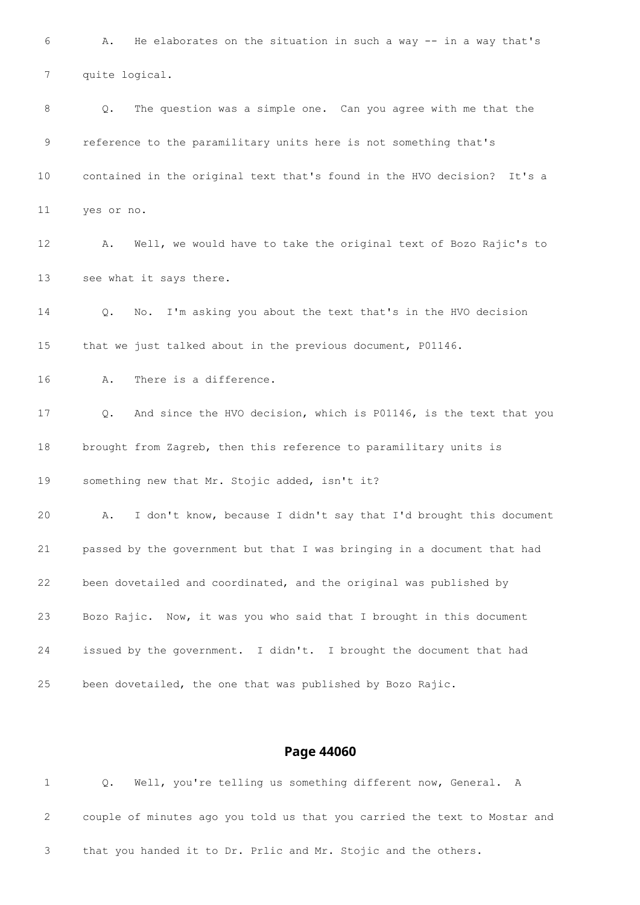A. He elaborates on the situation in such a way -- in a way that's quite logical. Q. The question was a simple one. Can you agree with me that the reference to the paramilitary units here is not something that's contained in the original text that's found in the HVO decision? It's a yes or no. A. Well, we would have to take the original text of Bozo Rajic's to see what it says there. Q. No. I'm asking you about the text that's in the HVO decision that we just talked about in the previous document, P01146. A. There is a difference. Q. And since the HVO decision, which is P01146, is the text that you brought from Zagreb, then this reference to paramilitary units is something new that Mr. Stojic added, isn't it? A. I don't know, because I didn't say that I'd brought this document passed by the government but that I was bringing in a document that had been dovetailed and coordinated, and the original was published by Bozo Rajic. Now, it was you who said that I brought in this document issued by the government. I didn't. I brought the document that had been dovetailed, the one that was published by Bozo Rajic.

|  |  |  |  | Q. Well, you're telling us something different now, General. A            |  |  |
|--|--|--|--|---------------------------------------------------------------------------|--|--|
|  |  |  |  | couple of minutes ago you told us that you carried the text to Mostar and |  |  |
|  |  |  |  | that you handed it to Dr. Prlic and Mr. Stojic and the others.            |  |  |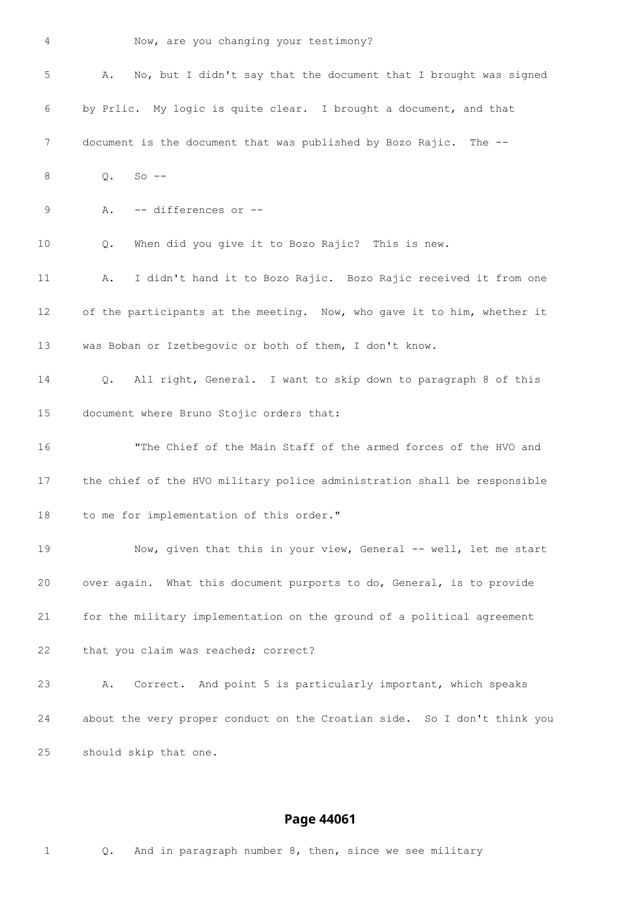Now, are you changing your testimony?

| 5  | No, but I didn't say that the document that I brought was signed<br>Α.          |
|----|---------------------------------------------------------------------------------|
| 6  | by Prlic. My logic is quite clear. I brought a document, and that               |
| 7  | document is the document that was published by Bozo Rajic. The --               |
| 8  | $Q$ .<br>$So --$                                                                |
| 9  | -- differences or --<br>Α.                                                      |
| 10 | When did you give it to Bozo Rajic? This is new.<br>Q.                          |
| 11 | I didn't hand it to Bozo Rajic. Bozo Rajic received it from one<br>Α.           |
| 12 | of the participants at the meeting. Now, who gave it to him, whether it         |
| 13 | was Boban or Izetbegovic or both of them, I don't know.                         |
| 14 | All right, General. I want to skip down to paragraph 8 of this<br>$Q_{\bullet}$ |
| 15 | document where Bruno Stojic orders that:                                        |
| 16 | "The Chief of the Main Staff of the armed forces of the HVO and                 |
| 17 | the chief of the HVO military police administration shall be responsible        |
| 18 | to me for implementation of this order."                                        |
| 19 | Now, given that this in your view, General -- well, let me start                |
| 20 | over again. What this document purports to do, General, is to provide           |
| 21 | for the military implementation on the ground of a political agreement          |
| 22 | that you claim was reached; correct?                                            |
| 23 | Correct. And point 5 is particularly important, which speaks<br>Α.              |
| 24 | about the very proper conduct on the Croatian side. So I don't think you        |
| 25 | should skip that one.                                                           |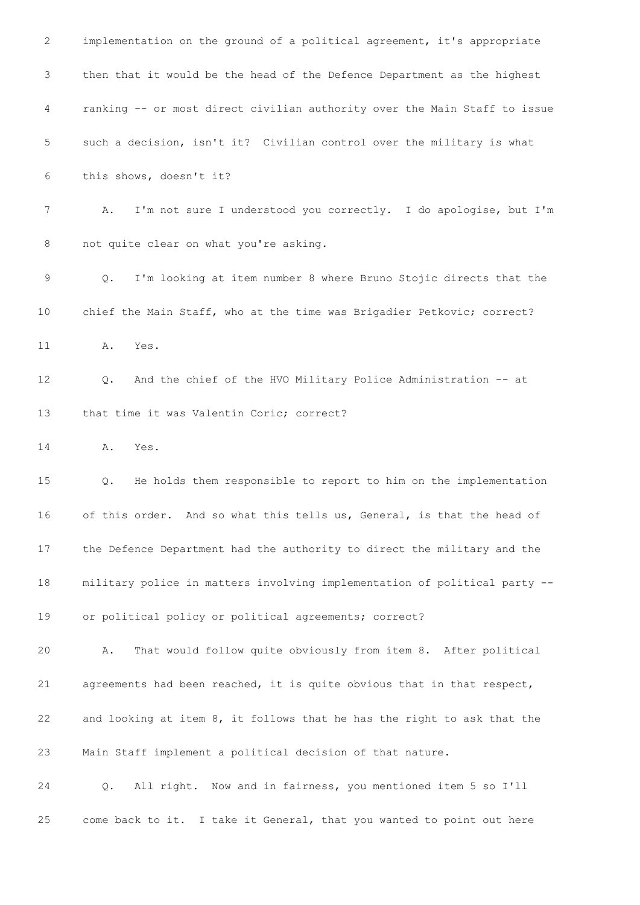| $\mathbf{2}$ | implementation on the ground of a political agreement, it's appropriate   |
|--------------|---------------------------------------------------------------------------|
| 3            | then that it would be the head of the Defence Department as the highest   |
| 4            | ranking -- or most direct civilian authority over the Main Staff to issue |
| 5            | such a decision, isn't it? Civilian control over the military is what     |
| 6            | this shows, doesn't it?                                                   |
| 7            | I'm not sure I understood you correctly. I do apologise, but I'm<br>Α.    |
| 8            | not quite clear on what you're asking.                                    |
| 9            | I'm looking at item number 8 where Bruno Stojic directs that the<br>Q.    |
| 10           | chief the Main Staff, who at the time was Brigadier Petkovic; correct?    |
| 11           | Yes.<br>Α.                                                                |
| 12           | And the chief of the HVO Military Police Administration -- at<br>Q.       |
| 13           | that time it was Valentin Coric; correct?                                 |
| 14           | Α.<br>Yes.                                                                |
| 15           | He holds them responsible to report to him on the implementation<br>Q.    |
| 16           | of this order. And so what this tells us, General, is that the head of    |
| 17           | the Defence Department had the authority to direct the military and the   |
| 18           | military police in matters involving implementation of political party -- |
| 19           | or political policy or political agreements; correct?                     |
| 20           | That would follow quite obviously from item 8. After political<br>Α.      |
| 21           | agreements had been reached, it is quite obvious that in that respect,    |
| 22           | and looking at item 8, it follows that he has the right to ask that the   |
| 23           | Main Staff implement a political decision of that nature.                 |
| 24           | All right. Now and in fairness, you mentioned item 5 so I'll<br>Q.        |
| 25           | come back to it. I take it General, that you wanted to point out here     |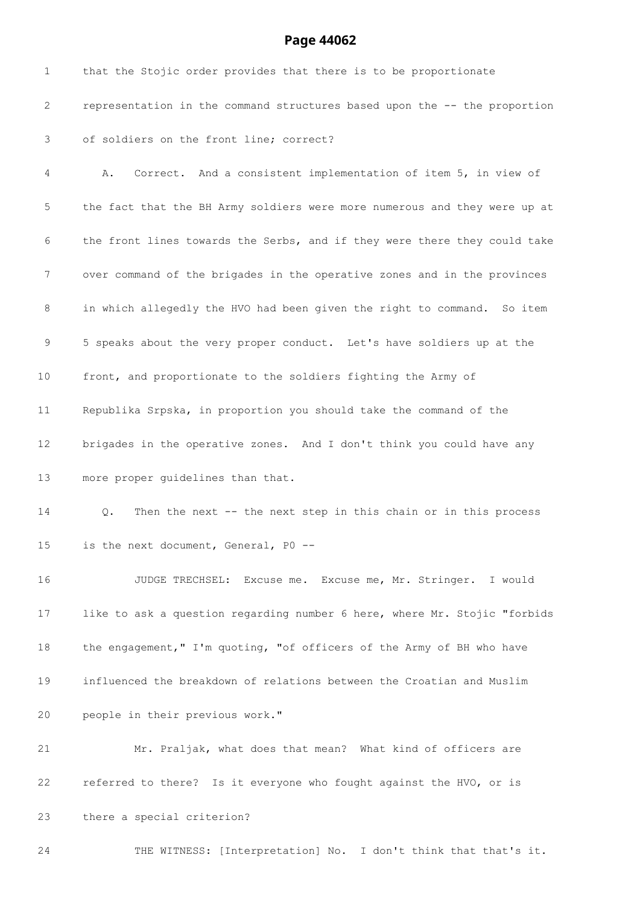| $\mathbf 1$  | that the Stojic order provides that there is to be proportionate                 |
|--------------|----------------------------------------------------------------------------------|
| $\mathbf{2}$ | representation in the command structures based upon the -- the proportion        |
| 3            | of soldiers on the front line; correct?                                          |
| 4            | Correct. And a consistent implementation of item 5, in view of<br>Α.             |
| 5            | the fact that the BH Army soldiers were more numerous and they were up at        |
| 6            | the front lines towards the Serbs, and if they were there they could take        |
| 7            | over command of the brigades in the operative zones and in the provinces         |
| 8            | in which allegedly the HVO had been given the right to command. So item          |
| 9            | 5 speaks about the very proper conduct. Let's have soldiers up at the            |
| 10           | front, and proportionate to the soldiers fighting the Army of                    |
| 11           | Republika Srpska, in proportion you should take the command of the               |
| 12           | brigades in the operative zones. And I don't think you could have any            |
| 13           | more proper guidelines than that.                                                |
| 14           | Then the next -- the next step in this chain or in this process<br>$Q_{\bullet}$ |
| 15           | is the next document, General, PO --                                             |
| 16           | JUDGE TRECHSEL: Excuse me. Excuse me, Mr. Stringer. I would                      |
| 17           | like to ask a question regarding number 6 here, where Mr. Stojic "forbids        |
| 18           | the engagement," I'm quoting, "of officers of the Army of BH who have            |
| 19           | influenced the breakdown of relations between the Croatian and Muslim            |
| 20           | people in their previous work."                                                  |
| 21           | Mr. Praljak, what does that mean? What kind of officers are                      |
| 22           | referred to there? Is it everyone who fought against the HVO, or is              |
| 23           | there a special criterion?                                                       |
| 24           | THE WITNESS: [Interpretation] No. I don't think that that's it.                  |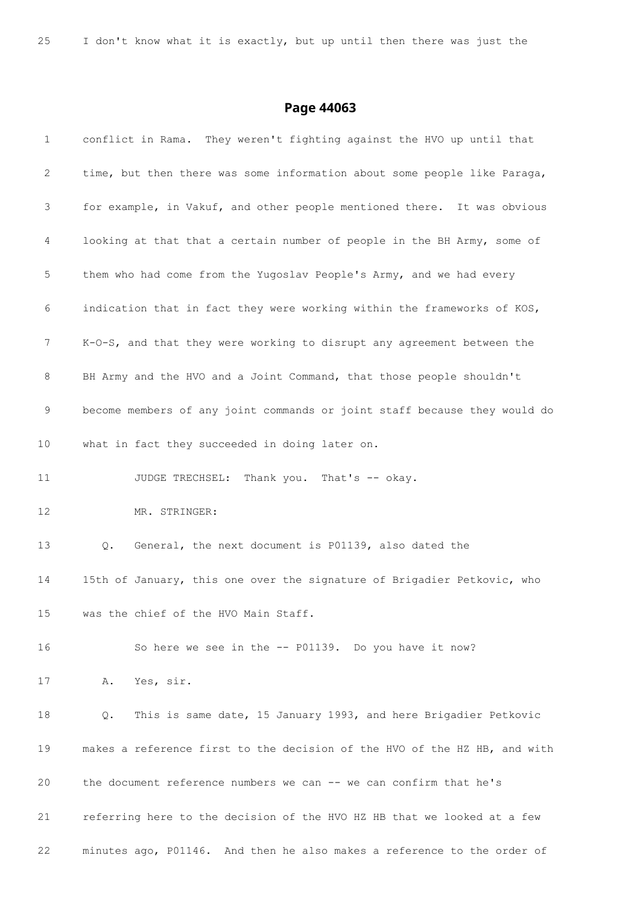| $\mathbf{1}$    | conflict in Rama. They weren't fighting against the HVO up until that     |
|-----------------|---------------------------------------------------------------------------|
| 2               | time, but then there was some information about some people like Paraga,  |
| 3               | for example, in Vakuf, and other people mentioned there. It was obvious   |
| 4               | looking at that that a certain number of people in the BH Army, some of   |
| 5               | them who had come from the Yugoslav People's Army, and we had every       |
| 6               | indication that in fact they were working within the frameworks of KOS,   |
| 7               | K-0-S, and that they were working to disrupt any agreement between the    |
| 8               | BH Army and the HVO and a Joint Command, that those people shouldn't      |
| 9               | become members of any joint commands or joint staff because they would do |
| 10 <sub>1</sub> | what in fact they succeeded in doing later on.                            |
| 11              | JUDGE TRECHSEL: Thank you. That's -- okay.                                |
| 12              | MR. STRINGER:                                                             |
| 13              | General, the next document is P01139, also dated the<br>Q.                |
| 14              | 15th of January, this one over the signature of Brigadier Petkovic, who   |
| 15 <sub>1</sub> | was the chief of the HVO Main Staff                                       |
| 16              | So here we see in the -- P01139. Do you have it now?                      |
| 17              | A. Yes, sir.                                                              |
| 18              | This is same date, 15 January 1993, and here Brigadier Petkovic<br>Q.     |
| 19              | makes a reference first to the decision of the HVO of the HZ HB, and with |
| 20              | the document reference numbers we can -- we can confirm that he's         |
| 21              | referring here to the decision of the HVO HZ HB that we looked at a few   |
| 22              | minutes ago, P01146. And then he also makes a reference to the order of   |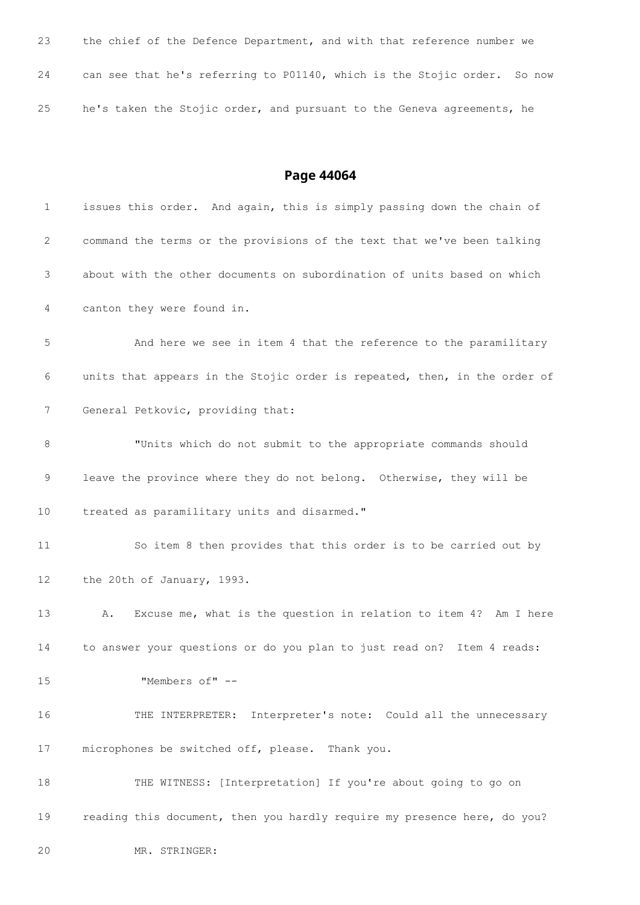| 23 | the chief of the Defence Department, and with that reference number we   |
|----|--------------------------------------------------------------------------|
| 24 | can see that he's referring to P01140, which is the Stojic order. So now |
| 25 | he's taken the Stojic order, and pursuant to the Geneva agreements, he   |

| $\mathbf 1$       | issues this order. And again, this is simply passing down the chain of    |
|-------------------|---------------------------------------------------------------------------|
| 2                 | command the terms or the provisions of the text that we've been talking   |
| 3                 | about with the other documents on subordination of units based on which   |
| 4                 | canton they were found in.                                                |
| 5                 | And here we see in item 4 that the reference to the paramilitary          |
| 6                 | units that appears in the Stojic order is repeated, then, in the order of |
| 7                 | General Petkovic, providing that:                                         |
| 8                 | "Units which do not submit to the appropriate commands should             |
| 9                 | leave the province where they do not belong. Otherwise, they will be      |
| 10                | treated as paramilitary units and disarmed."                              |
| 11                | So item 8 then provides that this order is to be carried out by           |
| $12 \overline{ }$ | the 20th of January, 1993.                                                |
| 13                | Excuse me, what is the question in relation to item 4? Am I here<br>Α.    |
| 14                | to answer your questions or do you plan to just read on? Item 4 reads:    |
| 15                | "Members of" --                                                           |
| 16                | THE INTERPRETER: Interpreter's note: Could all the unnecessary            |
| 17                | microphones be switched off, please. Thank you.                           |
| 18                | THE WITNESS: [Interpretation] If you're about going to go on              |
| 19                | reading this document, then you hardly require my presence here, do you?  |
| 20                | MR. STRINGER:                                                             |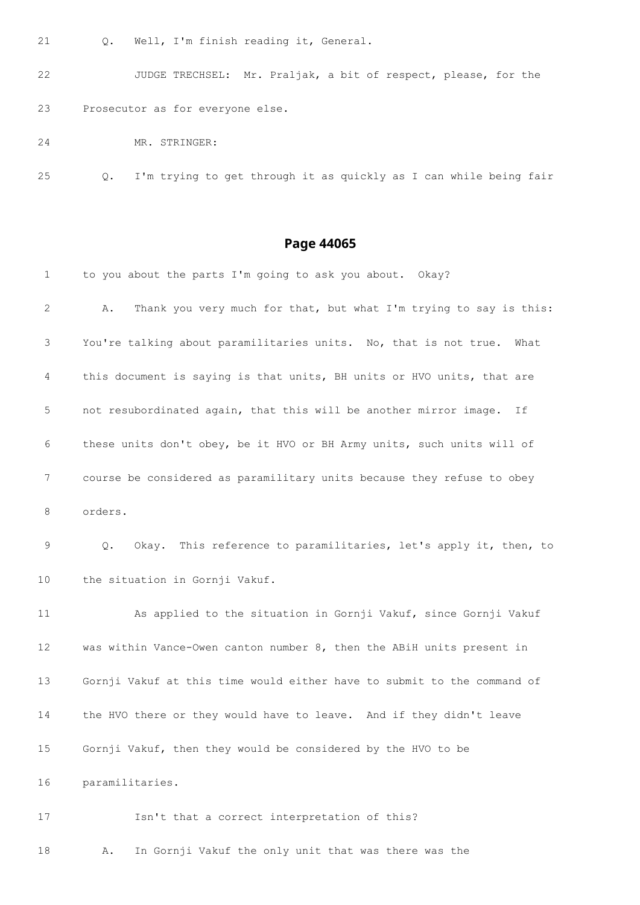Q. Well, I'm finish reading it, General.

 JUDGE TRECHSEL: Mr. Praljak, a bit of respect, please, for the Prosecutor as for everyone else.

MR. STRINGER:

Q. I'm trying to get through it as quickly as I can while being fair

### **Page 44065**

| $\mathbf 1$ | to you about the parts I'm going to ask you about. Okay?                 |
|-------------|--------------------------------------------------------------------------|
| 2           | Thank you very much for that, but what I'm trying to say is this:<br>Α.  |
| 3           | You're talking about paramilitaries units. No, that is not true.<br>What |
| 4           | this document is saying is that units, BH units or HVO units, that are   |
| 5           | not resubordinated again, that this will be another mirror image.<br>If  |
| 6           | these units don't obey, be it HVO or BH Army units, such units will of   |
| 7           | course be considered as paramilitary units because they refuse to obey   |
| 8           | orders.                                                                  |
| 9           | Okay. This reference to paramilitaries, let's apply it, then, to<br>Q.   |
| 10          | the situation in Gornji Vakuf.                                           |
| 11          | As applied to the situation in Gornji Vakuf, since Gornji Vakuf          |
| 12          | was within Vance-Owen canton number 8, then the ABiH units present in    |
| 13          | Gornji Vakuf at this time would either have to submit to the command of  |
| 14          | the HVO there or they would have to leave. And if they didn't leave      |
| 15          | Gornji Vakuf, then they would be considered by the HVO to be             |
| 16          | paramilitaries.                                                          |
| 17          | Isn't that a correct interpretation of this?                             |

A. In Gornji Vakuf the only unit that was there was the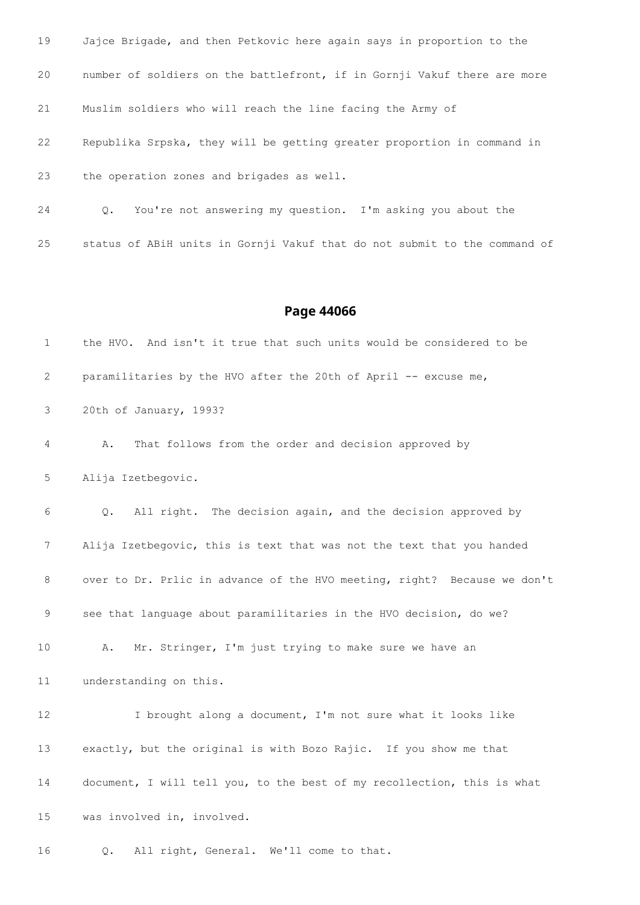| 19 | Jajce Brigade, and then Petkovic here again says in proportion to the    |
|----|--------------------------------------------------------------------------|
| 20 | number of soldiers on the battlefront, if in Gornji Vakuf there are more |
| 21 | Muslim soldiers who will reach the line facing the Army of               |
| 22 | Republika Srpska, they will be getting greater proportion in command in  |
| 23 | the operation zones and brigades as well.                                |
| 24 | Q. You're not answering my question. I'm asking you about the            |

status of ABiH units in Gornji Vakuf that do not submit to the command of

| 1  | the HVO. And isn't it true that such units would be considered to be         |
|----|------------------------------------------------------------------------------|
| 2  | paramilitaries by the HVO after the 20th of April -- excuse me,              |
| 3  | 20th of January, 1993?                                                       |
| 4  | That follows from the order and decision approved by<br>Α.                   |
| 5  | Alija Izetbegovic.                                                           |
| 6  | All right. The decision again, and the decision approved by<br>$Q_{\bullet}$ |
| 7  | Alija Izetbegovic, this is text that was not the text that you handed        |
| 8  | over to Dr. Prlic in advance of the HVO meeting, right? Because we don't     |
| 9  | see that language about paramilitaries in the HVO decision, do we?           |
| 10 | Mr. Stringer, I'm just trying to make sure we have an<br>Α.                  |
| 11 | understanding on this.                                                       |
| 12 | I brought along a document, I'm not sure what it looks like                  |
| 13 | exactly, but the original is with Bozo Rajic. If you show me that            |
| 14 | document, I will tell you, to the best of my recollection, this is what      |
| 15 | was involved in, involved.                                                   |
| 16 | All right, General.<br>We'll come to that.<br>Q.                             |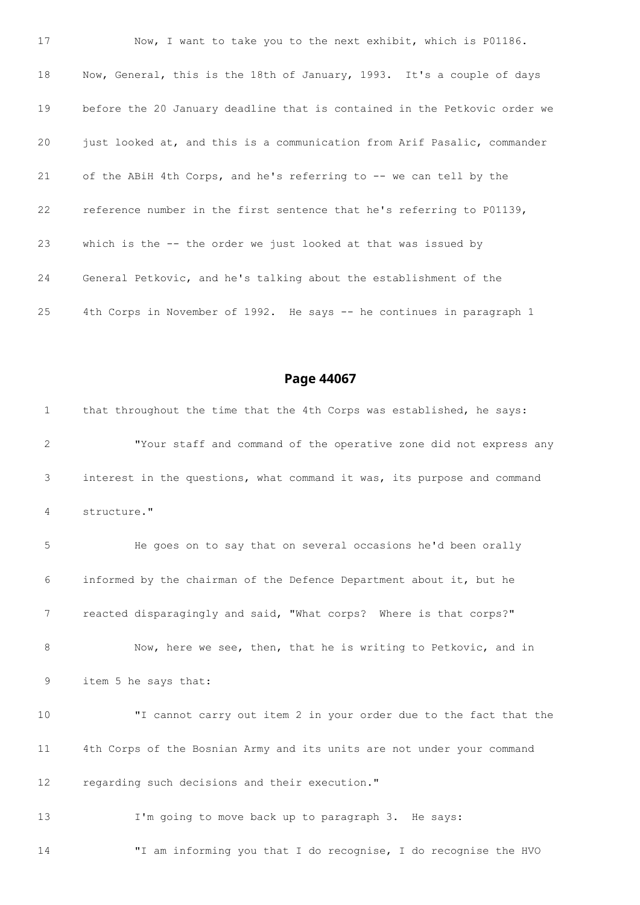Now, I want to take you to the next exhibit, which is P01186. Now, General, this is the 18th of January, 1993. It's a couple of days before the 20 January deadline that is contained in the Petkovic order we 20 just looked at, and this is a communication from Arif Pasalic, commander of the ABiH 4th Corps, and he's referring to -- we can tell by the reference number in the first sentence that he's referring to P01139, which is the -- the order we just looked at that was issued by General Petkovic, and he's talking about the establishment of the 4th Corps in November of 1992. He says -- he continues in paragraph 1

**Page 44067**

 that throughout the time that the 4th Corps was established, he says: "Your staff and command of the operative zone did not express any interest in the questions, what command it was, its purpose and command structure." He goes on to say that on several occasions he'd been orally informed by the chairman of the Defence Department about it, but he reacted disparagingly and said, "What corps? Where is that corps?" Now, here we see, then, that he is writing to Petkovic, and in item 5 he says that: "I cannot carry out item 2 in your order due to the fact that the 4th Corps of the Bosnian Army and its units are not under your command regarding such decisions and their execution." I'm going to move back up to paragraph 3. He says: "I am informing you that I do recognise, I do recognise the HVO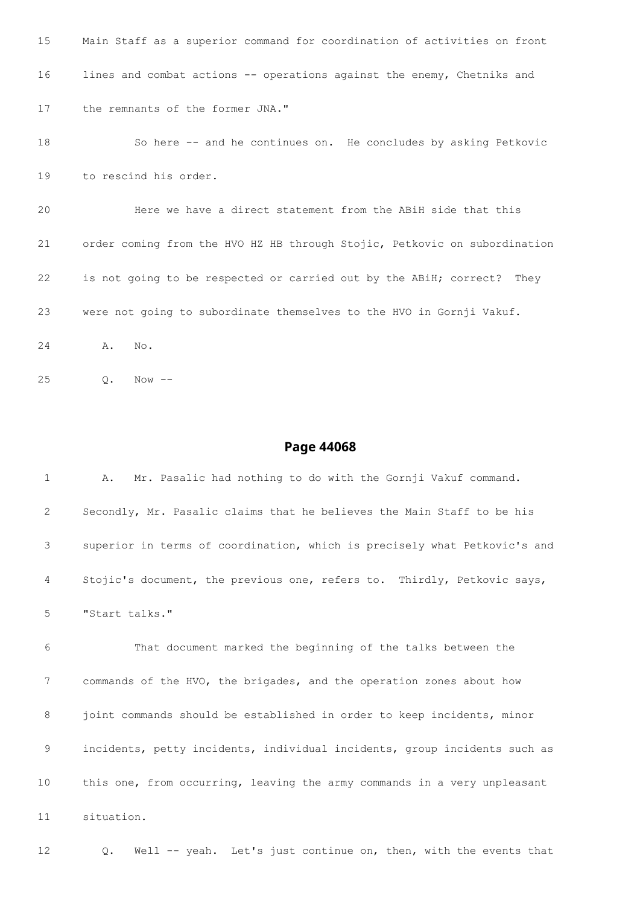```
15 Main Staff as a superior command for coordination of activities on front
16 lines and combat actions -- operations against the enemy, Chetniks and
17 the remnants of the former JNA."
18 So here -- and he continues on. He concludes by asking Petkovic
19 to rescind his order.
20 Here we have a direct statement from the ABiH side that this
21 order coming from the HVO HZ HB through Stojic, Petkovic on subordination
22 is not going to be respected or carried out by the ABiH; correct? They
23 were not going to subordinate themselves to the HVO in Gornji Vakuf.
24 A. No.
```
Q. Now --

| $\mathbf{1}$ | Mr. Pasalic had nothing to do with the Gornji Vakuf command.<br>Α.        |
|--------------|---------------------------------------------------------------------------|
| 2            | Secondly, Mr. Pasalic claims that he believes the Main Staff to be his    |
| 3            | superior in terms of coordination, which is precisely what Petkovic's and |
| 4            | Stojic's document, the previous one, refers to. Thirdly, Petkovic says,   |
| 5            | "Start talks."                                                            |
| 6            | That document marked the beginning of the talks between the               |
| 7            | commands of the HVO, the brigades, and the operation zones about how      |
| 8            | joint commands should be established in order to keep incidents, minor    |
| 9            | incidents, petty incidents, individual incidents, group incidents such as |
| 10           | this one, from occurring, leaving the army commands in a very unpleasant  |
| 11           | situation.                                                                |
| 12           | Well -- yeah. Let's just continue on, then, with the events that<br>Q.    |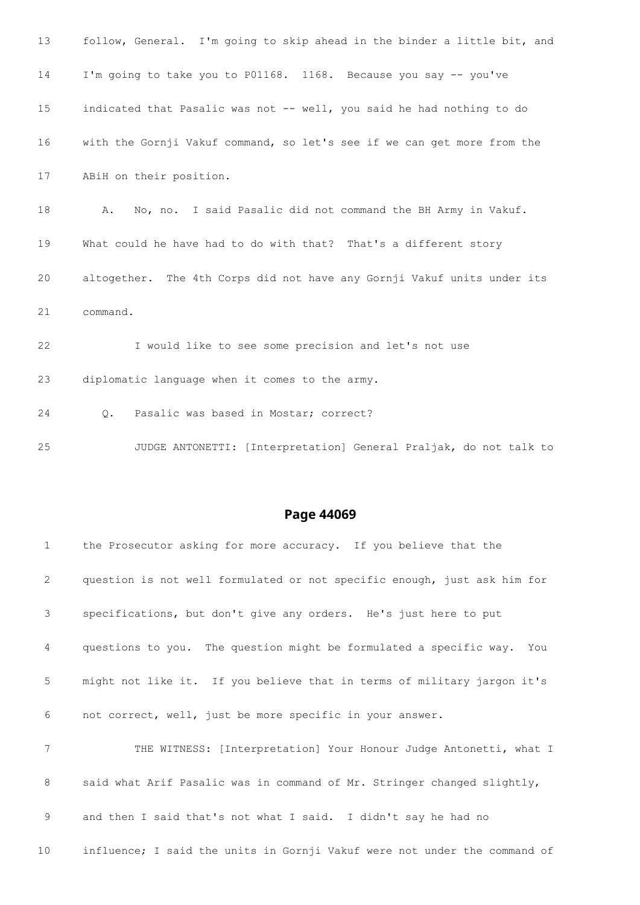| 13 | follow, General. I'm going to skip ahead in the binder a little bit, and |
|----|--------------------------------------------------------------------------|
| 14 | I'm going to take you to P01168. 1168. Because you say -- you've         |
| 15 | indicated that Pasalic was not -- well, you said he had nothing to do    |
| 16 | with the Gornji Vakuf command, so let's see if we can get more from the  |
| 17 | ABiH on their position.                                                  |
| 18 | No, no. I said Pasalic did not command the BH Army in Vakuf.<br>Α.       |
| 19 | What could he have had to do with that? That's a different story         |
| 20 | altogether. The 4th Corps did not have any Gornji Vakuf units under its  |
| 21 | command.                                                                 |
| 22 | I would like to see some precision and let's not use                     |
| 23 | diplomatic language when it comes to the army.                           |
| 24 | Pasalic was based in Mostar; correct?<br>$\circ$ .                       |
| 25 | JUDGE ANTONETTI: [Interpretation] General Praljak, do not talk to        |
|    |                                                                          |

| $\mathbf{1}$ | the Prosecutor asking for more accuracy. If you believe that the          |
|--------------|---------------------------------------------------------------------------|
| 2            | question is not well formulated or not specific enough, just ask him for  |
| 3            | specifications, but don't give any orders. He's just here to put          |
| 4            | questions to you. The question might be formulated a specific way. You    |
| 5            | might not like it. If you believe that in terms of military jargon it's   |
| 6            | not correct, well, just be more specific in your answer.                  |
| 7            | THE WITNESS: [Interpretation] Your Honour Judge Antonetti, what I         |
| 8            | said what Arif Pasalic was in command of Mr. Stringer changed slightly,   |
| 9            | and then I said that's not what I said. I didn't say he had no            |
| 10           | influence; I said the units in Gornji Vakuf were not under the command of |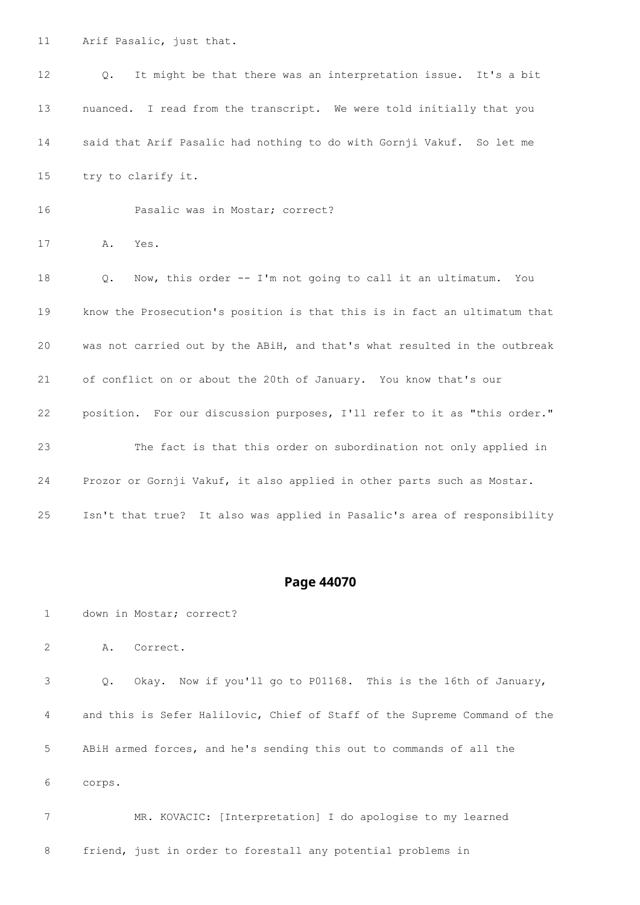Arif Pasalic, just that.

| 12 | It might be that there was an interpretation issue. It's a bit<br>$\circ$ . |
|----|-----------------------------------------------------------------------------|
| 13 | nuanced. I read from the transcript. We were told initially that you        |
| 14 | said that Arif Pasalic had nothing to do with Gornji Vakuf. So let me       |
| 15 | try to clarify it.                                                          |
| 16 | Pasalic was in Mostar; correct?                                             |
| 17 | Α.<br>Yes.                                                                  |
| 18 | Now, this order -- I'm not going to call it an ultimatum.<br>Q.<br>You      |
| 19 | know the Prosecution's position is that this is in fact an ultimatum that   |
| 20 | was not carried out by the ABiH, and that's what resulted in the outbreak   |
| 21 | of conflict on or about the 20th of January. You know that's our            |
| 22 | position. For our discussion purposes, I'll refer to it as "this order."    |
| 23 | The fact is that this order on subordination not only applied in            |
| 24 | Prozor or Gornji Vakuf, it also applied in other parts such as Mostar.      |
| 25 | Isn't that true? It also was applied in Pasalic's area of responsibility    |

#### **Page 44070**

down in Mostar; correct?

A. Correct.

 Q. Okay. Now if you'll go to P01168. This is the 16th of January, and this is Sefer Halilovic, Chief of Staff of the Supreme Command of the ABiH armed forces, and he's sending this out to commands of all the corps.

 MR. KOVACIC: [Interpretation] I do apologise to my learned friend, just in order to forestall any potential problems in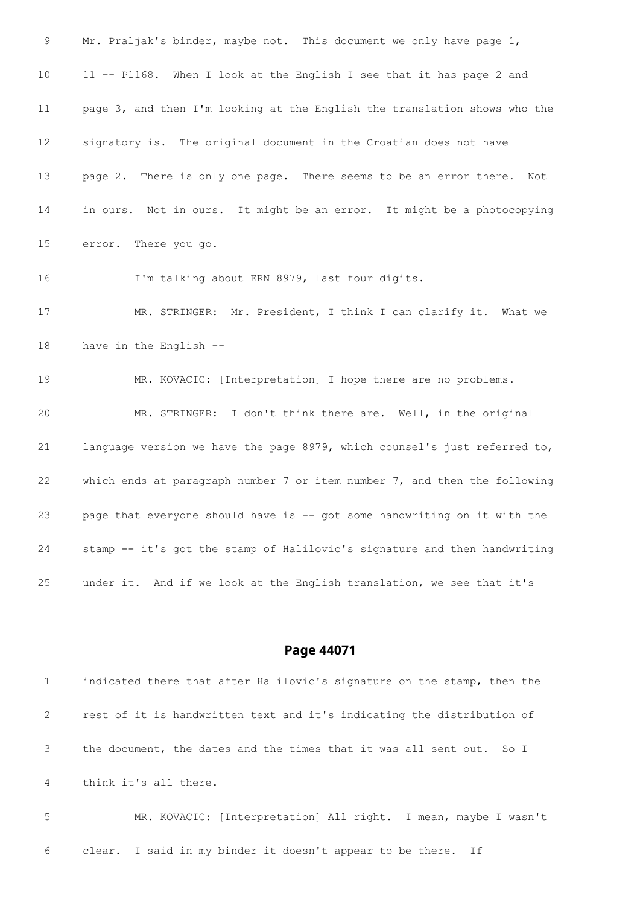9 Mr. Praljak's binder, maybe not. This document we only have page 1, 11 -- P1168. When I look at the English I see that it has page 2 and page 3, and then I'm looking at the English the translation shows who the signatory is. The original document in the Croatian does not have page 2. There is only one page. There seems to be an error there. Not in ours. Not in ours. It might be an error. It might be a photocopying error. There you go. I'm talking about ERN 8979, last four digits. MR. STRINGER: Mr. President, I think I can clarify it. What we have in the English -- MR. KOVACIC: [Interpretation] I hope there are no problems. MR. STRINGER: I don't think there are. Well, in the original language version we have the page 8979, which counsel's just referred to, which ends at paragraph number 7 or item number 7, and then the following page that everyone should have is -- got some handwriting on it with the stamp -- it's got the stamp of Halilovic's signature and then handwriting under it. And if we look at the English translation, we see that it's

#### **Page 44071**

|                | indicated there that after Halilovic's signature on the stamp, then the |
|----------------|-------------------------------------------------------------------------|
| 2              | rest of it is handwritten text and it's indicating the distribution of  |
| 3              | the document, the dates and the times that it was all sent out. So I    |
| $\overline{4}$ | think it's all there.                                                   |
| 5              | MR. KOVACIC: [Interpretation] All right. I mean, maybe I wasn't         |

clear. I said in my binder it doesn't appear to be there. If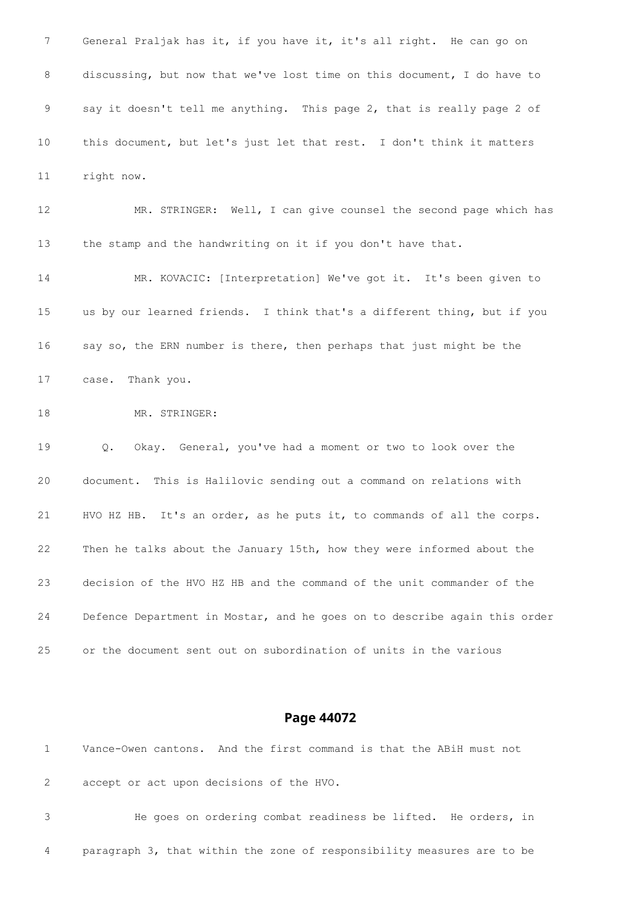General Praljak has it, if you have it, it's all right. He can go on discussing, but now that we've lost time on this document, I do have to say it doesn't tell me anything. This page 2, that is really page 2 of this document, but let's just let that rest. I don't think it matters right now. MR. STRINGER: Well, I can give counsel the second page which has

 MR. KOVACIC: [Interpretation] We've got it. It's been given to us by our learned friends. I think that's a different thing, but if you say so, the ERN number is there, then perhaps that just might be the case. Thank you.

the stamp and the handwriting on it if you don't have that.

18 MR. STRINGER:

 Q. Okay. General, you've had a moment or two to look over the document. This is Halilovic sending out a command on relations with HVO HZ HB. It's an order, as he puts it, to commands of all the corps. Then he talks about the January 15th, how they were informed about the decision of the HVO HZ HB and the command of the unit commander of the Defence Department in Mostar, and he goes on to describe again this order or the document sent out on subordination of units in the various

#### **Page 44072**

 Vance-Owen cantons. And the first command is that the ABiH must not accept or act upon decisions of the HVO.

 He goes on ordering combat readiness be lifted. He orders, in paragraph 3, that within the zone of responsibility measures are to be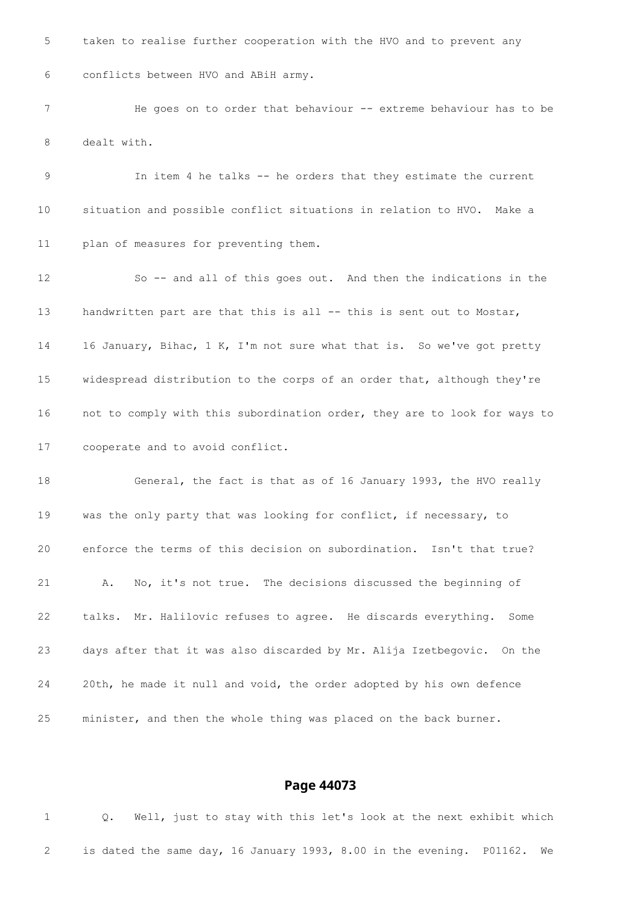taken to realise further cooperation with the HVO and to prevent any conflicts between HVO and ABiH army. 7 He goes on to order that behaviour -- extreme behaviour has to be dealt with. In item 4 he talks -- he orders that they estimate the current situation and possible conflict situations in relation to HVO. Make a plan of measures for preventing them. So -- and all of this goes out. And then the indications in the 13 handwritten part are that this is all -- this is sent out to Mostar, 16 January, Bihac, 1 K, I'm not sure what that is. So we've got pretty widespread distribution to the corps of an order that, although they're not to comply with this subordination order, they are to look for ways to cooperate and to avoid conflict. General, the fact is that as of 16 January 1993, the HVO really was the only party that was looking for conflict, if necessary, to enforce the terms of this decision on subordination. Isn't that true? A. No, it's not true. The decisions discussed the beginning of talks. Mr. Halilovic refuses to agree. He discards everything. Some days after that it was also discarded by Mr. Alija Izetbegovic. On the 20th, he made it null and void, the order adopted by his own defence minister, and then the whole thing was placed on the back burner.

#### **Page 44073**

 Q. Well, just to stay with this let's look at the next exhibit which is dated the same day, 16 January 1993, 8.00 in the evening. P01162. We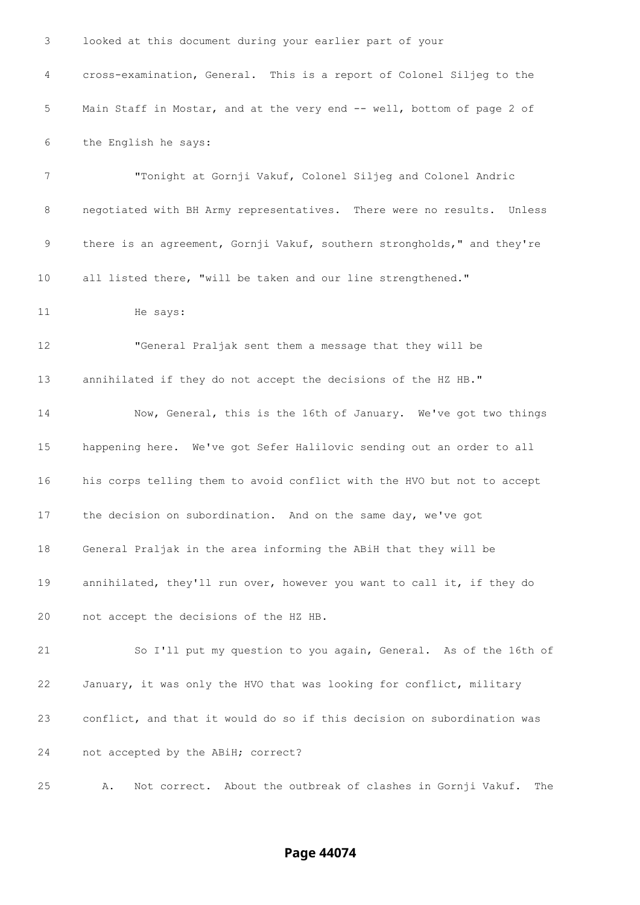| 3              | looked at this document during your earlier part of your                 |
|----------------|--------------------------------------------------------------------------|
| $\overline{4}$ | cross-examination, General. This is a report of Colonel Siljeg to the    |
| 5              | Main Staff in Mostar, and at the very end -- well, bottom of page 2 of   |
| 6              | the English he says:                                                     |
| 7              | "Tonight at Gornji Vakuf, Colonel Siljeg and Colonel Andric              |
| 8              | negotiated with BH Army representatives. There were no results. Unless   |
| 9              | there is an agreement, Gornji Vakuf, southern strongholds," and they're  |
| 10             | all listed there, "will be taken and our line strengthened."             |
| 11             | He says:                                                                 |
| 12             | "General Praljak sent them a message that they will be                   |
| 13             | annihilated if they do not accept the decisions of the HZ HB."           |
| 14             | Now, General, this is the 16th of January. We've got two things          |
| 15             | happening here. We've got Sefer Halilovic sending out an order to all    |
| 16             | his corps telling them to avoid conflict with the HVO but not to accept  |
| 17             | the decision on subordination. And on the same day, we've got            |
| 18             | General Praljak in the area informing the ABiH that they will be         |
| 19             | annihilated, they'll run over, however you want to call it, if they do   |
| 20             | not accept the decisions of the HZ HB.                                   |
| 21             | So I'll put my question to you again, General. As of the 16th of         |
| 22             | January, it was only the HVO that was looking for conflict, military     |
| 23             | conflict, and that it would do so if this decision on subordination was  |
| 24             | not accepted by the ABiH; correct?                                       |
| 25             | Not correct. About the outbreak of clashes in Gornji Vakuf.<br>The<br>Α. |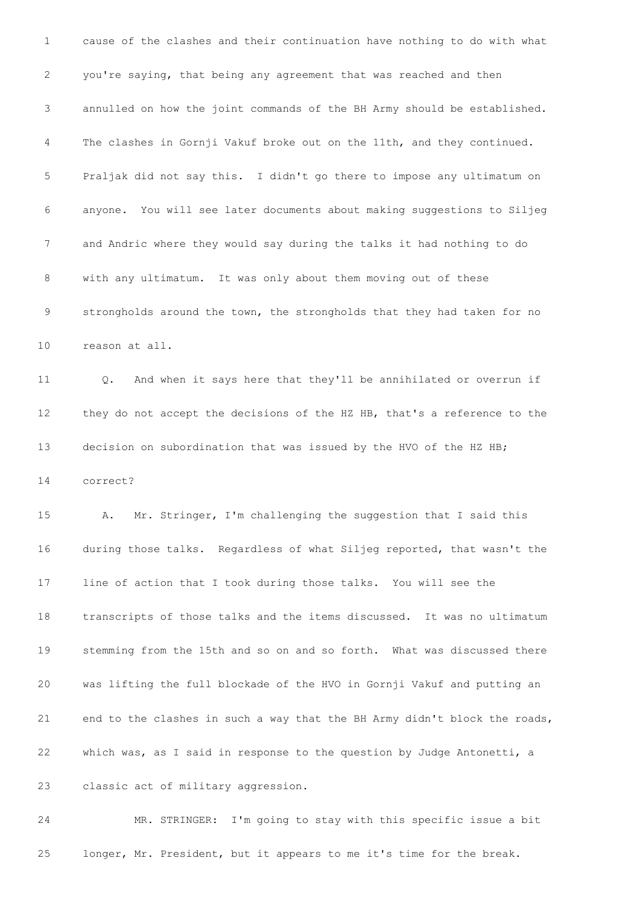cause of the clashes and their continuation have nothing to do with what you're saying, that being any agreement that was reached and then annulled on how the joint commands of the BH Army should be established. The clashes in Gornji Vakuf broke out on the 11th, and they continued. Praljak did not say this. I didn't go there to impose any ultimatum on anyone. You will see later documents about making suggestions to Siljeg and Andric where they would say during the talks it had nothing to do with any ultimatum. It was only about them moving out of these strongholds around the town, the strongholds that they had taken for no reason at all. Q. And when it says here that they'll be annihilated or overrun if they do not accept the decisions of the HZ HB, that's a reference to the 13 decision on subordination that was issued by the HVO of the HZ HB; correct? A. Mr. Stringer, I'm challenging the suggestion that I said this during those talks. Regardless of what Siljeg reported, that wasn't the line of action that I took during those talks. You will see the transcripts of those talks and the items discussed. It was no ultimatum stemming from the 15th and so on and so forth. What was discussed there was lifting the full blockade of the HVO in Gornji Vakuf and putting an end to the clashes in such a way that the BH Army didn't block the roads, which was, as I said in response to the question by Judge Antonetti, a classic act of military aggression.

 MR. STRINGER: I'm going to stay with this specific issue a bit longer, Mr. President, but it appears to me it's time for the break.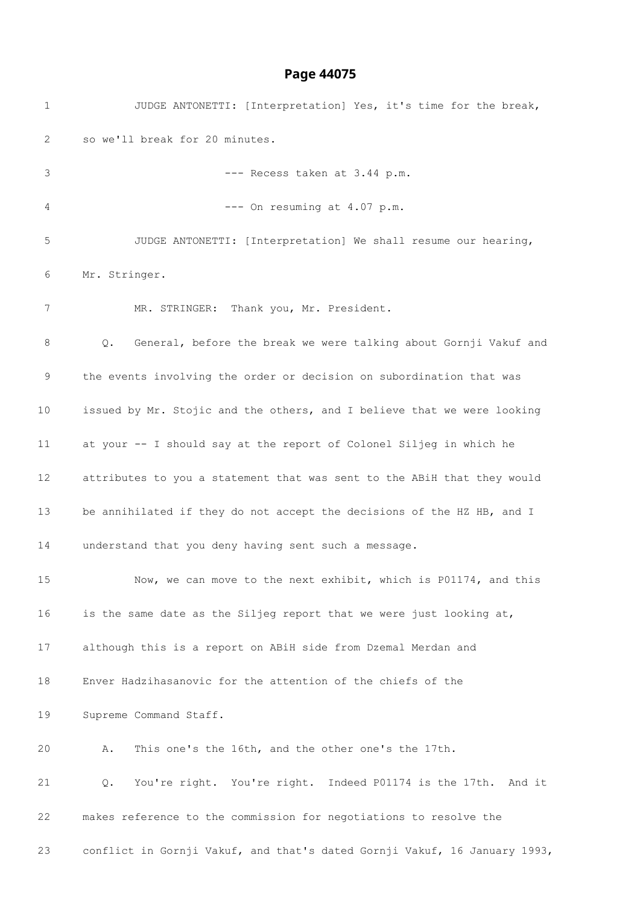| $\mathbf 1$ | JUDGE ANTONETTI: [Interpretation] Yes, it's time for the break,           |
|-------------|---------------------------------------------------------------------------|
| 2           | so we'll break for 20 minutes.                                            |
| 3           | --- Recess taken at 3.44 p.m.                                             |
| 4           | --- On resuming at 4.07 p.m.                                              |
| 5           | JUDGE ANTONETTI: [Interpretation] We shall resume our hearing,            |
| 6           | Mr. Stringer.                                                             |
| 7           | MR. STRINGER: Thank you, Mr. President.                                   |
| 8           | General, before the break we were talking about Gornji Vakuf and<br>Q.    |
| 9           | the events involving the order or decision on subordination that was      |
| 10          | issued by Mr. Stojic and the others, and I believe that we were looking   |
| 11          | at your -- I should say at the report of Colonel Siljeg in which he       |
| 12          | attributes to you a statement that was sent to the ABiH that they would   |
| 13          | be annihilated if they do not accept the decisions of the HZ HB, and I    |
| 14          | understand that you deny having sent such a message.                      |
| 15          | Now, we can move to the next exhibit, which is P01174, and this           |
| 16          | is the same date as the Siljeg report that we were just looking at,       |
| 17          | although this is a report on ABiH side from Dzemal Merdan and             |
| 18          | Enver Hadzihasanovic for the attention of the chiefs of the               |
| 19          | Supreme Command Staff.                                                    |
| 20          | This one's the 16th, and the other one's the 17th.<br>Α.                  |
| 21          | You're right. You're right. Indeed P01174 is the 17th. And it<br>Q.       |
| 22          | makes reference to the commission for negotiations to resolve the         |
| 23          | conflict in Gornji Vakuf, and that's dated Gornji Vakuf, 16 January 1993, |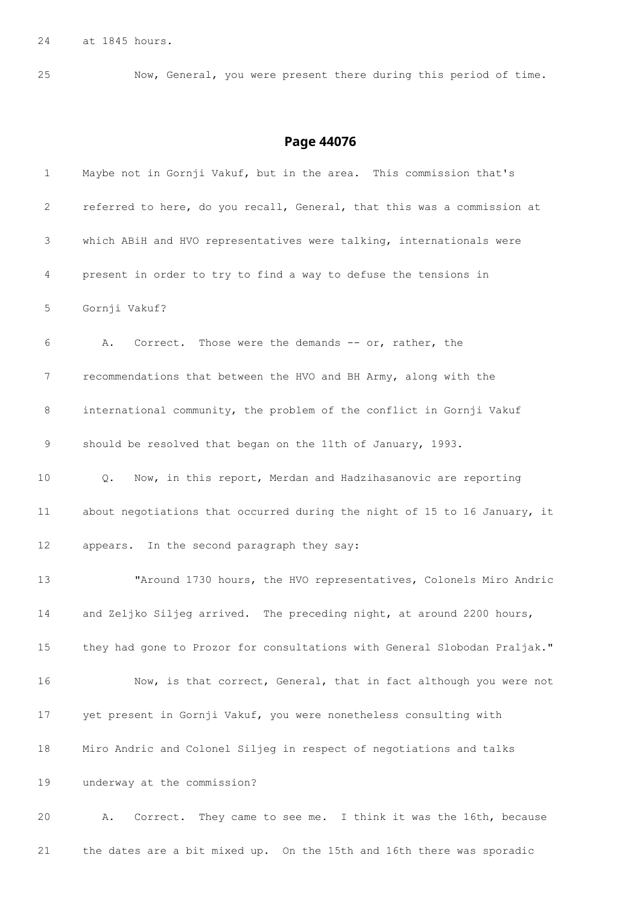at 1845 hours.

Now, General, you were present there during this period of time.

### **Page 44076**

| $\mathbf 1$ | Maybe not in Gornji Vakuf, but in the area. This commission that's        |
|-------------|---------------------------------------------------------------------------|
| 2           | referred to here, do you recall, General, that this was a commission at   |
| 3           | which ABiH and HVO representatives were talking, internationals were      |
| 4           | present in order to try to find a way to defuse the tensions in           |
| 5           | Gornji Vakuf?                                                             |
| 6           | Correct. Those were the demands -- or, rather, the<br>Α.                  |
| 7           | recommendations that between the HVO and BH Army, along with the          |
| 8           | international community, the problem of the conflict in Gornji Vakuf      |
| 9           | should be resolved that began on the 11th of January, 1993.               |
| 10          | Now, in this report, Merdan and Hadzihasanovic are reporting<br>Q.        |
| 11          | about negotiations that occurred during the night of 15 to 16 January, it |
| 12          | appears. In the second paragraph they say:                                |
| 13          | "Around 1730 hours, the HVO representatives, Colonels Miro Andric         |
| 14          | and Zeljko Siljeg arrived. The preceding night, at around 2200 hours,     |
| $15\,$      | they had gone to Prozor for consultations with General Slobodan Praljak." |
| 16          | Now, is that correct, General, that in fact although you were not         |
| 17          | yet present in Gornji Vakuf, you were nonetheless consulting with         |
| 18          | Miro Andric and Colonel Siljeg in respect of negotiations and talks       |
| 19          | underway at the commission?                                               |
| 20          | Correct. They came to see me. I think it was the 16th, because<br>Α.      |
|             |                                                                           |

the dates are a bit mixed up. On the 15th and 16th there was sporadic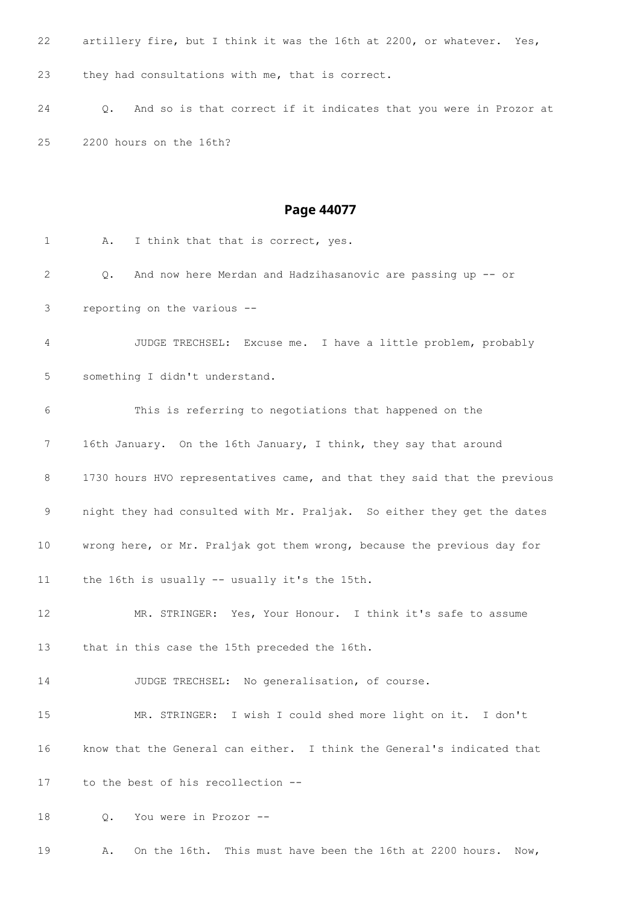artillery fire, but I think it was the 16th at 2200, or whatever. Yes, they had consultations with me, that is correct. Q. And so is that correct if it indicates that you were in Prozor at 2200 hours on the 16th? **Page 44077** 1 A. I think that that is correct, yes. Q. And now here Merdan and Hadzihasanovic are passing up -- or reporting on the various -- JUDGE TRECHSEL: Excuse me. I have a little problem, probably something I didn't understand. This is referring to negotiations that happened on the 16th January. On the 16th January, I think, they say that around 8 1730 hours HVO representatives came, and that they said that the previous night they had consulted with Mr. Praljak. So either they get the dates wrong here, or Mr. Praljak got them wrong, because the previous day for the 16th is usually -- usually it's the 15th. MR. STRINGER: Yes, Your Honour. I think it's safe to assume that in this case the 15th preceded the 16th. JUDGE TRECHSEL: No generalisation, of course. MR. STRINGER: I wish I could shed more light on it. I don't know that the General can either. I think the General's indicated that

to the best of his recollection --

Q. You were in Prozor --

A. On the 16th. This must have been the 16th at 2200 hours. Now,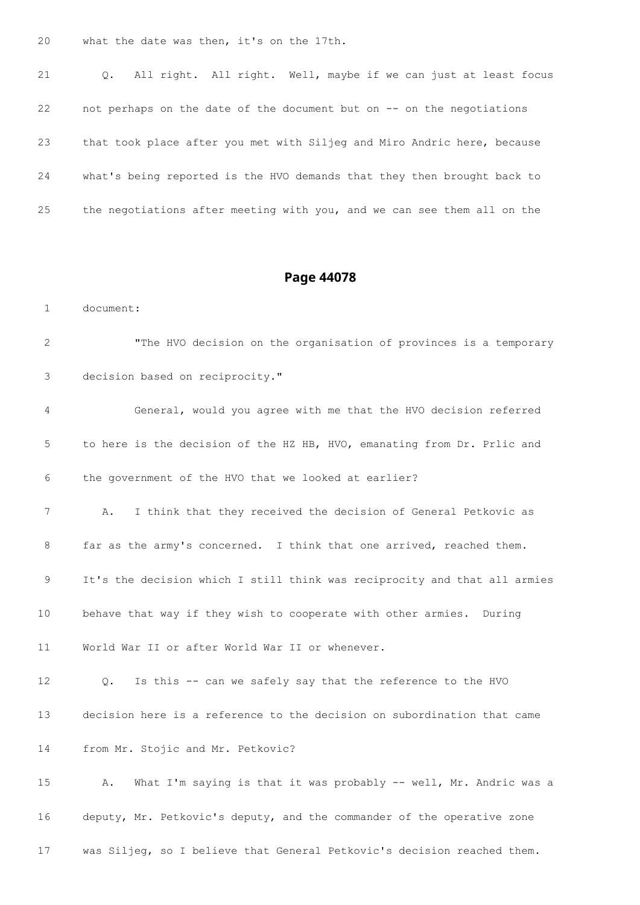what the date was then, it's on the 17th.

 Q. All right. All right. Well, maybe if we can just at least focus not perhaps on the date of the document but on -- on the negotiations that took place after you met with Siljeg and Miro Andric here, because what's being reported is the HVO demands that they then brought back to the negotiations after meeting with you, and we can see them all on the

#### **Page 44078**

document:

 "The HVO decision on the organisation of provinces is a temporary decision based on reciprocity."

 General, would you agree with me that the HVO decision referred to here is the decision of the HZ HB, HVO, emanating from Dr. Prlic and the government of the HVO that we looked at earlier?

 A. I think that they received the decision of General Petkovic as far as the army's concerned. I think that one arrived, reached them. It's the decision which I still think was reciprocity and that all armies behave that way if they wish to cooperate with other armies. During

World War II or after World War II or whenever.

 Q. Is this -- can we safely say that the reference to the HVO decision here is a reference to the decision on subordination that came from Mr. Stojic and Mr. Petkovic?

 A. What I'm saying is that it was probably -- well, Mr. Andric was a deputy, Mr. Petkovic's deputy, and the commander of the operative zone was Siljeg, so I believe that General Petkovic's decision reached them.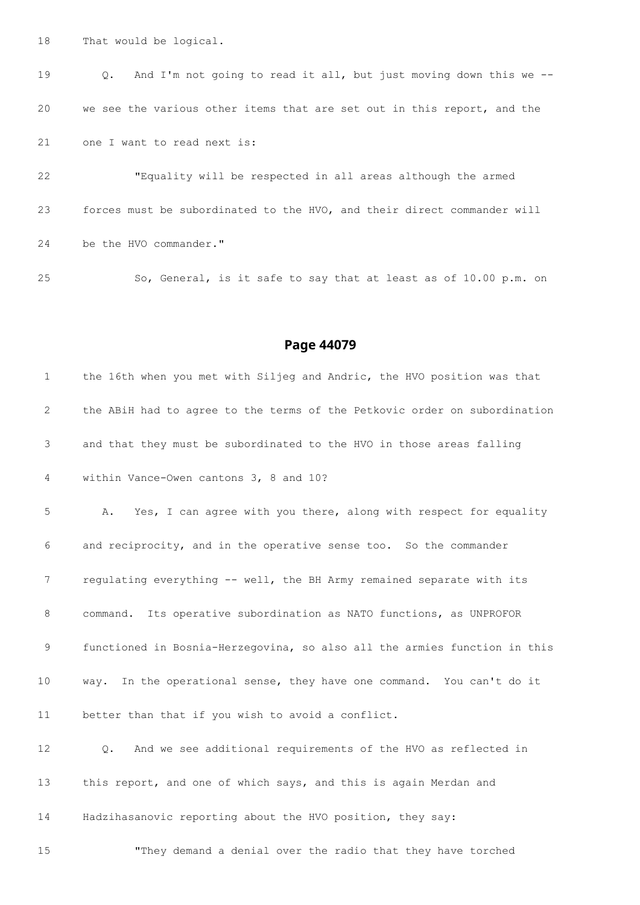That would be logical.

 Q. And I'm not going to read it all, but just moving down this we -- we see the various other items that are set out in this report, and the one I want to read next is:

 "Equality will be respected in all areas although the armed forces must be subordinated to the HVO, and their direct commander will 24 be the HVO commander."

So, General, is it safe to say that at least as of 10.00 p.m. on

#### **Page 44079**

 the 16th when you met with Siljeg and Andric, the HVO position was that the ABiH had to agree to the terms of the Petkovic order on subordination and that they must be subordinated to the HVO in those areas falling within Vance-Owen cantons 3, 8 and 10? A. Yes, I can agree with you there, along with respect for equality and reciprocity, and in the operative sense too. So the commander 7 regulating everything -- well, the BH Army remained separate with its command. Its operative subordination as NATO functions, as UNPROFOR functioned in Bosnia-Herzegovina, so also all the armies function in this way. In the operational sense, they have one command. You can't do it better than that if you wish to avoid a conflict. Q. And we see additional requirements of the HVO as reflected in this report, and one of which says, and this is again Merdan and Hadzihasanovic reporting about the HVO position, they say:

"They demand a denial over the radio that they have torched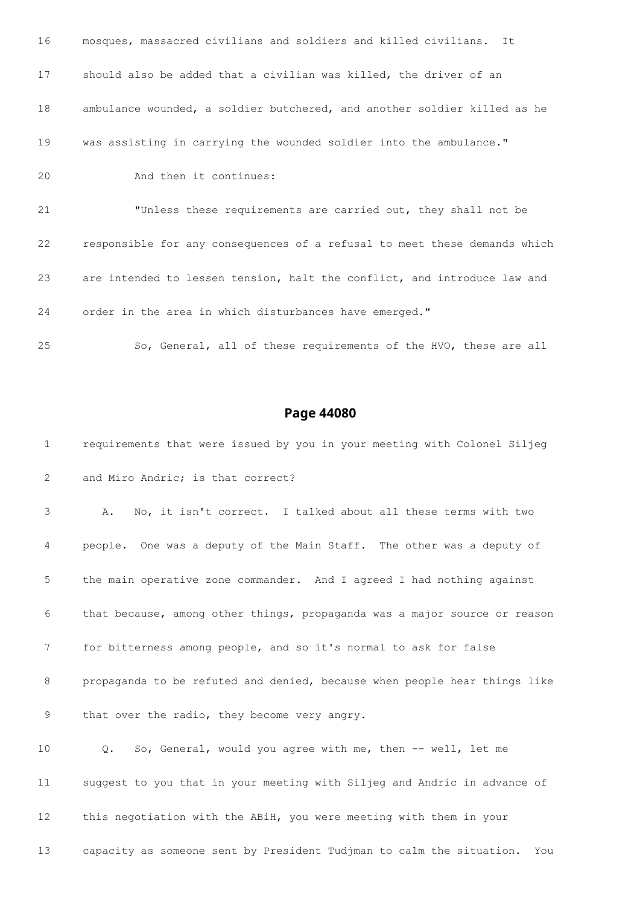| 16 | mosques, massacred civilians and soldiers and killed civilians. It        |
|----|---------------------------------------------------------------------------|
| 17 | should also be added that a civilian was killed, the driver of an         |
| 18 | ambulance wounded, a soldier butchered, and another soldier killed as he  |
| 19 | was assisting in carrying the wounded soldier into the ambulance."        |
| 20 | And then it continues:                                                    |
| 21 | "Unless these requirements are carried out, they shall not be             |
| 22 | responsible for any consequences of a refusal to meet these demands which |
| 23 | are intended to lessen tension, halt the conflict, and introduce law and  |
| 24 | order in the area in which disturbances have emerged."                    |
| 25 | So, General, all of these requirements of the HVO, these are all          |

# requirements that were issued by you in your meeting with Colonel Siljeg and Miro Andric; is that correct? A. No, it isn't correct. I talked about all these terms with two people. One was a deputy of the Main Staff. The other was a deputy of the main operative zone commander. And I agreed I had nothing against that because, among other things, propaganda was a major source or reason for bitterness among people, and so it's normal to ask for false propaganda to be refuted and denied, because when people hear things like that over the radio, they become very angry. Q. So, General, would you agree with me, then -- well, let me suggest to you that in your meeting with Siljeg and Andric in advance of this negotiation with the ABiH, you were meeting with them in your capacity as someone sent by President Tudjman to calm the situation. You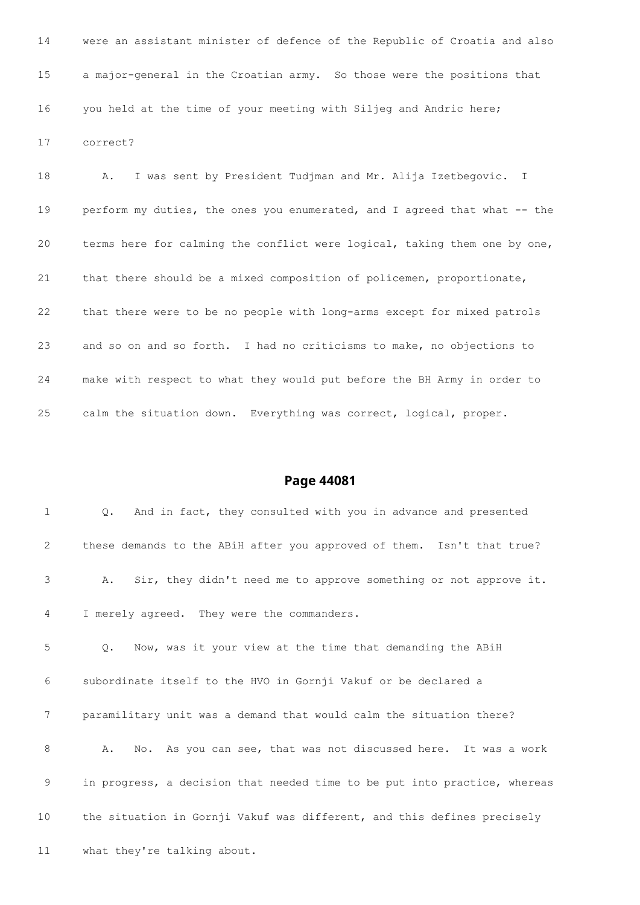were an assistant minister of defence of the Republic of Croatia and also a major-general in the Croatian army. So those were the positions that you held at the time of your meeting with Siljeg and Andric here; correct?

 A. I was sent by President Tudjman and Mr. Alija Izetbegovic. I perform my duties, the ones you enumerated, and I agreed that what -- the terms here for calming the conflict were logical, taking them one by one, that there should be a mixed composition of policemen, proportionate, that there were to be no people with long-arms except for mixed patrols and so on and so forth. I had no criticisms to make, no objections to make with respect to what they would put before the BH Army in order to calm the situation down. Everything was correct, logical, proper.

#### **Page 44081**

 Q. And in fact, they consulted with you in advance and presented these demands to the ABiH after you approved of them. Isn't that true? A. Sir, they didn't need me to approve something or not approve it. I merely agreed. They were the commanders. Q. Now, was it your view at the time that demanding the ABiH subordinate itself to the HVO in Gornji Vakuf or be declared a paramilitary unit was a demand that would calm the situation there?

 A. No. As you can see, that was not discussed here. It was a work in progress, a decision that needed time to be put into practice, whereas the situation in Gornji Vakuf was different, and this defines precisely

what they're talking about.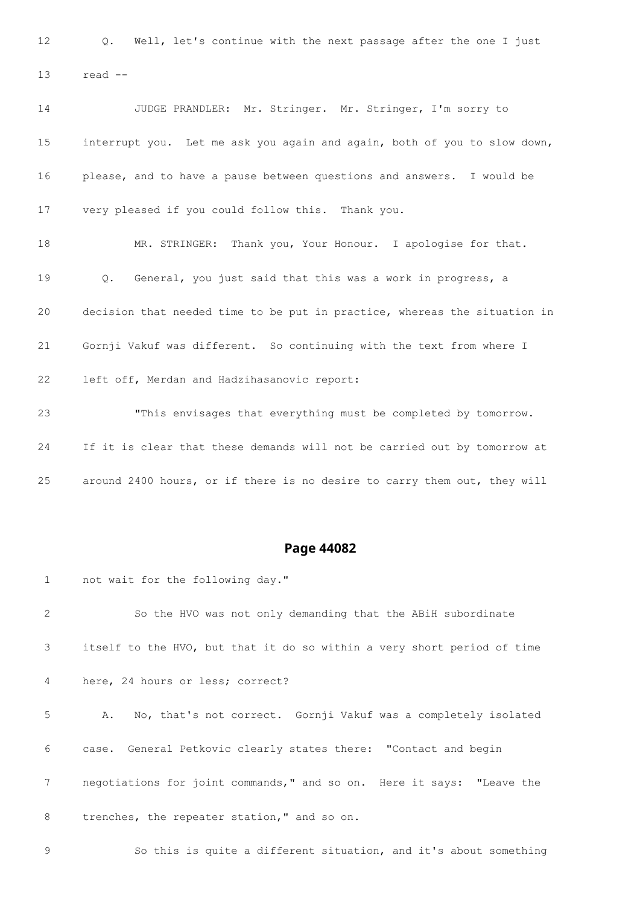Q. Well, let's continue with the next passage after the one I just read --

 JUDGE PRANDLER: Mr. Stringer. Mr. Stringer, I'm sorry to interrupt you. Let me ask you again and again, both of you to slow down, please, and to have a pause between questions and answers. I would be very pleased if you could follow this. Thank you. MR. STRINGER: Thank you, Your Honour. I apologise for that. Q. General, you just said that this was a work in progress, a decision that needed time to be put in practice, whereas the situation in Gornji Vakuf was different. So continuing with the text from where I left off, Merdan and Hadzihasanovic report: "This envisages that everything must be completed by tomorrow. If it is clear that these demands will not be carried out by tomorrow at around 2400 hours, or if there is no desire to carry them out, they will

#### **Page 44082**

not wait for the following day."

 So the HVO was not only demanding that the ABiH subordinate itself to the HVO, but that it do so within a very short period of time here, 24 hours or less; correct? A. No, that's not correct. Gornji Vakuf was a completely isolated case. General Petkovic clearly states there: "Contact and begin negotiations for joint commands," and so on. Here it says: "Leave the 8 trenches, the repeater station," and so on. So this is quite a different situation, and it's about something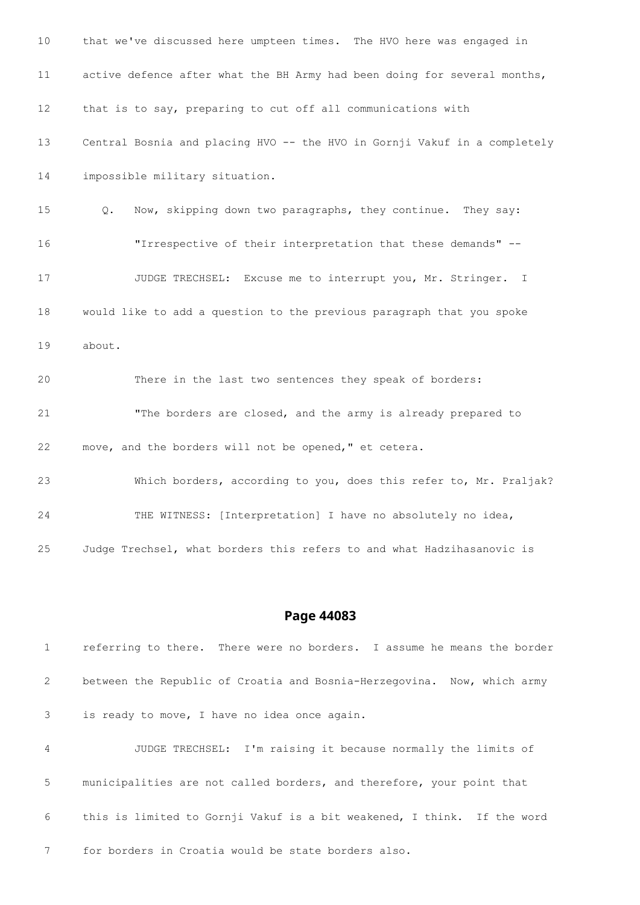that we've discussed here umpteen times. The HVO here was engaged in active defence after what the BH Army had been doing for several months, that is to say, preparing to cut off all communications with Central Bosnia and placing HVO -- the HVO in Gornji Vakuf in a completely impossible military situation. Q. Now, skipping down two paragraphs, they continue. They say: "Irrespective of their interpretation that these demands" -- 17 JUDGE TRECHSEL: Excuse me to interrupt you, Mr. Stringer. I would like to add a question to the previous paragraph that you spoke about. There in the last two sentences they speak of borders: "The borders are closed, and the army is already prepared to move, and the borders will not be opened," et cetera. Which borders, according to you, does this refer to, Mr. Praljak? THE WITNESS: [Interpretation] I have no absolutely no idea, Judge Trechsel, what borders this refers to and what Hadzihasanovic is

#### **Page 44083**

 referring to there. There were no borders. I assume he means the border between the Republic of Croatia and Bosnia-Herzegovina. Now, which army is ready to move, I have no idea once again. JUDGE TRECHSEL: I'm raising it because normally the limits of municipalities are not called borders, and therefore, your point that this is limited to Gornji Vakuf is a bit weakened, I think. If the word for borders in Croatia would be state borders also.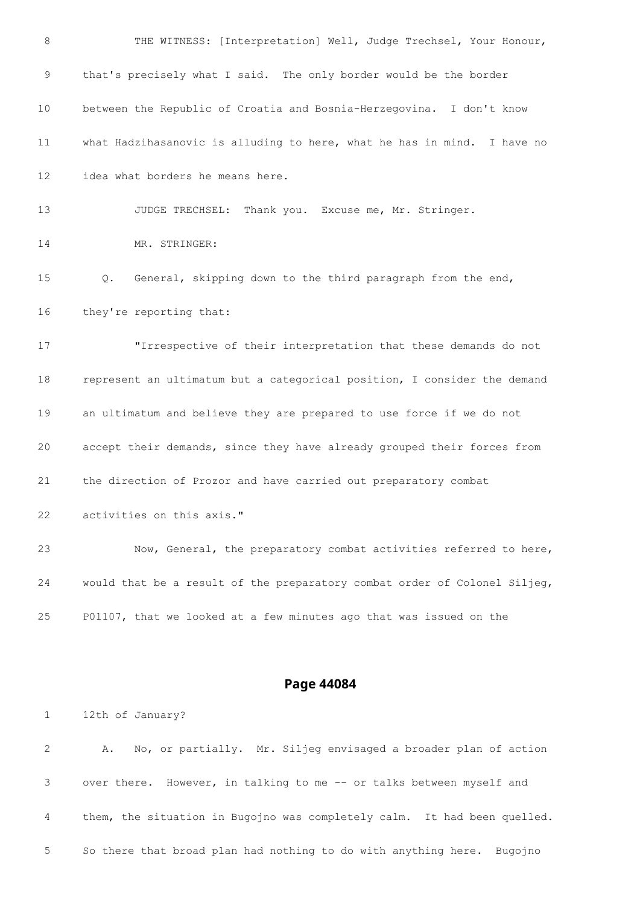| 8             | THE WITNESS: [Interpretation] Well, Judge Trechsel, Your Honour,          |
|---------------|---------------------------------------------------------------------------|
| $\mathcal{G}$ | that's precisely what I said. The only border would be the border         |
| 10            | between the Republic of Croatia and Bosnia-Herzegovina. I don't know      |
| 11            | what Hadzihasanovic is alluding to here, what he has in mind. I have no   |
| 12            | idea what borders he means here.                                          |
| 13            | JUDGE TRECHSEL: Thank you. Excuse me, Mr. Stringer.                       |
| 14            | MR. STRINGER:                                                             |
| 15            | General, skipping down to the third paragraph from the end,<br>Q.         |
| 16            | they're reporting that:                                                   |
| 17            | "Irrespective of their interpretation that these demands do not           |
| 18            | represent an ultimatum but a categorical position, I consider the demand  |
| 19            | an ultimatum and believe they are prepared to use force if we do not      |
| 20            | accept their demands, since they have already grouped their forces from   |
| 21            | the direction of Prozor and have carried out preparatory combat           |
| 22            | activities on this axis."                                                 |
| 23            | Now, General, the preparatory combat activities referred to here,         |
| 24            | would that be a result of the preparatory combat order of Colonel Siljeg, |
| 25            | P01107, that we looked at a few minutes ago that was issued on the        |
|               |                                                                           |

12th of January?

 A. No, or partially. Mr. Siljeg envisaged a broader plan of action over there. However, in talking to me -- or talks between myself and them, the situation in Bugojno was completely calm. It had been quelled. So there that broad plan had nothing to do with anything here. Bugojno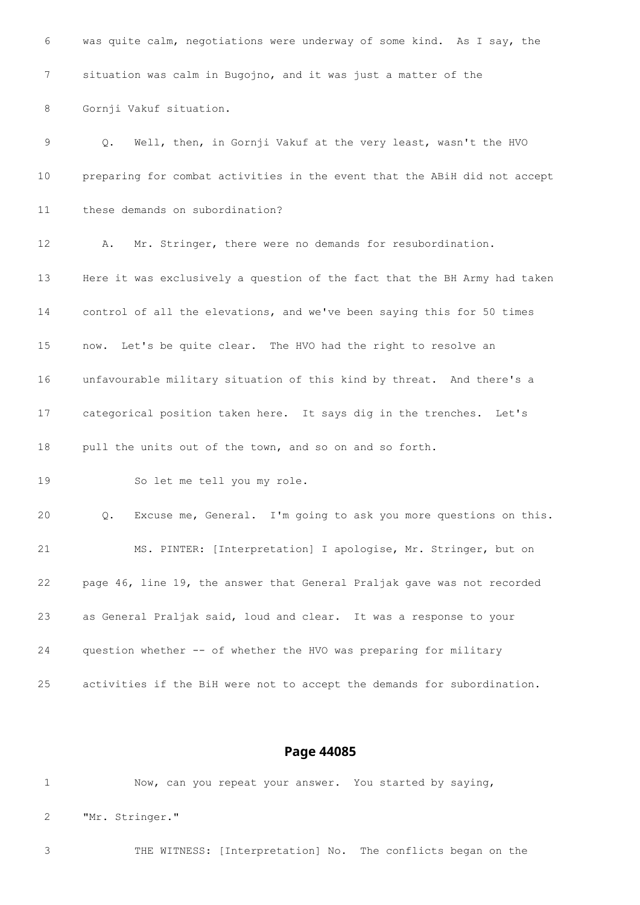| 6           | was quite calm, negotiations were underway of some kind. As I say, the    |
|-------------|---------------------------------------------------------------------------|
| 7           | situation was calm in Bugojno, and it was just a matter of the            |
| 8           | Gornji Vakuf situation.                                                   |
| $\mathsf 9$ | Well, then, in Gornji Vakuf at the very least, wasn't the HVO<br>Q.       |
| 10          | preparing for combat activities in the event that the ABiH did not accept |
| 11          | these demands on subordination?                                           |
| 12          | Mr. Stringer, there were no demands for resubordination.<br>Α.            |
| 13          | Here it was exclusively a question of the fact that the BH Army had taken |
| 14          | control of all the elevations, and we've been saying this for 50 times    |
| 15          | now. Let's be quite clear. The HVO had the right to resolve an            |
| 16          | unfavourable military situation of this kind by threat. And there's a     |
| 17          | categorical position taken here. It says dig in the trenches. Let's       |
| 18          | pull the units out of the town, and so on and so forth.                   |
| 19          | So let me tell you my role.                                               |
| 20          | Excuse me, General. I'm going to ask you more questions on this.<br>Q.    |
| 21          | MS. PINTER: [Interpretation] I apologise, Mr. Stringer, but on            |
| 22          | page 46, line 19, the answer that General Praljak gave was not recorded   |
| 23          | as General Praljak said, loud and clear. It was a response to your        |
| 24          | question whether -- of whether the HVO was preparing for military         |
| 25          | activities if the BiH were not to accept the demands for subordination.   |

 Now, can you repeat your answer. You started by saying, "Mr. Stringer."

THE WITNESS: [Interpretation] No. The conflicts began on the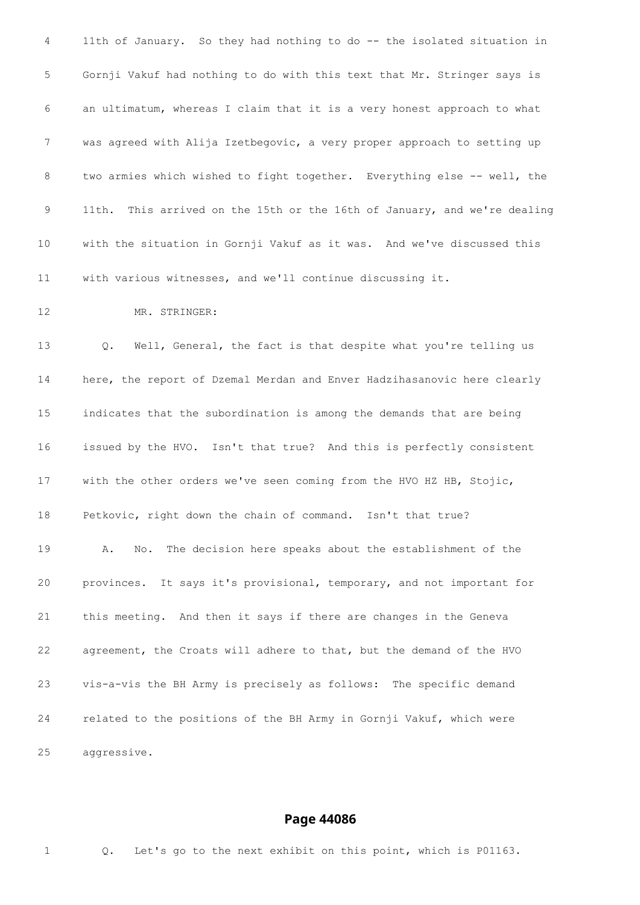11th of January. So they had nothing to do -- the isolated situation in Gornji Vakuf had nothing to do with this text that Mr. Stringer says is an ultimatum, whereas I claim that it is a very honest approach to what was agreed with Alija Izetbegovic, a very proper approach to setting up 8 two armies which wished to fight together. Everything else -- well, the 11th. This arrived on the 15th or the 16th of January, and we're dealing with the situation in Gornji Vakuf as it was. And we've discussed this with various witnesses, and we'll continue discussing it.

MR. STRINGER:

 Q. Well, General, the fact is that despite what you're telling us here, the report of Dzemal Merdan and Enver Hadzihasanovic here clearly indicates that the subordination is among the demands that are being issued by the HVO. Isn't that true? And this is perfectly consistent with the other orders we've seen coming from the HVO HZ HB, Stojic, Petkovic, right down the chain of command. Isn't that true? A. No. The decision here speaks about the establishment of the provinces. It says it's provisional, temporary, and not important for this meeting. And then it says if there are changes in the Geneva agreement, the Croats will adhere to that, but the demand of the HVO vis-a-vis the BH Army is precisely as follows: The specific demand related to the positions of the BH Army in Gornji Vakuf, which were aggressive.

#### **Page 44086**

Q. Let's go to the next exhibit on this point, which is P01163.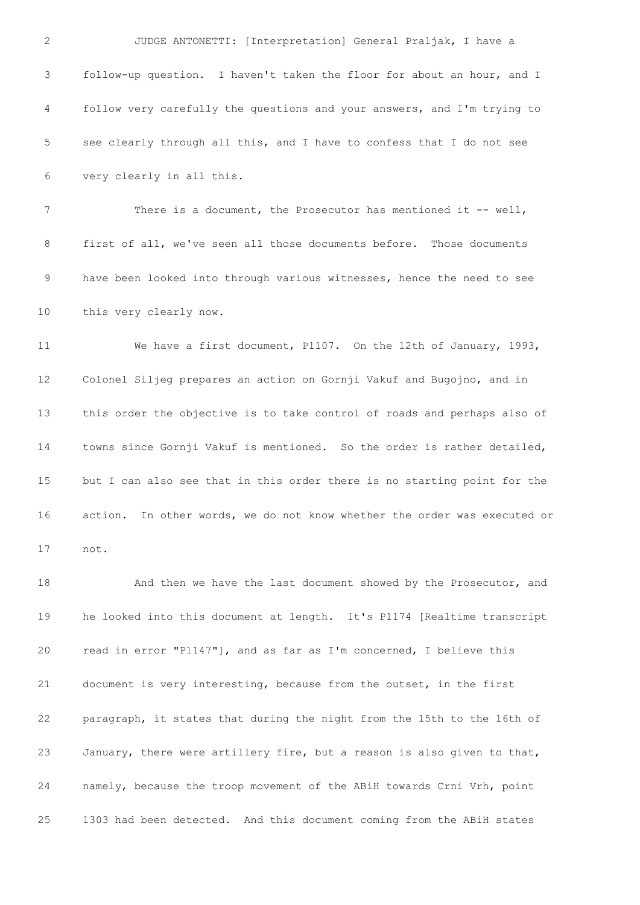| 2  | JUDGE ANTONETTI: [Interpretation] General Praljak, I have a              |
|----|--------------------------------------------------------------------------|
| 3  | follow-up question. I haven't taken the floor for about an hour, and I   |
| 4  | follow very carefully the questions and your answers, and I'm trying to  |
| 5  | see clearly through all this, and I have to confess that I do not see    |
| 6  | very clearly in all this.                                                |
| 7  | There is a document, the Prosecutor has mentioned it $-$ - well,         |
| 8  | first of all, we've seen all those documents before. Those documents     |
| 9  | have been looked into through various witnesses, hence the need to see   |
| 10 | this very clearly now.                                                   |
| 11 | We have a first document, P1107. On the 12th of January, 1993,           |
| 12 | Colonel Siljeg prepares an action on Gornji Vakuf and Bugojno, and in    |
| 13 | this order the objective is to take control of roads and perhaps also of |
| 14 | towns since Gornji Vakuf is mentioned. So the order is rather detailed,  |
| 15 | but I can also see that in this order there is no starting point for the |
| 16 | action. In other words, we do not know whether the order was executed or |
| 17 | not.                                                                     |
| 18 | And then we have the last document showed by the Prosecutor, and         |
| 19 | he looked into this document at length. It's P1174 [Realtime transcript  |
| 20 | read in error "P1147"], and as far as I'm concerned, I believe this      |
| 21 | document is very interesting, because from the outset, in the first      |
| 22 | paragraph, it states that during the night from the 15th to the 16th of  |
| 23 | January, there were artillery fire, but a reason is also given to that,  |
| 24 | namely, because the troop movement of the ABiH towards Crni Vrh, point   |
| 25 | 1303 had been detected. And this document coming from the ABiH states    |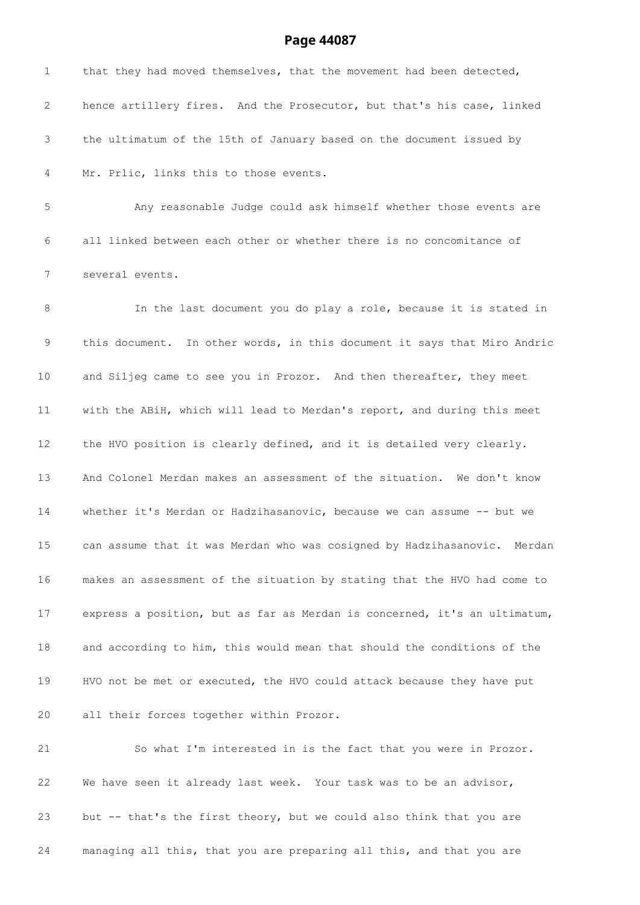| $\mathbf 1$     | that they had moved themselves, that the movement had been detected,      |
|-----------------|---------------------------------------------------------------------------|
| 2               | hence artillery fires. And the Prosecutor, but that's his case, linked    |
| 3               | the ultimatum of the 15th of January based on the document issued by      |
| 4               | Mr. Prlic, links this to those events.                                    |
| 5               | Any reasonable Judge could ask himself whether those events are           |
| 6               | all linked between each other or whether there is no concomitance of      |
| 7               | several events.                                                           |
| 8               | In the last document you do play a role, because it is stated in          |
| 9               | this document. In other words, in this document it says that Miro Andric  |
| 10              | and Siljeg came to see you in Prozor. And then thereafter, they meet      |
| 11              | with the ABiH, which will lead to Merdan's report, and during this meet   |
| 12 <sup>°</sup> | the HVO position is clearly defined, and it is detailed very clearly.     |
| 13              | And Colonel Merdan makes an assessment of the situation. We don't know    |
| 14              | whether it's Merdan or Hadzihasanovic, because we can assume -- but we    |
| 15              | can assume that it was Merdan who was cosigned by Hadzihasanovic. Merdan  |
| 16              | makes an assessment of the situation by stating that the HVO had come to  |
| 17              | express a position, but as far as Merdan is concerned, it's an ultimatum, |
| 18              | and according to him, this would mean that should the conditions of the   |
| 19              | HVO not be met or executed, the HVO could attack because they have put    |
| 20              | all their forces together within Prozor.                                  |
| 21              | So what I'm interested in is the fact that you were in Prozor.            |
| 22              | We have seen it already last week. Your task was to be an advisor,        |
| 23              | but -- that's the first theory, but we could also think that you are      |
| 24              | managing all this, that you are preparing all this, and that you are      |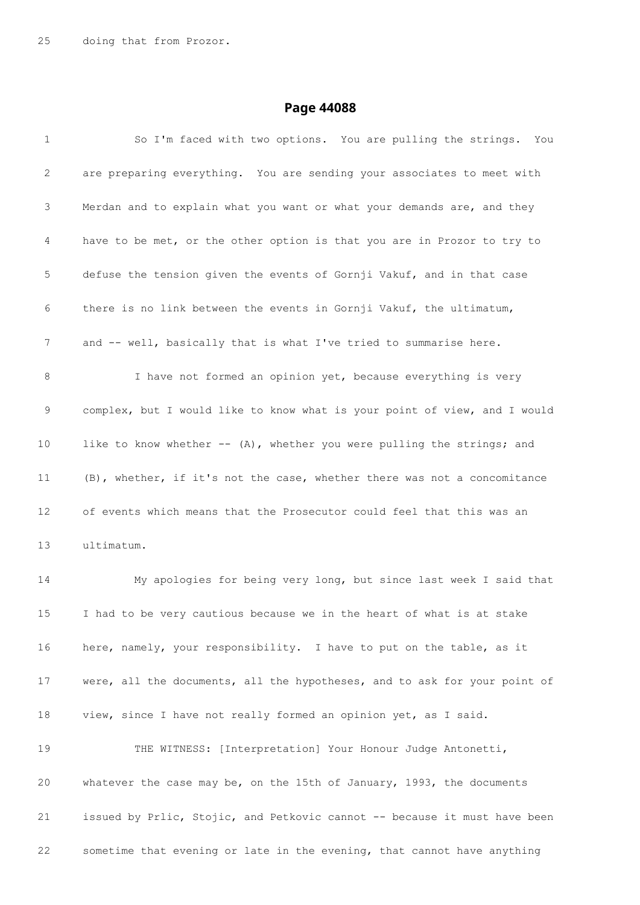| $\mathbf 1$     | So I'm faced with two options. You are pulling the strings.<br>You        |
|-----------------|---------------------------------------------------------------------------|
| 2               | are preparing everything. You are sending your associates to meet with    |
| 3               | Merdan and to explain what you want or what your demands are, and they    |
| 4               | have to be met, or the other option is that you are in Prozor to try to   |
| 5               | defuse the tension given the events of Gornji Vakuf, and in that case     |
| 6               | there is no link between the events in Gornji Vakuf, the ultimatum,       |
| 7               | and -- well, basically that is what I've tried to summarise here.         |
| 8               | I have not formed an opinion yet, because everything is very              |
| 9               | complex, but I would like to know what is your point of view, and I would |
| 10              | like to know whether -- (A), whether you were pulling the strings; and    |
| 11              | (B), whether, if it's not the case, whether there was not a concomitance  |
| 12              | of events which means that the Prosecutor could feel that this was an     |
| 13              | ultimatum.                                                                |
| 14              | My apologies for being very long, but since last week I said that         |
| 15 <sub>1</sub> | I had to be very cautious because we in the heart of what is at stake     |
| 16              | here, namely, your responsibility. I have to put on the table, as it      |
| 17              | were, all the documents, all the hypotheses, and to ask for your point of |
| 18              | view, since I have not really formed an opinion yet, as I said.           |
| 19              | THE WITNESS: [Interpretation] Your Honour Judge Antonetti,                |
| 20              | whatever the case may be, on the 15th of January, 1993, the documents     |
| 21              | issued by Prlic, Stojic, and Petkovic cannot -- because it must have been |
| 22              | sometime that evening or late in the evening, that cannot have anything   |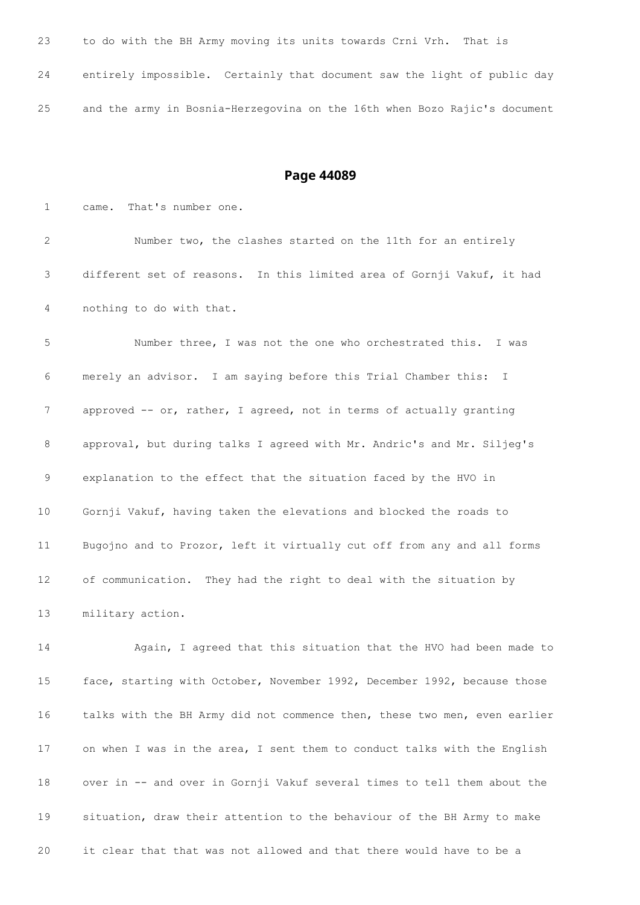| 23 | to do with the BH Army moving its units towards Crni Vrh. That is         |
|----|---------------------------------------------------------------------------|
| 24 | entirely impossible. Certainly that document saw the light of public day  |
| 25 | and the army in Bosnia-Herzegovina on the 16th when Bozo Rajic's document |

 came. That's number one. Number two, the clashes started on the 11th for an entirely different set of reasons. In this limited area of Gornji Vakuf, it had nothing to do with that. Number three, I was not the one who orchestrated this. I was merely an advisor. I am saying before this Trial Chamber this: I approved -- or, rather, I agreed, not in terms of actually granting approval, but during talks I agreed with Mr. Andric's and Mr. Siljeg's explanation to the effect that the situation faced by the HVO in Gornji Vakuf, having taken the elevations and blocked the roads to Bugojno and to Prozor, left it virtually cut off from any and all forms of communication. They had the right to deal with the situation by military action.

 Again, I agreed that this situation that the HVO had been made to face, starting with October, November 1992, December 1992, because those talks with the BH Army did not commence then, these two men, even earlier on when I was in the area, I sent them to conduct talks with the English over in -- and over in Gornji Vakuf several times to tell them about the situation, draw their attention to the behaviour of the BH Army to make it clear that that was not allowed and that there would have to be a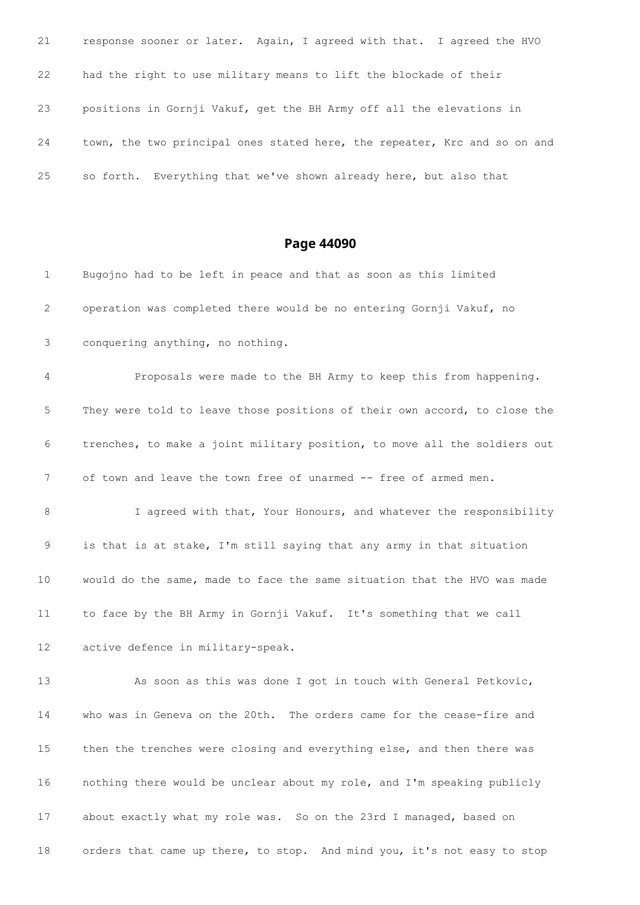| 21 | response sooner or later. Again, I agreed with that. I agreed the HVO     |
|----|---------------------------------------------------------------------------|
| 22 | had the right to use military means to lift the blockade of their         |
| 23 | positions in Gornji Vakuf, get the BH Army off all the elevations in      |
| 24 | town, the two principal ones stated here, the repeater, Krc and so on and |
| 25 | so forth. Everything that we've shown already here, but also that         |

| 1               | Bugojno had to be left in peace and that as soon as this limited          |
|-----------------|---------------------------------------------------------------------------|
| 2               | operation was completed there would be no entering Gornji Vakuf, no       |
| 3               | conquering anything, no nothing.                                          |
| 4               | Proposals were made to the BH Army to keep this from happening.           |
| 5               | They were told to leave those positions of their own accord, to close the |
| 6               | trenches, to make a joint military position, to move all the soldiers out |
| 7               | of town and leave the town free of unarmed -- free of armed men.          |
| 8               | I agreed with that, Your Honours, and whatever the responsibility         |
| 9               | is that is at stake, I'm still saying that any army in that situation     |
| 10 <sub>o</sub> | would do the same, made to face the same situation that the HVO was made  |
| 11              | to face by the BH Army in Gornji Vakuf. It's something that we call       |
| 12              | active defence in military-speak.                                         |
| 13              | As soon as this was done I got in touch with General Petkovic,            |
| 14              | who was in Geneva on the 20th. The orders came for the cease-fire and     |
| 15 <sub>1</sub> | then the trenches were closing and everything else, and then there was    |
| 16              | nothing there would be unclear about my role, and I'm speaking publicly   |
| 17              | about exactly what my role was. So on the 23rd I managed, based on        |
| 18              | orders that came up there, to stop. And mind you, it's not easy to stop   |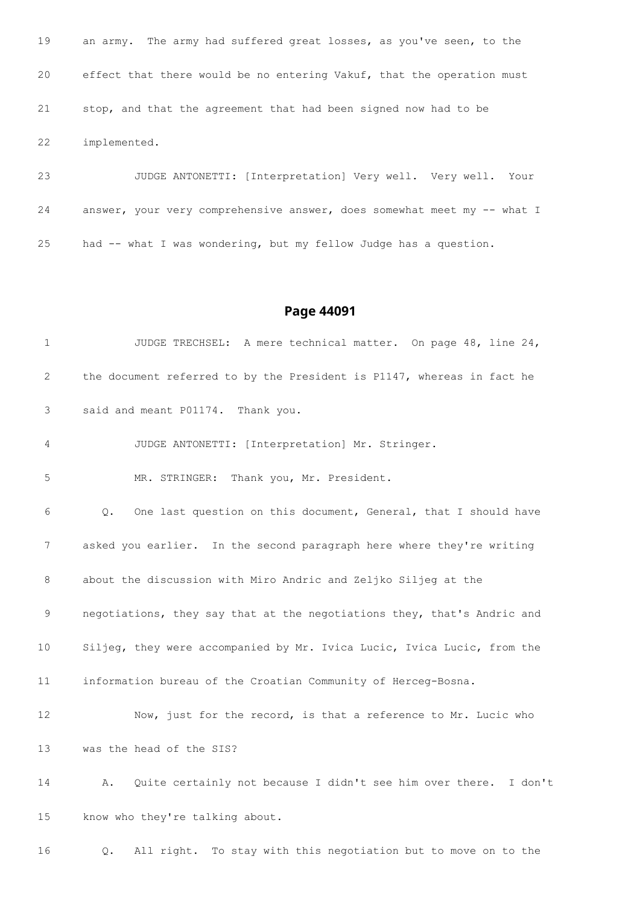an army. The army had suffered great losses, as you've seen, to the effect that there would be no entering Vakuf, that the operation must stop, and that the agreement that had been signed now had to be implemented.

 JUDGE ANTONETTI: [Interpretation] Very well. Very well. Your answer, your very comprehensive answer, does somewhat meet my -- what I had -- what I was wondering, but my fellow Judge has a question.

#### **Page 44091**

 JUDGE TRECHSEL: A mere technical matter. On page 48, line 24, the document referred to by the President is P1147, whereas in fact he said and meant P01174. Thank you. JUDGE ANTONETTI: [Interpretation] Mr. Stringer. MR. STRINGER: Thank you, Mr. President. Q. One last question on this document, General, that I should have asked you earlier. In the second paragraph here where they're writing about the discussion with Miro Andric and Zeljko Siljeg at the negotiations, they say that at the negotiations they, that's Andric and Siljeg, they were accompanied by Mr. Ivica Lucic, Ivica Lucic, from the information bureau of the Croatian Community of Herceg-Bosna. Now, just for the record, is that a reference to Mr. Lucic who was the head of the SIS? A. Quite certainly not because I didn't see him over there. I don't know who they're talking about.

Q. All right. To stay with this negotiation but to move on to the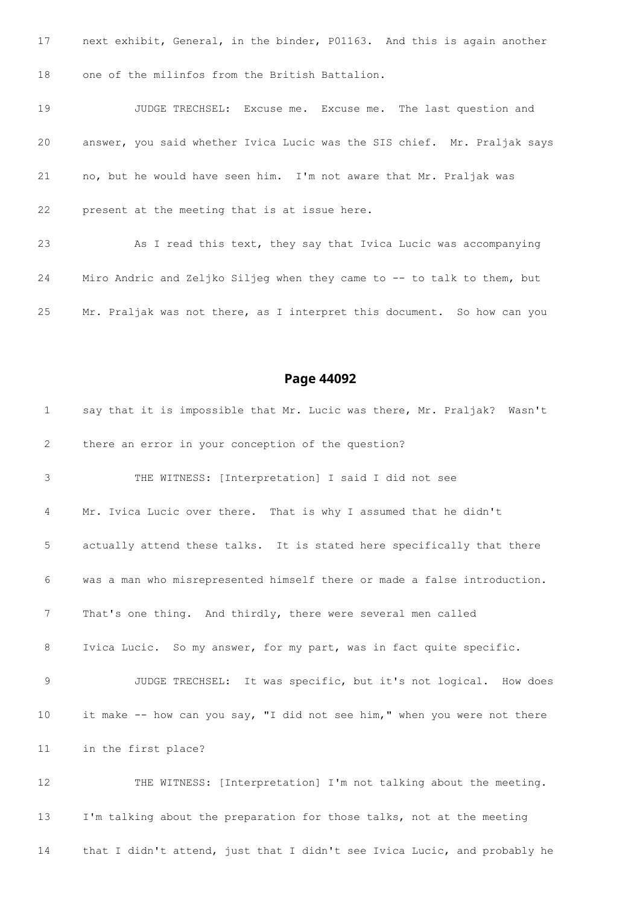next exhibit, General, in the binder, P01163. And this is again another one of the milinfos from the British Battalion.

 JUDGE TRECHSEL: Excuse me. Excuse me. The last question and answer, you said whether Ivica Lucic was the SIS chief. Mr. Praljak says no, but he would have seen him. I'm not aware that Mr. Praljak was present at the meeting that is at issue here.

 As I read this text, they say that Ivica Lucic was accompanying Miro Andric and Zeljko Siljeg when they came to -- to talk to them, but Mr. Praljak was not there, as I interpret this document. So how can you

#### **Page 44092**

 say that it is impossible that Mr. Lucic was there, Mr. Praljak? Wasn't there an error in your conception of the question? THE WITNESS: [Interpretation] I said I did not see Mr. Ivica Lucic over there. That is why I assumed that he didn't actually attend these talks. It is stated here specifically that there was a man who misrepresented himself there or made a false introduction. That's one thing. And thirdly, there were several men called Ivica Lucic. So my answer, for my part, was in fact quite specific. JUDGE TRECHSEL: It was specific, but it's not logical. How does it make -- how can you say, "I did not see him," when you were not there in the first place? THE WITNESS: [Interpretation] I'm not talking about the meeting. I'm talking about the preparation for those talks, not at the meeting that I didn't attend, just that I didn't see Ivica Lucic, and probably he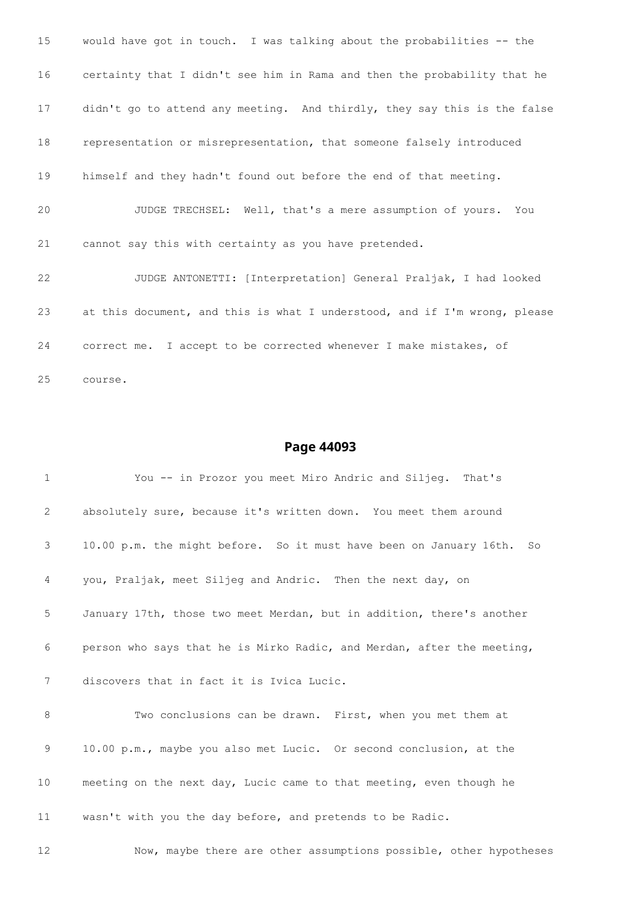would have got in touch. I was talking about the probabilities -- the certainty that I didn't see him in Rama and then the probability that he didn't go to attend any meeting. And thirdly, they say this is the false representation or misrepresentation, that someone falsely introduced himself and they hadn't found out before the end of that meeting. JUDGE TRECHSEL: Well, that's a mere assumption of yours. You cannot say this with certainty as you have pretended. JUDGE ANTONETTI: [Interpretation] General Praljak, I had looked at this document, and this is what I understood, and if I'm wrong, please correct me. I accept to be corrected whenever I make mistakes, of course.

| $\mathbf 1$ | You -- in Prozor you meet Miro Andric and Siljeg. That's                              |
|-------------|---------------------------------------------------------------------------------------|
| 2           | absolutely sure, because it's written down. You meet them around                      |
| 3           | 10.00 p.m. the might before. So it must have been on January 16th.<br>SO <sub>2</sub> |
| 4           | you, Praljak, meet Siljeg and Andric. Then the next day, on                           |
| 5           | January 17th, those two meet Merdan, but in addition, there's another                 |
| 6           | person who says that he is Mirko Radic, and Merdan, after the meeting,                |
| 7           | discovers that in fact it is Ivica Lucic.                                             |
| 8           | Two conclusions can be drawn. First, when you met them at                             |
| 9           | 10.00 p.m., maybe you also met Lucic. Or second conclusion, at the                    |
| 10          | meeting on the next day, Lucic came to that meeting, even though he                   |
| 11          | wasn't with you the day before, and pretends to be Radic.                             |
| 12          | Now, maybe there are other assumptions possible, other hypotheses                     |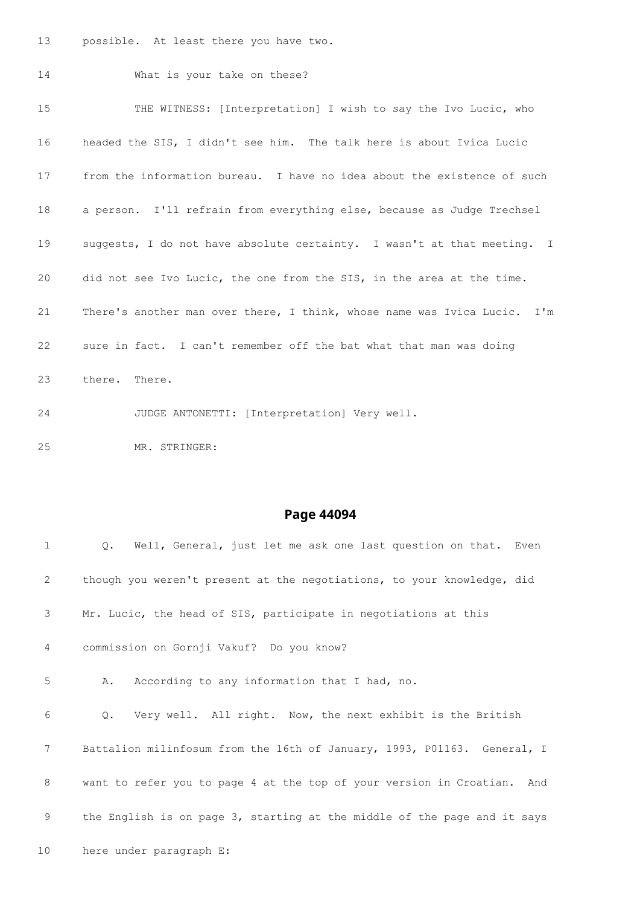possible. At least there you have two.

MR. STRINGER:

 What is your take on these? THE WITNESS: [Interpretation] I wish to say the Ivo Lucic, who headed the SIS, I didn't see him. The talk here is about Ivica Lucic from the information bureau. I have no idea about the existence of such a person. I'll refrain from everything else, because as Judge Trechsel suggests, I do not have absolute certainty. I wasn't at that meeting. I did not see Ivo Lucic, the one from the SIS, in the area at the time. There's another man over there, I think, whose name was Ivica Lucic. I'm sure in fact. I can't remember off the bat what that man was doing there. There. JUDGE ANTONETTI: [Interpretation] Very well.

| $\mathbf 1$    | $Q_{\bullet}$<br>Well, General, just let me ask one last question on that. Even |
|----------------|---------------------------------------------------------------------------------|
| $\overline{2}$ | though you weren't present at the negotiations, to your knowledge, did          |
| 3              | Mr. Lucic, the head of SIS, participate in negotiations at this                 |
| 4              | commission on Gornji Vakuf? Do you know?                                        |
| 5              | According to any information that I had, no.<br>Α.                              |
| 6              | Very well. All right. Now, the next exhibit is the British<br>$Q$ .             |
| 7              | Battalion milinfosum from the 16th of January, 1993, P01163. General, I         |
| 8              | want to refer you to page 4 at the top of your version in Croatian. And         |
| 9              | the English is on page 3, starting at the middle of the page and it says        |
| 10             | here under paragraph E:                                                         |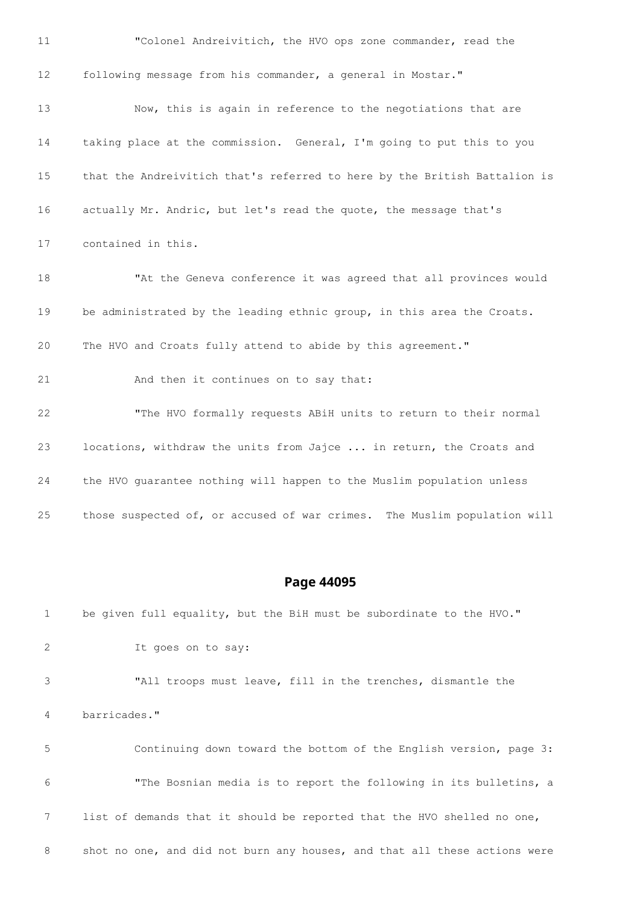"Colonel Andreivitich, the HVO ops zone commander, read the following message from his commander, a general in Mostar." Now, this is again in reference to the negotiations that are taking place at the commission. General, I'm going to put this to you that the Andreivitich that's referred to here by the British Battalion is actually Mr. Andric, but let's read the quote, the message that's contained in this. "At the Geneva conference it was agreed that all provinces would 19 be administrated by the leading ethnic group, in this area the Croats. The HVO and Croats fully attend to abide by this agreement." 21 And then it continues on to say that: "The HVO formally requests ABiH units to return to their normal locations, withdraw the units from Jajce ... in return, the Croats and the HVO guarantee nothing will happen to the Muslim population unless those suspected of, or accused of war crimes. The Muslim population will

**Page 44095**

 be given full equality, but the BiH must be subordinate to the HVO." It goes on to say: "All troops must leave, fill in the trenches, dismantle the barricades." Continuing down toward the bottom of the English version, page 3: "The Bosnian media is to report the following in its bulletins, a list of demands that it should be reported that the HVO shelled no one, 8 shot no one, and did not burn any houses, and that all these actions were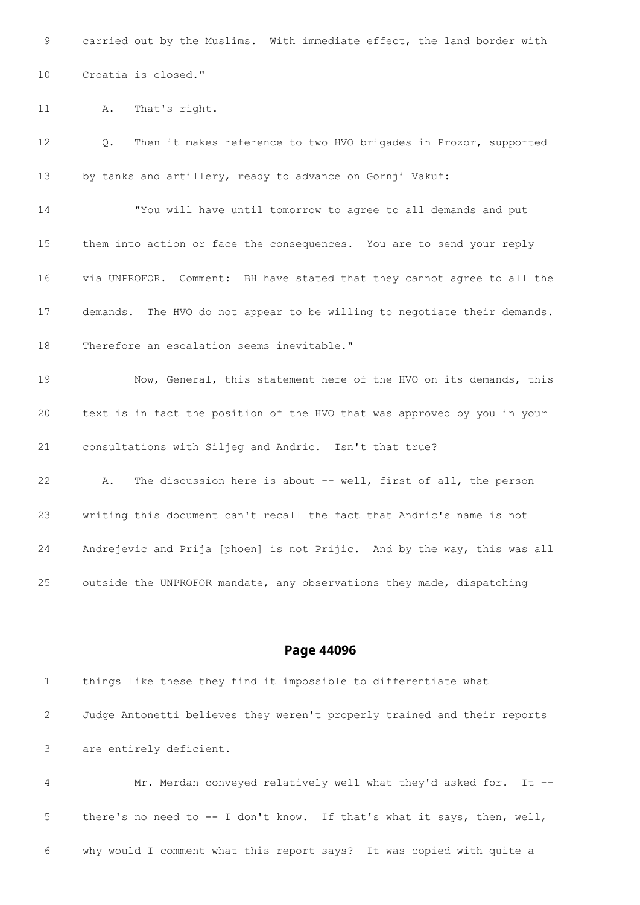carried out by the Muslims. With immediate effect, the land border with

Croatia is closed."

A. That's right.

 Q. Then it makes reference to two HVO brigades in Prozor, supported by tanks and artillery, ready to advance on Gornji Vakuf: "You will have until tomorrow to agree to all demands and put them into action or face the consequences. You are to send your reply via UNPROFOR. Comment: BH have stated that they cannot agree to all the demands. The HVO do not appear to be willing to negotiate their demands. Therefore an escalation seems inevitable." Now, General, this statement here of the HVO on its demands, this text is in fact the position of the HVO that was approved by you in your consultations with Siljeg and Andric. Isn't that true? A. The discussion here is about -- well, first of all, the person writing this document can't recall the fact that Andric's name is not Andrejevic and Prija [phoen] is not Prijic. And by the way, this was all

outside the UNPROFOR mandate, any observations they made, dispatching

#### **Page 44096**

 things like these they find it impossible to differentiate what Judge Antonetti believes they weren't properly trained and their reports are entirely deficient.

 Mr. Merdan conveyed relatively well what they'd asked for. It -- there's no need to -- I don't know. If that's what it says, then, well, why would I comment what this report says? It was copied with quite a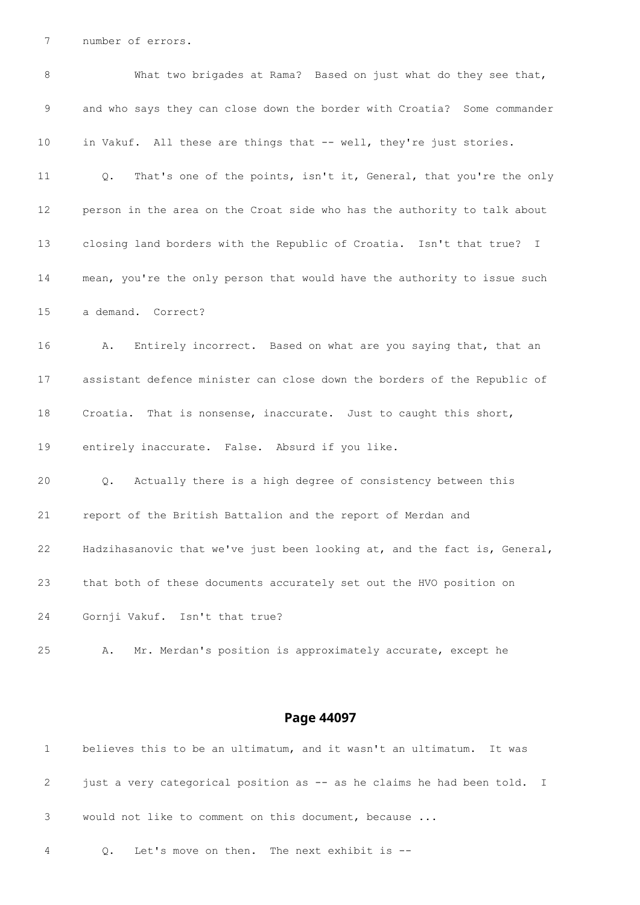number of errors.

| 8  | What two brigades at Rama? Based on just what do they see that,                    |
|----|------------------------------------------------------------------------------------|
| 9  | and who says they can close down the border with Croatia? Some commander           |
| 10 | in Vakuf. All these are things that -- well, they're just stories.                 |
| 11 | That's one of the points, isn't it, General, that you're the only<br>$Q_{\bullet}$ |
| 12 | person in the area on the Croat side who has the authority to talk about           |
| 13 | closing land borders with the Republic of Croatia. Isn't that true? I              |
| 14 | mean, you're the only person that would have the authority to issue such           |
| 15 | a demand. Correct?                                                                 |
| 16 | Entirely incorrect. Based on what are you saying that, that an<br>Α.               |
| 17 | assistant defence minister can close down the borders of the Republic of           |
| 18 | Croatia. That is nonsense, inaccurate. Just to caught this short,                  |
| 19 | entirely inaccurate. False. Absurd if you like.                                    |
| 20 | Actually there is a high degree of consistency between this<br>$Q$ .               |
| 21 | report of the British Battalion and the report of Merdan and                       |
| 22 | Hadzihasanovic that we've just been looking at, and the fact is, General,          |
| 23 | that both of these documents accurately set out the HVO position on                |
| 24 | Gornji Vakuf. Isn't that true?                                                     |
| 25 | Mr. Merdan's position is approximately accurate, except he<br>Α.                   |
|    |                                                                                    |

|              | believes this to be an ultimatum, and it wasn't an ultimatum. It was    |
|--------------|-------------------------------------------------------------------------|
| $\mathbf{2}$ | just a very categorical position as -- as he claims he had been told. I |
|              | 3 would not like to comment on this document, because                   |
| 4            | Q. Let's move on then. The next exhibit is --                           |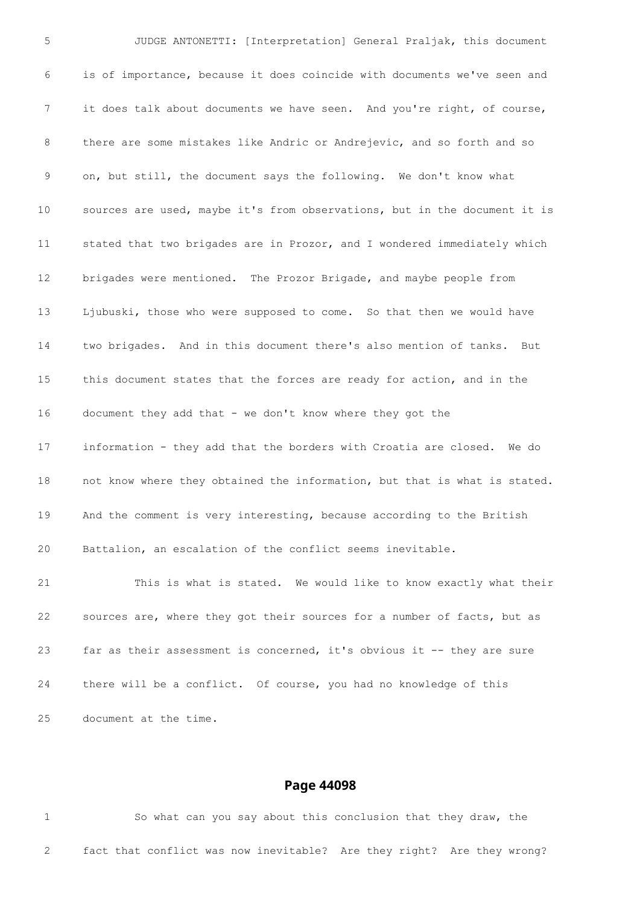JUDGE ANTONETTI: [Interpretation] General Praljak, this document is of importance, because it does coincide with documents we've seen and it does talk about documents we have seen. And you're right, of course, there are some mistakes like Andric or Andrejevic, and so forth and so on, but still, the document says the following. We don't know what sources are used, maybe it's from observations, but in the document it is stated that two brigades are in Prozor, and I wondered immediately which brigades were mentioned. The Prozor Brigade, and maybe people from Ljubuski, those who were supposed to come. So that then we would have two brigades. And in this document there's also mention of tanks. But this document states that the forces are ready for action, and in the document they add that - we don't know where they got the information - they add that the borders with Croatia are closed. We do not know where they obtained the information, but that is what is stated. And the comment is very interesting, because according to the British Battalion, an escalation of the conflict seems inevitable. This is what is stated. We would like to know exactly what their sources are, where they got their sources for a number of facts, but as far as their assessment is concerned, it's obvious it -- they are sure there will be a conflict. Of course, you had no knowledge of this document at the time.

#### **Page 44098**

 So what can you say about this conclusion that they draw, the fact that conflict was now inevitable? Are they right? Are they wrong?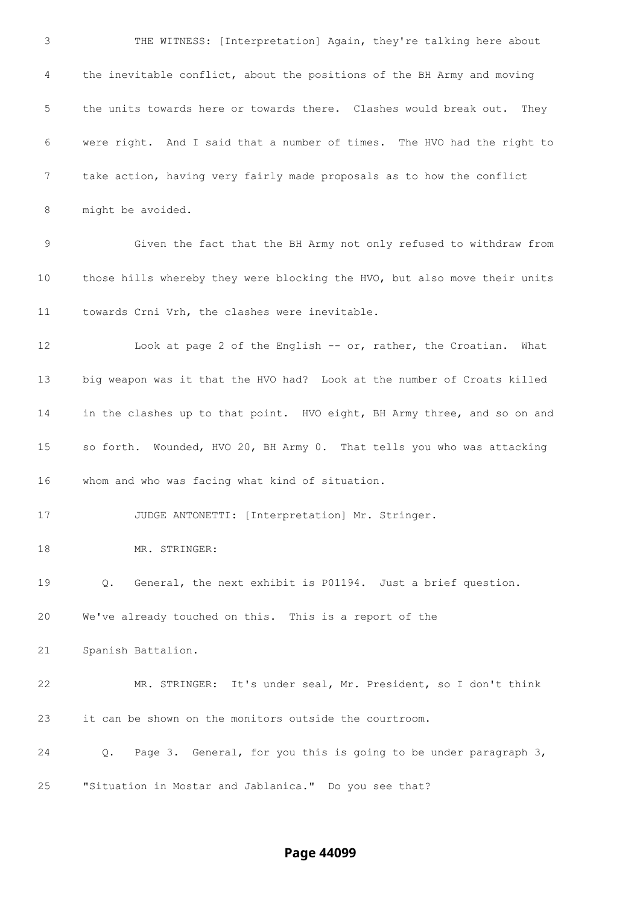THE WITNESS: [Interpretation] Again, they're talking here about the inevitable conflict, about the positions of the BH Army and moving the units towards here or towards there. Clashes would break out. They were right. And I said that a number of times. The HVO had the right to take action, having very fairly made proposals as to how the conflict might be avoided. Given the fact that the BH Army not only refused to withdraw from those hills whereby they were blocking the HVO, but also move their units towards Crni Vrh, the clashes were inevitable. Look at page 2 of the English -- or, rather, the Croatian. What big weapon was it that the HVO had? Look at the number of Croats killed 14 in the clashes up to that point. HVO eight, BH Army three, and so on and so forth. Wounded, HVO 20, BH Army 0. That tells you who was attacking whom and who was facing what kind of situation. JUDGE ANTONETTI: [Interpretation] Mr. Stringer. 18 MR. STRINGER: Q. General, the next exhibit is P01194. Just a brief question. We've already touched on this. This is a report of the Spanish Battalion. MR. STRINGER: It's under seal, Mr. President, so I don't think it can be shown on the monitors outside the courtroom. Q. Page 3. General, for you this is going to be under paragraph 3, "Situation in Mostar and Jablanica." Do you see that?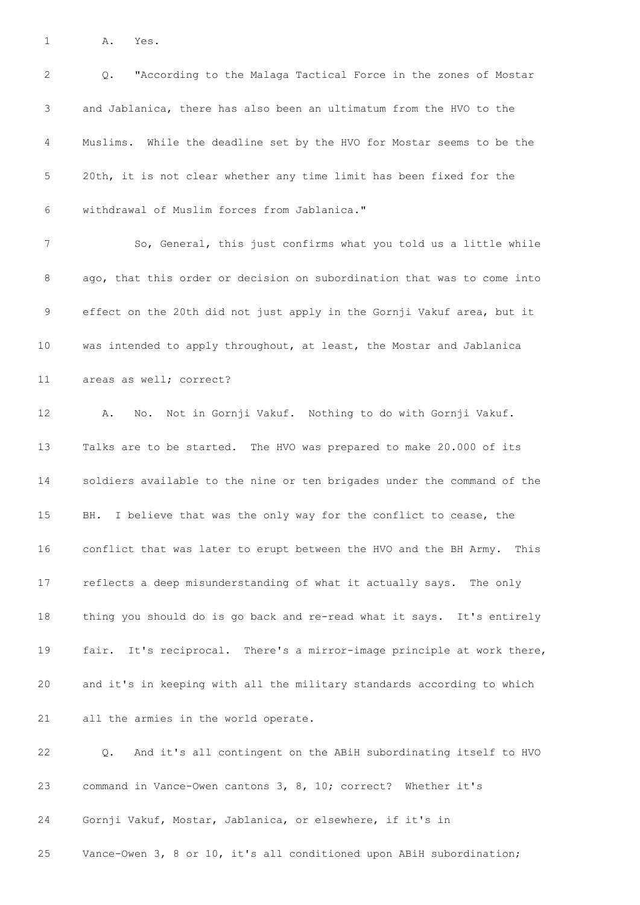A. Yes.

 Q. "According to the Malaga Tactical Force in the zones of Mostar and Jablanica, there has also been an ultimatum from the HVO to the Muslims. While the deadline set by the HVO for Mostar seems to be the 20th, it is not clear whether any time limit has been fixed for the withdrawal of Muslim forces from Jablanica." So, General, this just confirms what you told us a little while ago, that this order or decision on subordination that was to come into effect on the 20th did not just apply in the Gornji Vakuf area, but it was intended to apply throughout, at least, the Mostar and Jablanica areas as well; correct? A. No. Not in Gornji Vakuf. Nothing to do with Gornji Vakuf. Talks are to be started. The HVO was prepared to make 20.000 of its soldiers available to the nine or ten brigades under the command of the BH. I believe that was the only way for the conflict to cease, the conflict that was later to erupt between the HVO and the BH Army. This reflects a deep misunderstanding of what it actually says. The only thing you should do is go back and re-read what it says. It's entirely fair. It's reciprocal. There's a mirror-image principle at work there, and it's in keeping with all the military standards according to which all the armies in the world operate. Q. And it's all contingent on the ABiH subordinating itself to HVO command in Vance-Owen cantons 3, 8, 10; correct? Whether it's Gornji Vakuf, Mostar, Jablanica, or elsewhere, if it's in

Vance-Owen 3, 8 or 10, it's all conditioned upon ABiH subordination;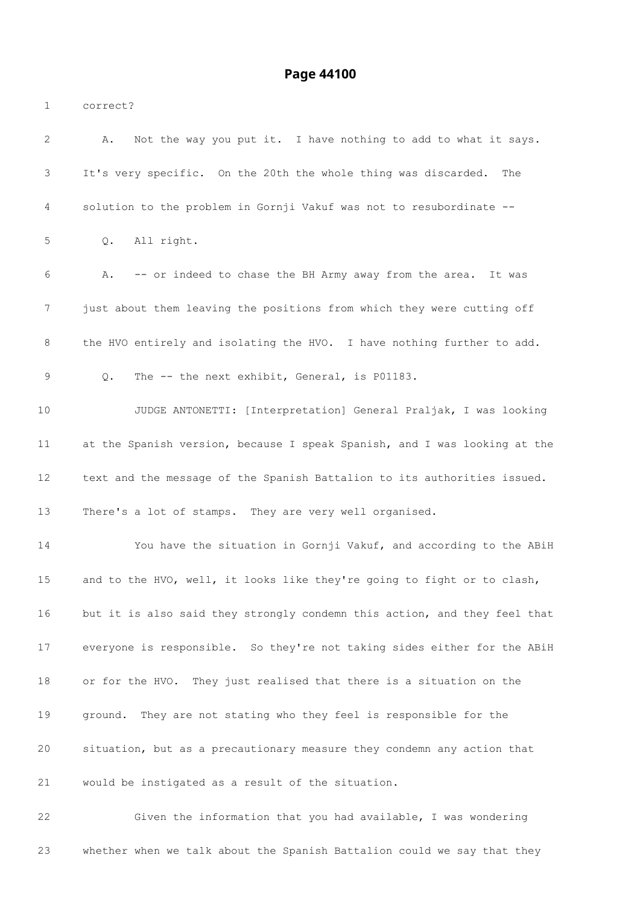correct? A. Not the way you put it. I have nothing to add to what it says. It's very specific. On the 20th the whole thing was discarded. The solution to the problem in Gornji Vakuf was not to resubordinate -- Q. All right. A. -- or indeed to chase the BH Army away from the area. It was just about them leaving the positions from which they were cutting off the HVO entirely and isolating the HVO. I have nothing further to add. Q. The -- the next exhibit, General, is P01183. JUDGE ANTONETTI: [Interpretation] General Praljak, I was looking at the Spanish version, because I speak Spanish, and I was looking at the text and the message of the Spanish Battalion to its authorities issued. There's a lot of stamps. They are very well organised. You have the situation in Gornji Vakuf, and according to the ABiH and to the HVO, well, it looks like they're going to fight or to clash, but it is also said they strongly condemn this action, and they feel that everyone is responsible. So they're not taking sides either for the ABiH or for the HVO. They just realised that there is a situation on the ground. They are not stating who they feel is responsible for the situation, but as a precautionary measure they condemn any action that would be instigated as a result of the situation. Given the information that you had available, I was wondering

whether when we talk about the Spanish Battalion could we say that they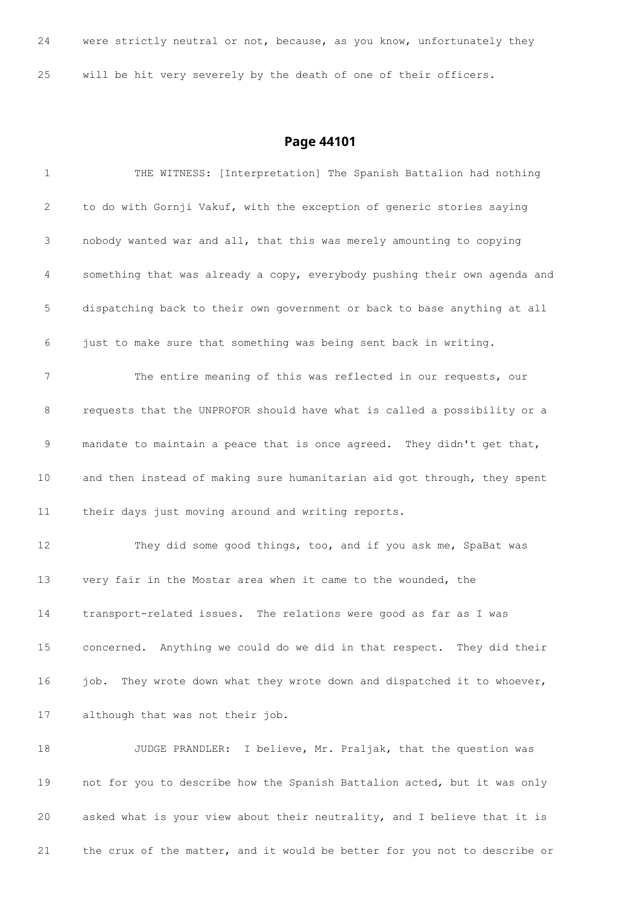were strictly neutral or not, because, as you know, unfortunately they will be hit very severely by the death of one of their officers.

| 1  | THE WITNESS: [Interpretation] The Spanish Battalion had nothing            |
|----|----------------------------------------------------------------------------|
| 2  | to do with Gornji Vakuf, with the exception of generic stories saying      |
| 3  | nobody wanted war and all, that this was merely amounting to copying       |
| 4  | something that was already a copy, everybody pushing their own agenda and  |
| 5  | dispatching back to their own government or back to base anything at all   |
| 6  | just to make sure that something was being sent back in writing.           |
| 7  | The entire meaning of this was reflected in our requests, our              |
| 8  | requests that the UNPROFOR should have what is called a possibility or a   |
| 9  | mandate to maintain a peace that is once agreed. They didn't get that,     |
| 10 | and then instead of making sure humanitarian aid got through, they spent   |
| 11 | their days just moving around and writing reports.                         |
| 12 | They did some good things, too, and if you ask me, SpaBat was              |
| 13 | very fair in the Mostar area when it came to the wounded, the              |
| 14 | transport-related issues. The relations were good as far as I was          |
| 15 | concerned. Anything we could do we did in that respect. They did their     |
| 16 | They wrote down what they wrote down and dispatched it to whoever,<br>iob. |
| 17 | although that was not their job.                                           |
| 18 | JUDGE PRANDLER: I believe, Mr. Praljak, that the question was              |
| 19 | not for you to describe how the Spanish Battalion acted, but it was only   |
| 20 | asked what is your view about their neutrality, and I believe that it is   |
| 21 | the crux of the matter, and it would be better for you not to describe or  |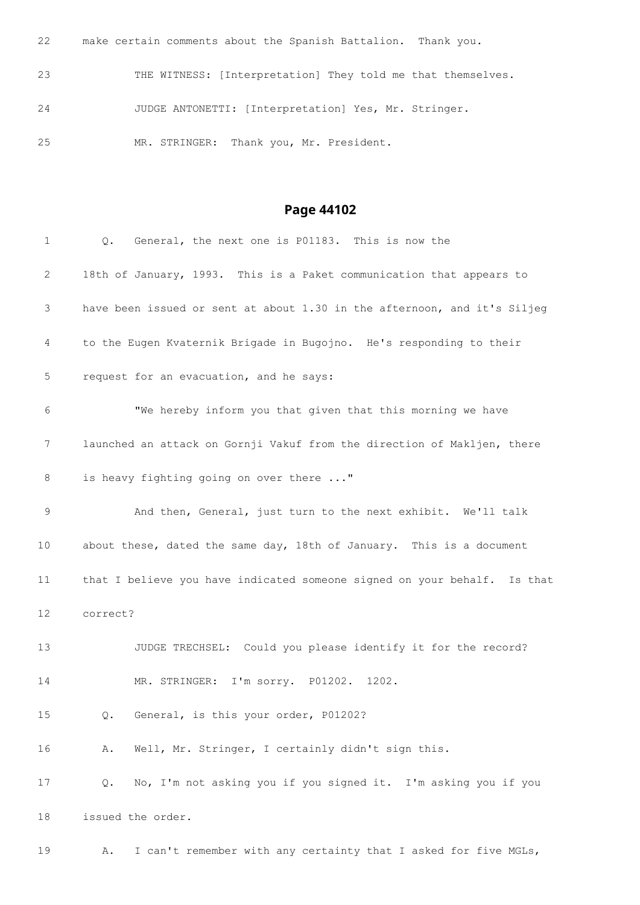make certain comments about the Spanish Battalion. Thank you. THE WITNESS: [Interpretation] They told me that themselves. JUDGE ANTONETTI: [Interpretation] Yes, Mr. Stringer. MR. STRINGER: Thank you, Mr. President.

### **Page 44102**

| 1                 | General, the next one is P01183. This is now the<br>Q.                   |
|-------------------|--------------------------------------------------------------------------|
| 2                 | 18th of January, 1993. This is a Paket communication that appears to     |
| 3                 | have been issued or sent at about 1.30 in the afternoon, and it's Siljeg |
| 4                 | to the Eugen Kvaternik Brigade in Bugojno. He's responding to their      |
| 5                 | request for an evacuation, and he says:                                  |
| 6                 | "We hereby inform you that given that this morning we have               |
| 7                 | launched an attack on Gornji Vakuf from the direction of Makljen, there  |
| 8                 | is heavy fighting going on over there "                                  |
| 9                 | And then, General, just turn to the next exhibit. We'll talk             |
| 10                | about these, dated the same day, 18th of January. This is a document     |
| 11                | that I believe you have indicated someone signed on your behalf. Is that |
| $12 \overline{ }$ | correct?                                                                 |
| 13                | JUDGE TRECHSEL: Could you please identify it for the record?             |
| 14                | MR. STRINGER: I'm sorry. P01202. 1202.                                   |
| 15                | General, is this your order, P01202?<br>Q.                               |
| 16                | Well, Mr. Stringer, I certainly didn't sign this.<br>Α.                  |
| 17                | No, I'm not asking you if you signed it. I'm asking you if you<br>Q.     |
| 18                | issued the order.                                                        |

A. I can't remember with any certainty that I asked for five MGLs,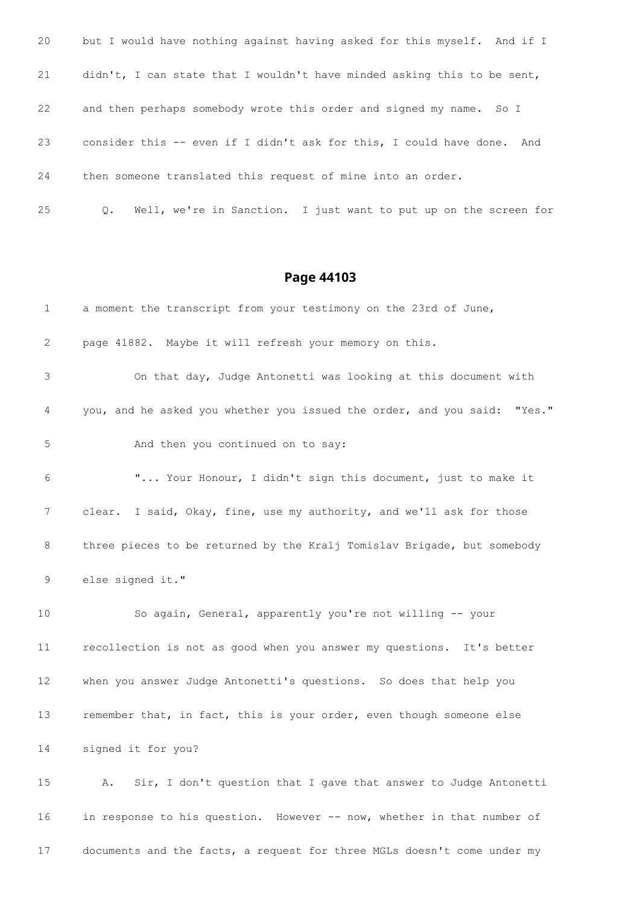| 20 | but I would have nothing against having asked for this myself. And if I       |
|----|-------------------------------------------------------------------------------|
| 21 | didn't, I can state that I wouldn't have minded asking this to be sent,       |
| 22 | and then perhaps somebody wrote this order and signed my name. So I           |
| 23 | consider this -- even if I didn't ask for this, I could have done.<br>And     |
| 24 | then someone translated this request of mine into an order.                   |
| 25 | Well, we're in Sanction. I just want to put up on the screen for<br>$\circ$ . |

| 1               | a moment the transcript from your testimony on the 23rd of June,         |
|-----------------|--------------------------------------------------------------------------|
| 2               | page 41882. Maybe it will refresh your memory on this.                   |
| 3               | On that day, Judge Antonetti was looking at this document with           |
| 4               | you, and he asked you whether you issued the order, and you said: "Yes." |
| 5               | And then you continued on to say:                                        |
| 6               | " Your Honour, I didn't sign this document, just to make it              |
| 7               | clear. I said, Okay, fine, use my authority, and we'll ask for those     |
| 8               | three pieces to be returned by the Kralj Tomislav Brigade, but somebody  |
| 9               | else signed it."                                                         |
| 10              | So again, General, apparently you're not willing -- your                 |
| 11              | recollection is not as good when you answer my questions. It's better    |
| 12              | when you answer Judge Antonetti's questions. So does that help you       |
| 13              | remember that, in fact, this is your order, even though someone else     |
| 14              | signed it for you?                                                       |
| 15 <sub>1</sub> | Sir, I don't question that I gave that answer to Judge Antonetti<br>Α.   |
| 16              | in response to his question. However -- now, whether in that number of   |

documents and the facts, a request for three MGLs doesn't come under my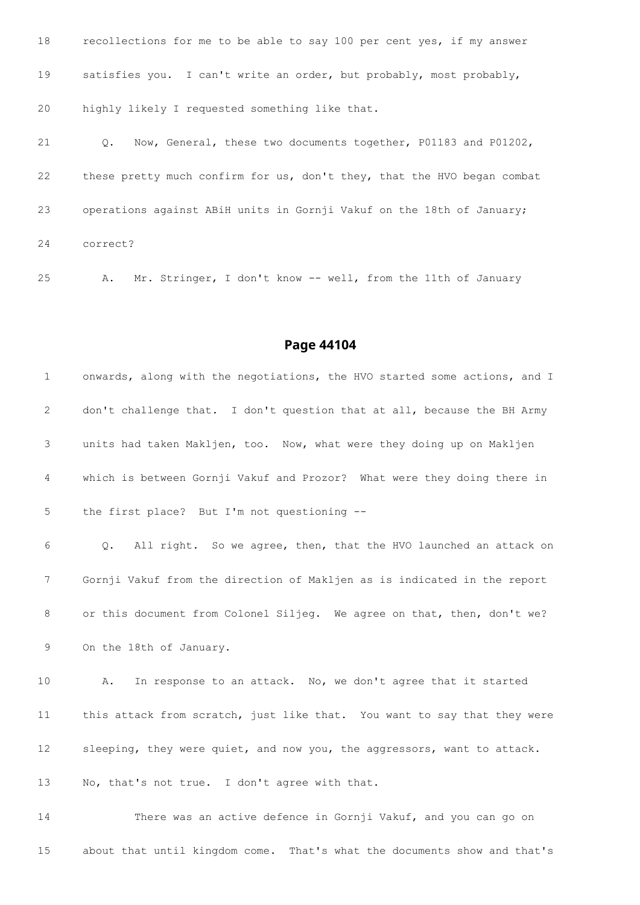recollections for me to be able to say 100 per cent yes, if my answer satisfies you. I can't write an order, but probably, most probably, highly likely I requested something like that. Q. Now, General, these two documents together, P01183 and P01202, these pretty much confirm for us, don't they, that the HVO began combat operations against ABiH units in Gornji Vakuf on the 18th of January; correct?

A. Mr. Stringer, I don't know -- well, from the 11th of January

#### **Page 44104**

 onwards, along with the negotiations, the HVO started some actions, and I don't challenge that. I don't question that at all, because the BH Army units had taken Makljen, too. Now, what were they doing up on Makljen which is between Gornji Vakuf and Prozor? What were they doing there in the first place? But I'm not questioning -- Q. All right. So we agree, then, that the HVO launched an attack on Gornji Vakuf from the direction of Makljen as is indicated in the report 8 or this document from Colonel Siljeg. We agree on that, then, don't we? On the 18th of January. A. In response to an attack. No, we don't agree that it started this attack from scratch, just like that. You want to say that they were sleeping, they were quiet, and now you, the aggressors, want to attack. No, that's not true. I don't agree with that. There was an active defence in Gornji Vakuf, and you can go on

about that until kingdom come. That's what the documents show and that's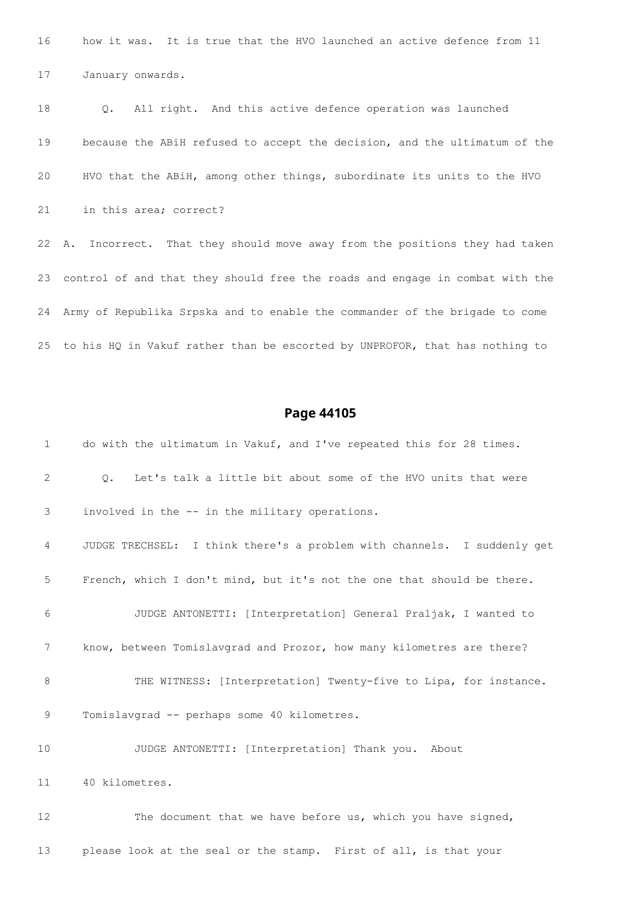how it was. It is true that the HVO launched an active defence from 11 January onwards.

 Q. All right. And this active defence operation was launched because the ABiH refused to accept the decision, and the ultimatum of the HVO that the ABiH, among other things, subordinate its units to the HVO in this area; correct? A. Incorrect. That they should move away from the positions they had taken control of and that they should free the roads and engage in combat with the Army of Republika Srpska and to enable the commander of the brigade to come to his HQ in Vakuf rather than be escorted by UNPROFOR, that has nothing to

### **Page 44105**

| $\mathbf 1$ | do with the ultimatum in Vakuf, and I've repeated this for 28 times.       |
|-------------|----------------------------------------------------------------------------|
| 2           | Let's talk a little bit about some of the HVO units that were<br>$\circ$ . |
| 3           | involved in the -- in the military operations.                             |
| 4           | JUDGE TRECHSEL: I think there's a problem with channels. I suddenly get    |
| 5           | French, which I don't mind, but it's not the one that should be there.     |
| 6           | JUDGE ANTONETTI: [Interpretation] General Praljak, I wanted to             |
| 7           | know, between Tomislavgrad and Prozor, how many kilometres are there?      |
| 8           | THE WITNESS: [Interpretation] Twenty-five to Lipa, for instance.           |
| 9           | Tomislavgrad -- perhaps some 40 kilometres.                                |
| 10          | JUDGE ANTONETTI: [Interpretation] Thank you. About                         |
| 11          | 40 kilometres.                                                             |
| 12          | The document that we have before us, which you have signed,                |
|             |                                                                            |

please look at the seal or the stamp. First of all, is that your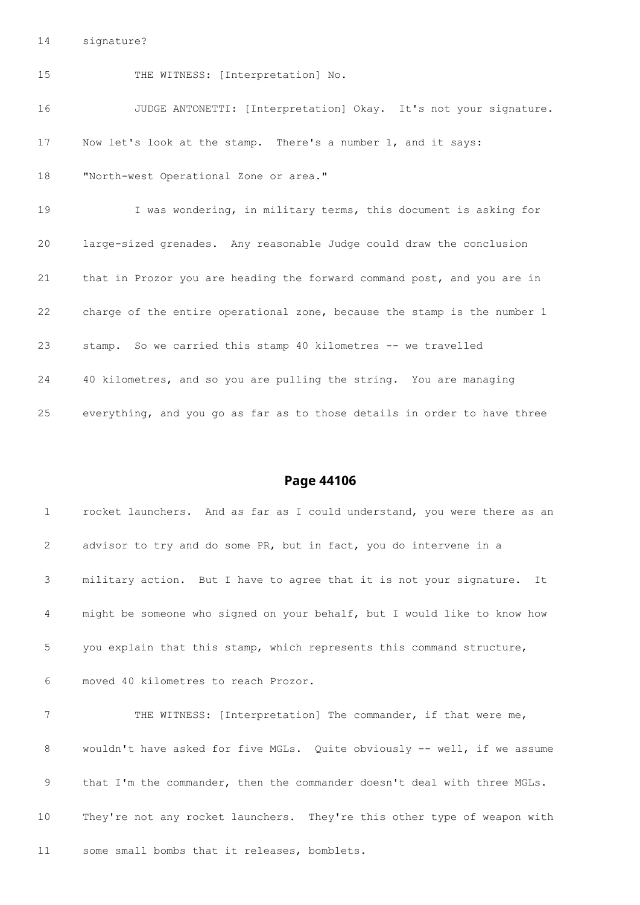signature?

15 THE WITNESS: [Interpretation] No. JUDGE ANTONETTI: [Interpretation] Okay. It's not your signature. Now let's look at the stamp. There's a number 1, and it says: "North-west Operational Zone or area." I was wondering, in military terms, this document is asking for large-sized grenades. Any reasonable Judge could draw the conclusion that in Prozor you are heading the forward command post, and you are in charge of the entire operational zone, because the stamp is the number 1 stamp. So we carried this stamp 40 kilometres -- we travelled 40 kilometres, and so you are pulling the string. You are managing everything, and you go as far as to those details in order to have three

### **Page 44106**

 rocket launchers. And as far as I could understand, you were there as an advisor to try and do some PR, but in fact, you do intervene in a military action. But I have to agree that it is not your signature. It might be someone who signed on your behalf, but I would like to know how you explain that this stamp, which represents this command structure,

moved 40 kilometres to reach Prozor.

 THE WITNESS: [Interpretation] The commander, if that were me, 8 wouldn't have asked for five MGLs. Quite obviously -- well, if we assume 9 that I'm the commander, then the commander doesn't deal with three MGLs. They're not any rocket launchers. They're this other type of weapon with some small bombs that it releases, bomblets.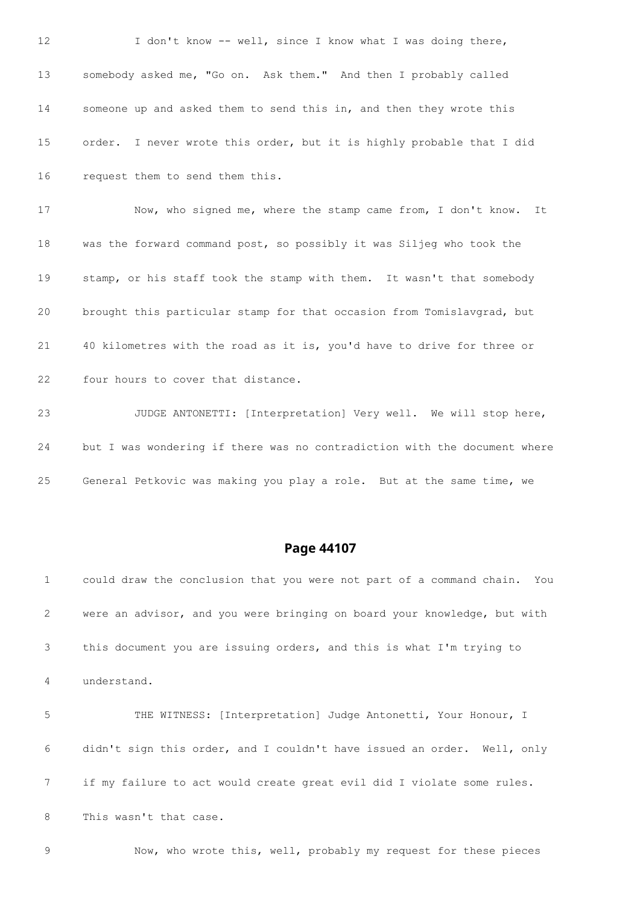12 I don't know -- well, since I know what I was doing there, somebody asked me, "Go on. Ask them." And then I probably called someone up and asked them to send this in, and then they wrote this order. I never wrote this order, but it is highly probable that I did request them to send them this. Now, who signed me, where the stamp came from, I don't know. It was the forward command post, so possibly it was Siljeg who took the stamp, or his staff took the stamp with them. It wasn't that somebody brought this particular stamp for that occasion from Tomislavgrad, but 40 kilometres with the road as it is, you'd have to drive for three or four hours to cover that distance.

 JUDGE ANTONETTI: [Interpretation] Very well. We will stop here, but I was wondering if there was no contradiction with the document where General Petkovic was making you play a role. But at the same time, we

### **Page 44107**

 could draw the conclusion that you were not part of a command chain. You were an advisor, and you were bringing on board your knowledge, but with this document you are issuing orders, and this is what I'm trying to understand. THE WITNESS: [Interpretation] Judge Antonetti, Your Honour, I didn't sign this order, and I couldn't have issued an order. Well, only if my failure to act would create great evil did I violate some rules. This wasn't that case. Now, who wrote this, well, probably my request for these pieces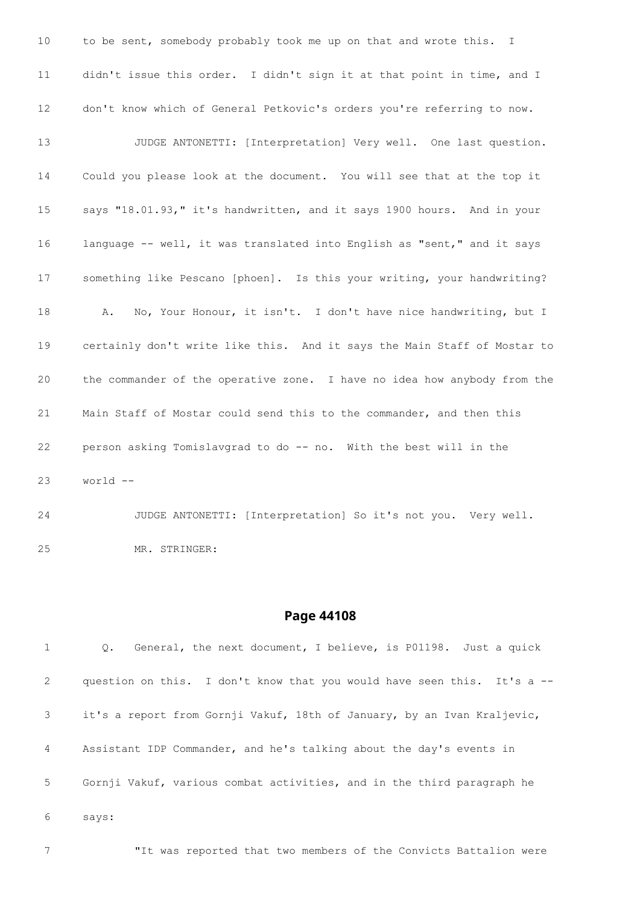to be sent, somebody probably took me up on that and wrote this. I didn't issue this order. I didn't sign it at that point in time, and I don't know which of General Petkovic's orders you're referring to now. JUDGE ANTONETTI: [Interpretation] Very well. One last question. Could you please look at the document. You will see that at the top it says "18.01.93," it's handwritten, and it says 1900 hours. And in your language -- well, it was translated into English as "sent," and it says something like Pescano [phoen]. Is this your writing, your handwriting? A. No, Your Honour, it isn't. I don't have nice handwriting, but I certainly don't write like this. And it says the Main Staff of Mostar to the commander of the operative zone. I have no idea how anybody from the Main Staff of Mostar could send this to the commander, and then this person asking Tomislavgrad to do -- no. With the best will in the world --

 JUDGE ANTONETTI: [Interpretation] So it's not you. Very well. MR. STRINGER:

#### **Page 44108**

 Q. General, the next document, I believe, is P01198. Just a quick 2 question on this. I don't know that you would have seen this. It's a -- it's a report from Gornji Vakuf, 18th of January, by an Ivan Kraljevic, Assistant IDP Commander, and he's talking about the day's events in Gornji Vakuf, various combat activities, and in the third paragraph he says:

"It was reported that two members of the Convicts Battalion were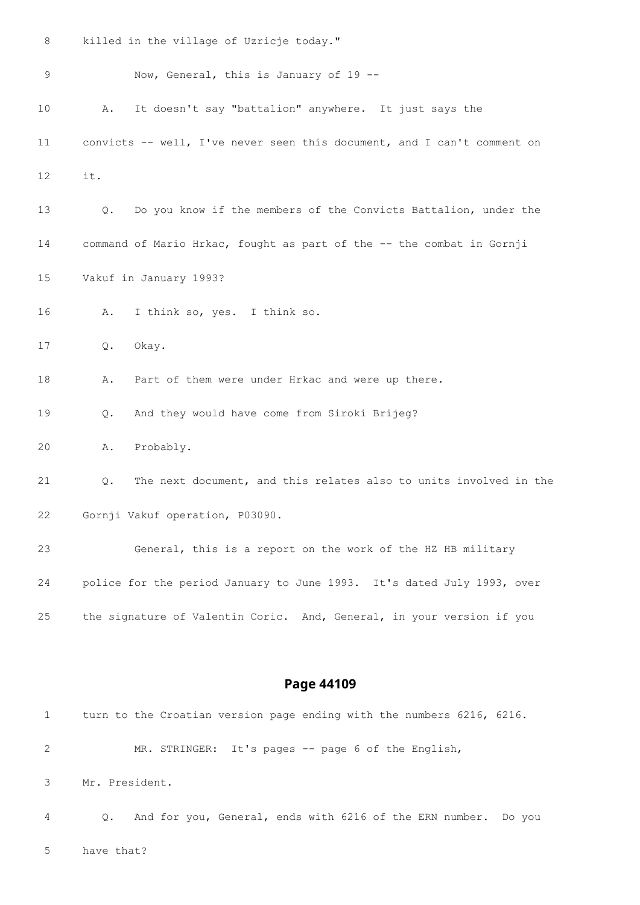killed in the village of Uzricje today."

| 9                 |     | Now, General, this is January of 19 --                                  |
|-------------------|-----|-------------------------------------------------------------------------|
| 10                | Α.  | It doesn't say "battalion" anywhere. It just says the                   |
| 11                |     | convicts -- well, I've never seen this document, and I can't comment on |
| $12 \overline{ }$ | it. |                                                                         |
| 13                | Q.  | Do you know if the members of the Convicts Battalion, under the         |
| 14                |     | command of Mario Hrkac, fought as part of the -- the combat in Gornji   |
| 15                |     | Vakuf in January 1993?                                                  |
| 16                | Α.  | I think so, yes. I think so.                                            |
| 17                | Q.  | Okay.                                                                   |
| 18                | Α.  | Part of them were under Hrkac and were up there.                        |
| 19                | Q.  | And they would have come from Siroki Brijeg?                            |
| 20                | Α.  | Probably.                                                               |
| 21                | Q.  | The next document, and this relates also to units involved in the       |
| 22                |     | Gornji Vakuf operation, P03090.                                         |
| 23                |     | General, this is a report on the work of the HZ HB military             |
| 24                |     | police for the period January to June 1993. It's dated July 1993, over  |
| 25                |     | the signature of Valentin Coric. And, General, in your version if you   |

| 1              | turn to the Croatian version page ending with the numbers 6216, 6216.       |
|----------------|-----------------------------------------------------------------------------|
| 2              | MR. STRINGER: It's pages -- page 6 of the English,                          |
| 3              | Mr. President.                                                              |
| $\overline{4}$ | And for you, General, ends with 6216 of the ERN number. Do you<br>$\circ$ . |
| .5             | have that?                                                                  |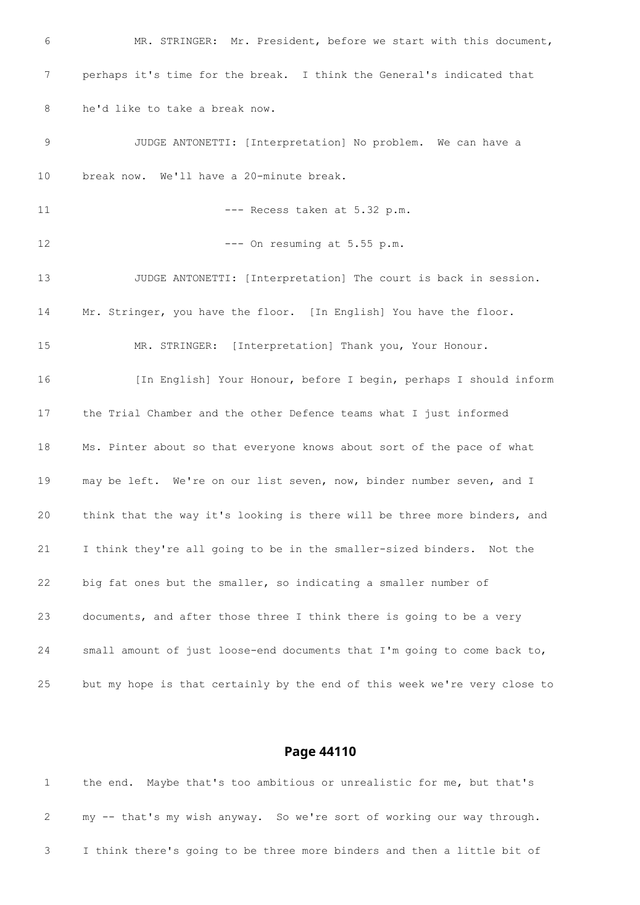MR. STRINGER: Mr. President, before we start with this document, perhaps it's time for the break. I think the General's indicated that he'd like to take a break now. JUDGE ANTONETTI: [Interpretation] No problem. We can have a break now. We'll have a 20-minute break. 11 --- Recess taken at 5.32 p.m. 12 --- On resuming at 5.55 p.m. JUDGE ANTONETTI: [Interpretation] The court is back in session. Mr. Stringer, you have the floor. [In English] You have the floor. MR. STRINGER: [Interpretation] Thank you, Your Honour. [In English] Your Honour, before I begin, perhaps I should inform the Trial Chamber and the other Defence teams what I just informed Ms. Pinter about so that everyone knows about sort of the pace of what may be left. We're on our list seven, now, binder number seven, and I think that the way it's looking is there will be three more binders, and I think they're all going to be in the smaller-sized binders. Not the big fat ones but the smaller, so indicating a smaller number of documents, and after those three I think there is going to be a very small amount of just loose-end documents that I'm going to come back to, but my hope is that certainly by the end of this week we're very close to

| the end. Maybe that's too ambitious or unrealistic for me, but that's   |  |  |  |  |  |
|-------------------------------------------------------------------------|--|--|--|--|--|
| my -- that's my wish anyway. So we're sort of working our way through.  |  |  |  |  |  |
| I think there's going to be three more binders and then a little bit of |  |  |  |  |  |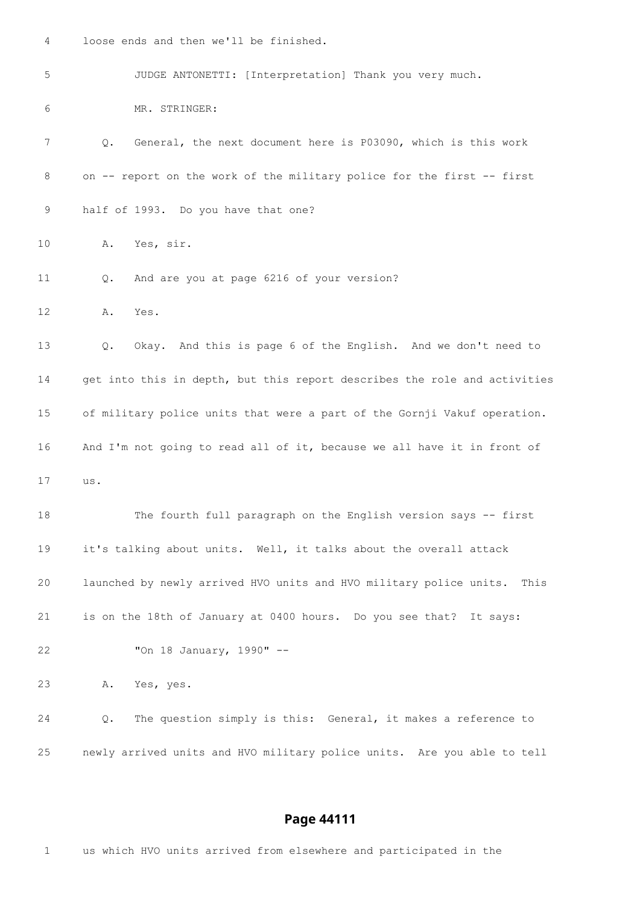loose ends and then we'll be finished. JUDGE ANTONETTI: [Interpretation] Thank you very much. MR. STRINGER: Q. General, the next document here is P03090, which is this work on -- report on the work of the military police for the first -- first half of 1993. Do you have that one? A. Yes, sir. 11 0. And are you at page 6216 of your version? A. Yes. Q. Okay. And this is page 6 of the English. And we don't need to get into this in depth, but this report describes the role and activities of military police units that were a part of the Gornji Vakuf operation. And I'm not going to read all of it, because we all have it in front of us. The fourth full paragraph on the English version says -- first it's talking about units. Well, it talks about the overall attack launched by newly arrived HVO units and HVO military police units. This is on the 18th of January at 0400 hours. Do you see that? It says: "On 18 January, 1990" -- A. Yes, yes. Q. The question simply is this: General, it makes a reference to newly arrived units and HVO military police units. Are you able to tell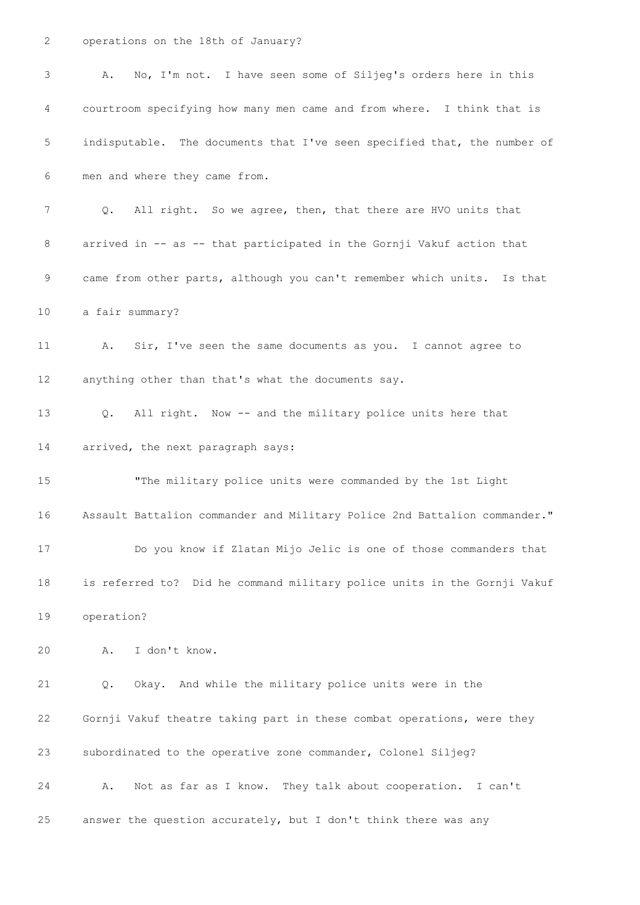operations on the 18th of January?

| 3  | No, I'm not. I have seen some of Siljeg's orders here in this<br>Α.          |
|----|------------------------------------------------------------------------------|
| 4  | courtroom specifying how many men came and from where. I think that is       |
| 5  | indisputable. The documents that I've seen specified that, the number of     |
| 6  | men and where they came from.                                                |
| 7  | All right. So we agree, then, that there are HVO units that<br>$Q_{\bullet}$ |
| 8  | arrived in -- as -- that participated in the Gornji Vakuf action that        |
| 9  | came from other parts, although you can't remember which units. Is that      |
| 10 | a fair summary?                                                              |
| 11 | Sir, I've seen the same documents as you. I cannot agree to<br>Α.            |
| 12 | anything other than that's what the documents say.                           |
| 13 | All right. Now -- and the military police units here that<br>Q.              |
| 14 | arrived, the next paragraph says:                                            |
| 15 | "The military police units were commanded by the 1st Light                   |
| 16 | Assault Battalion commander and Military Police 2nd Battalion commander."    |
| 17 | Do you know if Zlatan Mijo Jelic is one of those commanders that             |
| 18 | is referred to? Did he command military police units in the Gornji Vakuf     |
| 19 | operation?                                                                   |
| 20 | I don't know.<br>Α.                                                          |
| 21 | Okay. And while the military police units were in the<br>Q.                  |
| 22 | Gornji Vakuf theatre taking part in these combat operations, were they       |
| 23 | subordinated to the operative zone commander, Colonel Siljeg?                |
| 24 | Not as far as I know. They talk about cooperation. I can't<br>Α.             |
| 25 | answer the question accurately, but I don't think there was any              |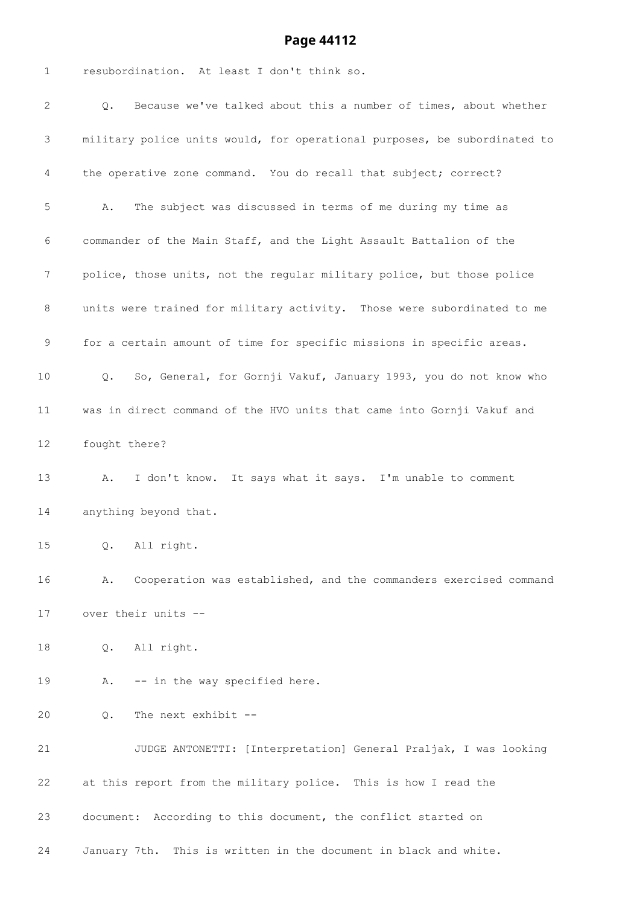| 1  | resubordination. At least I don't think so.                               |
|----|---------------------------------------------------------------------------|
| 2  | Because we've talked about this a number of times, about whether<br>Q.    |
| 3  | military police units would, for operational purposes, be subordinated to |
| 4  | the operative zone command. You do recall that subject; correct?          |
| 5  | The subject was discussed in terms of me during my time as<br>Α.          |
| 6  | commander of the Main Staff, and the Light Assault Battalion of the       |
| 7  | police, those units, not the regular military police, but those police    |
| 8  | units were trained for military activity. Those were subordinated to me   |
| 9  | for a certain amount of time for specific missions in specific areas.     |
| 10 | So, General, for Gornji Vakuf, January 1993, you do not know who<br>Q.    |
| 11 | was in direct command of the HVO units that came into Gornji Vakuf and    |
| 12 | fought there?                                                             |
| 13 | I don't know. It says what it says. I'm unable to comment<br>Α.           |
| 14 | anything beyond that.                                                     |
| 15 | Q. All right.                                                             |
| 16 | Cooperation was established, and the commanders exercised command<br>Α.   |
| 17 | over their units --                                                       |
| 18 | All right.<br>Q.                                                          |
| 19 | -- in the way specified here.<br>Α.                                       |
| 20 | The next exhibit --<br>Q.                                                 |
| 21 | JUDGE ANTONETTI: [Interpretation] General Praljak, I was looking          |
| 22 | at this report from the military police. This is how I read the           |
| 23 | document: According to this document, the conflict started on             |
| 24 | January 7th. This is written in the document in black and white.          |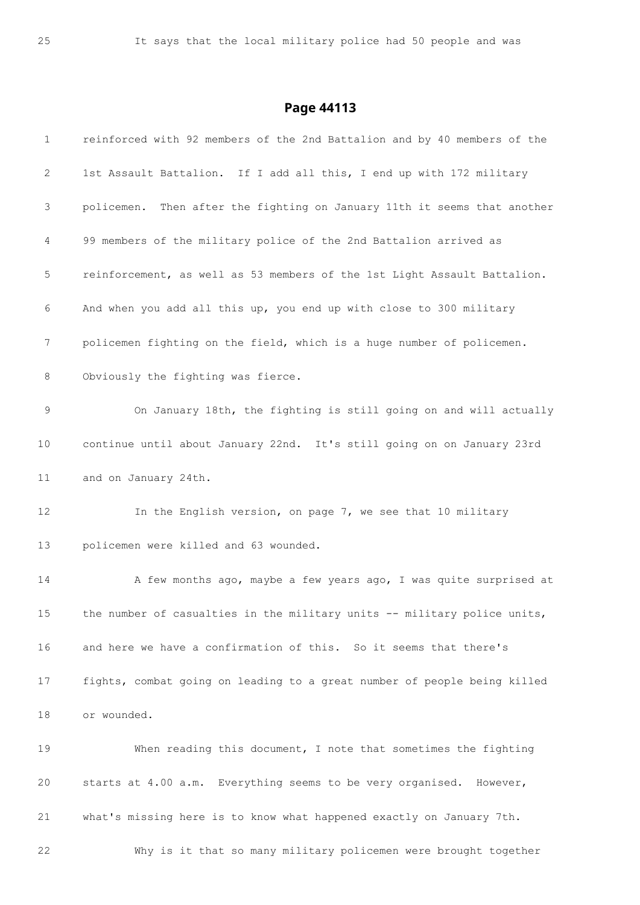| $\mathbf 1$ | reinforced with 92 members of the 2nd Battalion and by 40 members of the |
|-------------|--------------------------------------------------------------------------|
| 2           | 1st Assault Battalion. If I add all this, I end up with 172 military     |
| 3           | policemen. Then after the fighting on January 11th it seems that another |
| 4           | 99 members of the military police of the 2nd Battalion arrived as        |
| 5           | reinforcement, as well as 53 members of the 1st Light Assault Battalion. |
| 6           | And when you add all this up, you end up with close to 300 military      |
| 7           | policemen fighting on the field, which is a huge number of policemen.    |
| 8           | Obviously the fighting was fierce.                                       |
| $\mathsf 9$ | On January 18th, the fighting is still going on and will actually        |
| 10          | continue until about January 22nd. It's still going on on January 23rd   |
| 11          | and on January 24th.                                                     |
| 12          | In the English version, on page 7, we see that 10 military               |
| 13          | policemen were killed and 63 wounded.                                    |
| 14          | A few months ago, maybe a few years ago, I was quite surprised at        |
| 15          | the number of casualties in the military units -- military police units, |
| 16          | and here we have a confirmation of this. So it seems that there's        |
| 17          | fights, combat going on leading to a great number of people being killed |
| 18          | or wounded.                                                              |
| 19          | When reading this document, I note that sometimes the fighting           |
| 20          | starts at 4.00 a.m. Everything seems to be very organised. However,      |
| 21          | what's missing here is to know what happened exactly on January 7th.     |
| 22          | Why is it that so many military policemen were brought together          |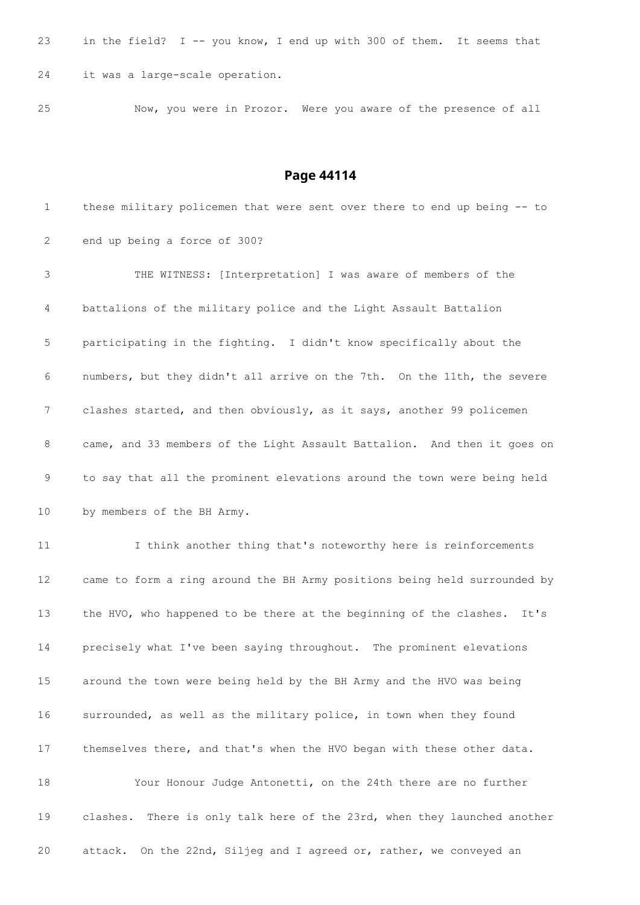| 23 |  | in the field? $I -$ you know, I end up with 300 of them. It seems that |  |  |  |  |  |  |  |
|----|--|------------------------------------------------------------------------|--|--|--|--|--|--|--|
|    |  | 24 it was a large-scale operation.                                     |  |  |  |  |  |  |  |

Now, you were in Prozor. Were you aware of the presence of all

### **Page 44114**

 these military policemen that were sent over there to end up being -- to end up being a force of 300? THE WITNESS: [Interpretation] I was aware of members of the battalions of the military police and the Light Assault Battalion participating in the fighting. I didn't know specifically about the numbers, but they didn't all arrive on the 7th. On the 11th, the severe clashes started, and then obviously, as it says, another 99 policemen came, and 33 members of the Light Assault Battalion. And then it goes on to say that all the prominent elevations around the town were being held by members of the BH Army. I think another thing that's noteworthy here is reinforcements came to form a ring around the BH Army positions being held surrounded by the HVO, who happened to be there at the beginning of the clashes. It's precisely what I've been saying throughout. The prominent elevations around the town were being held by the BH Army and the HVO was being surrounded, as well as the military police, in town when they found themselves there, and that's when the HVO began with these other data. Your Honour Judge Antonetti, on the 24th there are no further clashes. There is only talk here of the 23rd, when they launched another attack. On the 22nd, Siljeg and I agreed or, rather, we conveyed an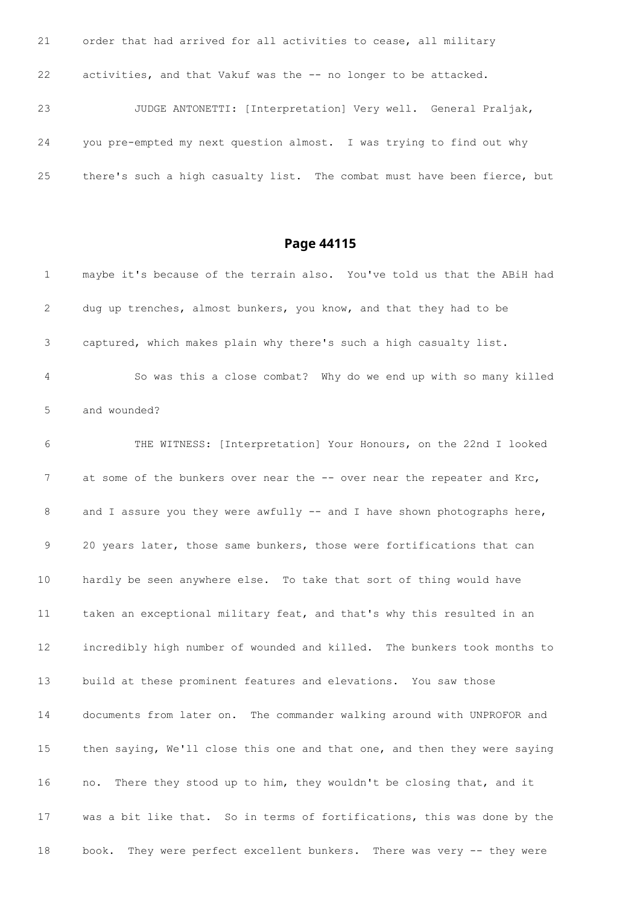order that had arrived for all activities to cease, all military activities, and that Vakuf was the -- no longer to be attacked. JUDGE ANTONETTI: [Interpretation] Very well. General Praljak, you pre-empted my next question almost. I was trying to find out why there's such a high casualty list. The combat must have been fierce, but

| $\mathbf 1$     | maybe it's because of the terrain also. You've told us that the ABiH had  |
|-----------------|---------------------------------------------------------------------------|
| 2               | dug up trenches, almost bunkers, you know, and that they had to be        |
| 3               | captured, which makes plain why there's such a high casualty list.        |
| 4               | So was this a close combat? Why do we end up with so many killed          |
| 5               | and wounded?                                                              |
| 6               | THE WITNESS: [Interpretation] Your Honours, on the 22nd I looked          |
| 7               | at some of the bunkers over near the -- over near the repeater and Krc,   |
| 8               | and I assure you they were awfully -- and I have shown photographs here,  |
| 9               | 20 years later, those same bunkers, those were fortifications that can    |
| 10 <sub>o</sub> | hardly be seen anywhere else. To take that sort of thing would have       |
| 11              | taken an exceptional military feat, and that's why this resulted in an    |
| 12              | incredibly high number of wounded and killed. The bunkers took months to  |
| 13              | build at these prominent features and elevations. You saw those           |
| 14              | documents from later on. The commander walking around with UNPROFOR and   |
| 15              | then saying, We'll close this one and that one, and then they were saying |
| 16              | There they stood up to him, they wouldn't be closing that, and it<br>no.  |
| 17              | was a bit like that. So in terms of fortifications, this was done by the  |
| 18              | They were perfect excellent bunkers. There was very -- they were<br>book. |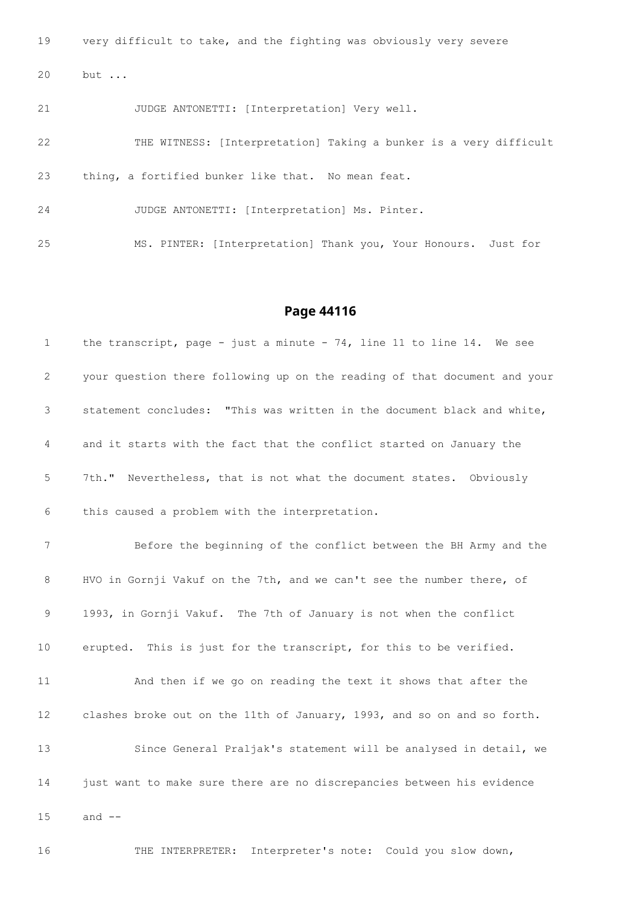very difficult to take, and the fighting was obviously very severe but ...

JUDGE ANTONETTI: [Interpretation] Very well.

 THE WITNESS: [Interpretation] Taking a bunker is a very difficult thing, a fortified bunker like that. No mean feat. JUDGE ANTONETTI: [Interpretation] Ms. Pinter.

MS. PINTER: [Interpretation] Thank you, Your Honours. Just for

#### **Page 44116**

 the transcript, page - just a minute - 74, line 11 to line 14. We see your question there following up on the reading of that document and your statement concludes: "This was written in the document black and white, and it starts with the fact that the conflict started on January the 7th." Nevertheless, that is not what the document states. Obviously this caused a problem with the interpretation. Before the beginning of the conflict between the BH Army and the HVO in Gornji Vakuf on the 7th, and we can't see the number there, of 1993, in Gornji Vakuf. The 7th of January is not when the conflict erupted. This is just for the transcript, for this to be verified. And then if we go on reading the text it shows that after the clashes broke out on the 11th of January, 1993, and so on and so forth. Since General Praljak's statement will be analysed in detail, we just want to make sure there are no discrepancies between his evidence and --

THE INTERPRETER: Interpreter's note: Could you slow down,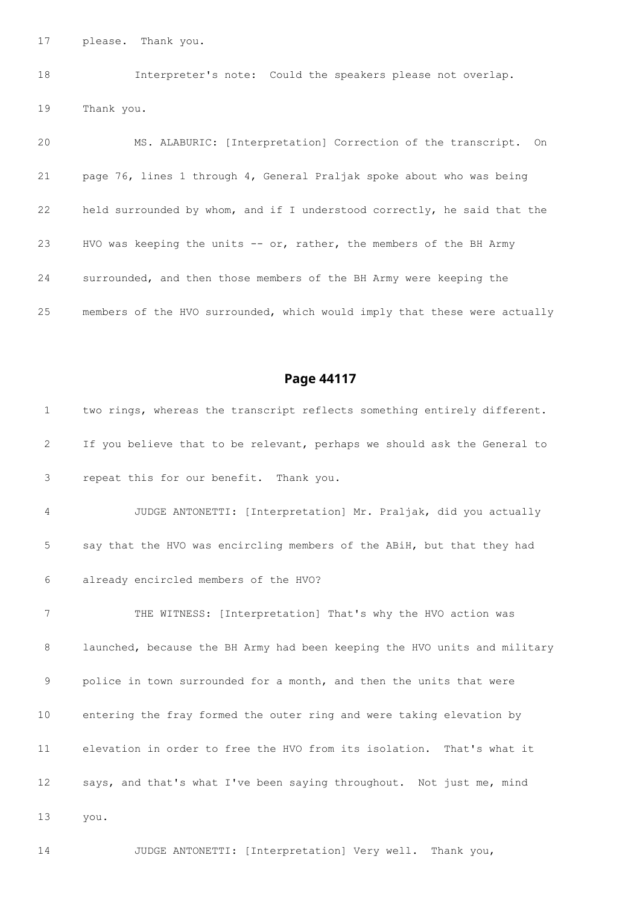please. Thank you.

 Interpreter's note: Could the speakers please not overlap. Thank you.

 MS. ALABURIC: [Interpretation] Correction of the transcript. On page 76, lines 1 through 4, General Praljak spoke about who was being held surrounded by whom, and if I understood correctly, he said that the HVO was keeping the units -- or, rather, the members of the BH Army surrounded, and then those members of the BH Army were keeping the members of the HVO surrounded, which would imply that these were actually

# **Page 44117**

| $\mathbf{1}$    | two rings, whereas the transcript reflects something entirely different.  |
|-----------------|---------------------------------------------------------------------------|
| 2               | If you believe that to be relevant, perhaps we should ask the General to  |
| 3               | repeat this for our benefit. Thank you.                                   |
| 4               | JUDGE ANTONETTI: [Interpretation] Mr. Praljak, did you actually           |
| 5               | say that the HVO was encircling members of the ABiH, but that they had    |
| 6               | already encircled members of the HVO?                                     |
| $7\phantom{.0}$ | THE WITNESS: [Interpretation] That's why the HVO action was               |
| 8               | launched, because the BH Army had been keeping the HVO units and military |
| 9               | police in town surrounded for a month, and then the units that were       |
| 10              | entering the fray formed the outer ring and were taking elevation by      |
| 11              | elevation in order to free the HVO from its isolation. That's what it     |
| 12              | says, and that's what I've been saying throughout. Not just me, mind      |
| 13              | you.                                                                      |
|                 |                                                                           |

JUDGE ANTONETTI: [Interpretation] Very well. Thank you,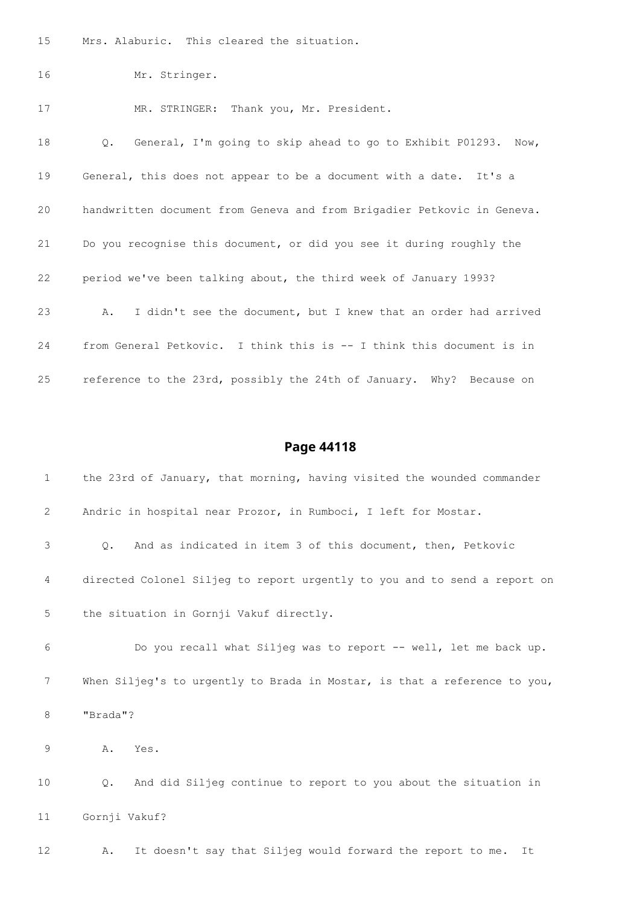Mrs. Alaburic. This cleared the situation.

```
16 Mr. Stringer.
```
MR. STRINGER: Thank you, Mr. President.

 Q. General, I'm going to skip ahead to go to Exhibit P01293. Now, General, this does not appear to be a document with a date. It's a handwritten document from Geneva and from Brigadier Petkovic in Geneva. Do you recognise this document, or did you see it during roughly the period we've been talking about, the third week of January 1993? A. I didn't see the document, but I knew that an order had arrived from General Petkovic. I think this is -- I think this document is in reference to the 23rd, possibly the 24th of January. Why? Because on

### **Page 44118**

| 1  | the 23rd of January, that morning, having visited the wounded commander   |
|----|---------------------------------------------------------------------------|
| 2  | Andric in hospital near Prozor, in Rumboci, I left for Mostar.            |
| 3  | And as indicated in item 3 of this document, then, Petkovic<br>$\circ$ .  |
| 4  | directed Colonel Siljeg to report urgently to you and to send a report on |
| 5  | the situation in Gornji Vakuf directly.                                   |
| 6  | Do you recall what Siljeq was to report -- well, let me back up.          |
| 7  | When Siljeg's to urgently to Brada in Mostar, is that a reference to you, |
| 8  | "Brada"?                                                                  |
| 9  | Α.<br>Yes.                                                                |
| 10 | And did Siljeg continue to report to you about the situation in<br>Q.     |
| 11 | Gornji Vakuf?                                                             |
|    |                                                                           |

A. It doesn't say that Siljeg would forward the report to me. It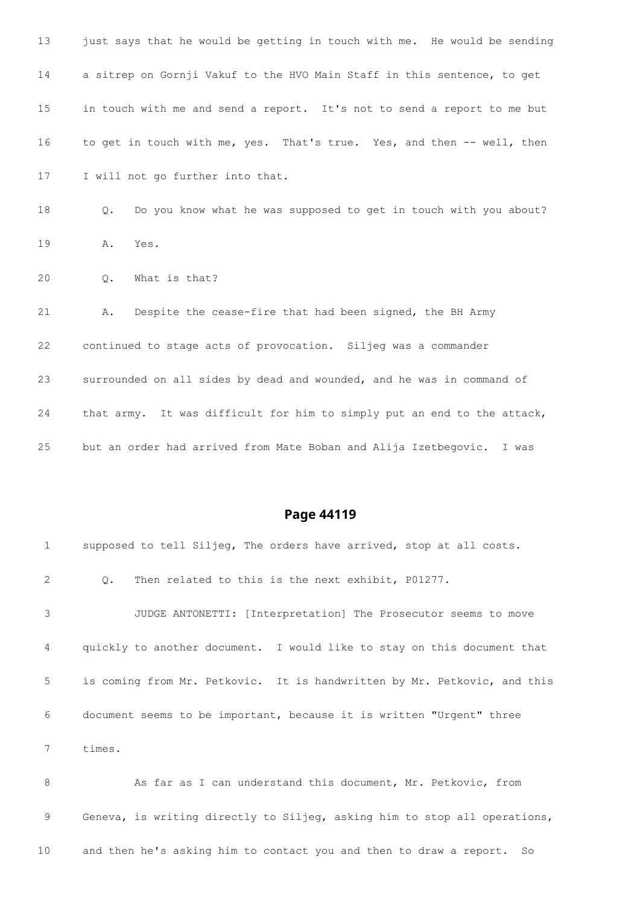| 13 | just says that he would be getting in touch with me. He would be sending |
|----|--------------------------------------------------------------------------|
| 14 | a sitrep on Gornji Vakuf to the HVO Main Staff in this sentence, to get  |
| 15 | in touch with me and send a report. It's not to send a report to me but  |
| 16 | to get in touch with me, yes. That's true. Yes, and then -- well, then   |
| 17 | I will not go further into that.                                         |
| 18 | Do you know what he was supposed to get in touch with you about?<br>Q.   |
| 19 | Yes.<br>Α.                                                               |
| 20 | What is that?<br>$Q_{\bullet}$                                           |
| 21 | Despite the cease-fire that had been signed, the BH Army<br>Α.           |
| 22 | continued to stage acts of provocation. Siljeg was a commander           |
| 23 | surrounded on all sides by dead and wounded, and he was in command of    |
| 24 | that army. It was difficult for him to simply put an end to the attack,  |
| 25 | but an order had arrived from Mate Boban and Alija Izetbegovic.<br>I was |

| $\mathbf{1}$ | supposed to tell Siljeq, The orders have arrived, stop at all costs.     |
|--------------|--------------------------------------------------------------------------|
| 2            | Then related to this is the next exhibit, P01277.<br>$\circ$ .           |
| 3            | JUDGE ANTONETTI: [Interpretation] The Prosecutor seems to move           |
| 4            | quickly to another document. I would like to stay on this document that  |
| 5            | is coming from Mr. Petkovic. It is handwritten by Mr. Petkovic, and this |
| 6            | document seems to be important, because it is written "Urgent" three     |
|              | times.                                                                   |

8 As far as I can understand this document, Mr. Petkovic, from Geneva, is writing directly to Siljeg, asking him to stop all operations, and then he's asking him to contact you and then to draw a report. So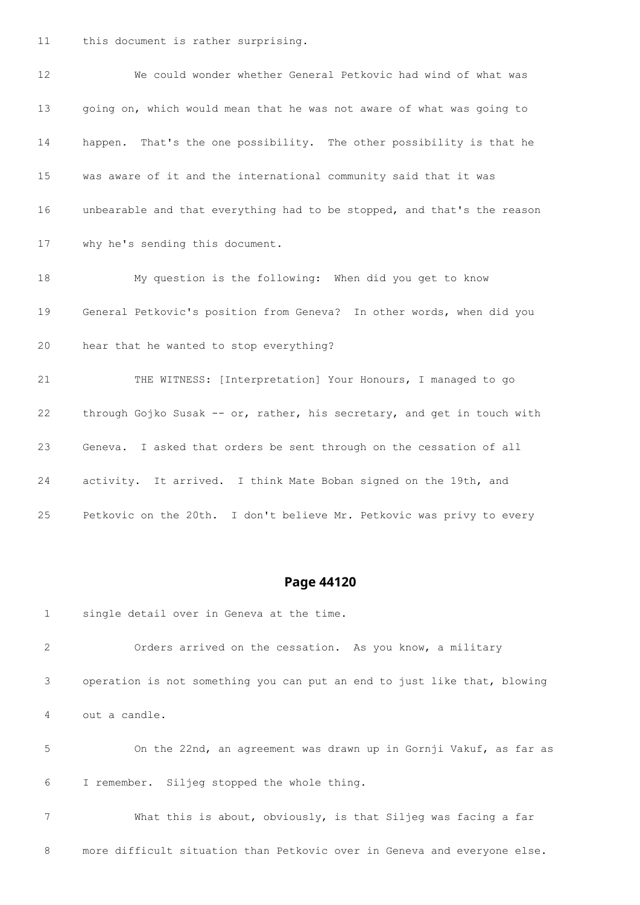this document is rather surprising.

 We could wonder whether General Petkovic had wind of what was going on, which would mean that he was not aware of what was going to happen. That's the one possibility. The other possibility is that he was aware of it and the international community said that it was unbearable and that everything had to be stopped, and that's the reason why he's sending this document. My question is the following: When did you get to know General Petkovic's position from Geneva? In other words, when did you hear that he wanted to stop everything? THE WITNESS: [Interpretation] Your Honours, I managed to go through Gojko Susak -- or, rather, his secretary, and get in touch with Geneva. I asked that orders be sent through on the cessation of all activity. It arrived. I think Mate Boban signed on the 19th, and Petkovic on the 20th. I don't believe Mr. Petkovic was privy to every

### **Page 44120**

single detail over in Geneva at the time.

 Orders arrived on the cessation. As you know, a military operation is not something you can put an end to just like that, blowing out a candle.

 On the 22nd, an agreement was drawn up in Gornji Vakuf, as far as I remember. Siljeg stopped the whole thing.

 What this is about, obviously, is that Siljeg was facing a far more difficult situation than Petkovic over in Geneva and everyone else.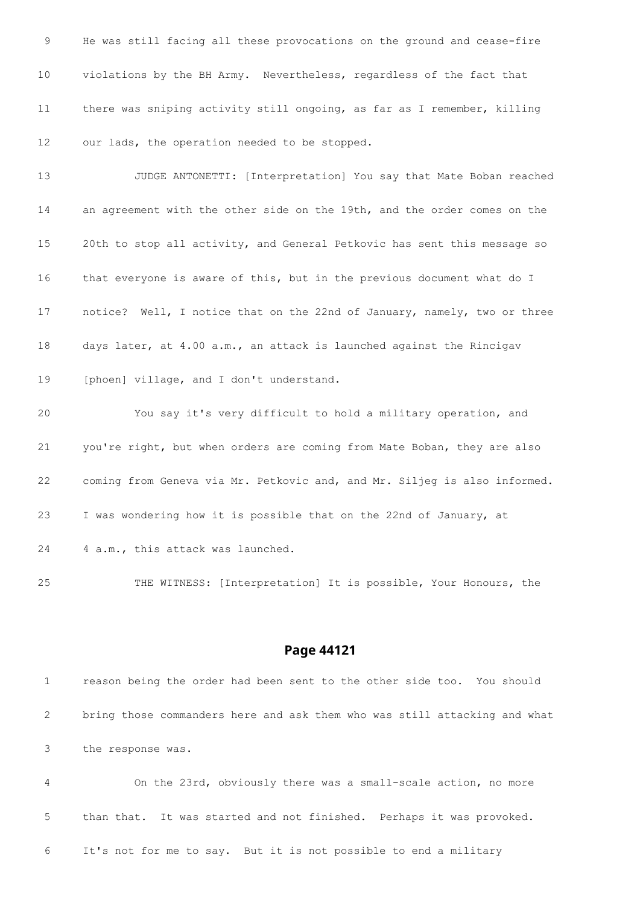He was still facing all these provocations on the ground and cease-fire violations by the BH Army. Nevertheless, regardless of the fact that there was sniping activity still ongoing, as far as I remember, killing our lads, the operation needed to be stopped.

 JUDGE ANTONETTI: [Interpretation] You say that Mate Boban reached an agreement with the other side on the 19th, and the order comes on the 20th to stop all activity, and General Petkovic has sent this message so that everyone is aware of this, but in the previous document what do I notice? Well, I notice that on the 22nd of January, namely, two or three days later, at 4.00 a.m., an attack is launched against the Rincigav 19 [phoen] village, and I don't understand.

 You say it's very difficult to hold a military operation, and you're right, but when orders are coming from Mate Boban, they are also coming from Geneva via Mr. Petkovic and, and Mr. Siljeg is also informed. I was wondering how it is possible that on the 22nd of January, at 24 4 a.m., this attack was launched.

THE WITNESS: [Interpretation] It is possible, Your Honours, the

#### **Page 44121**

 reason being the order had been sent to the other side too. You should bring those commanders here and ask them who was still attacking and what the response was.

 On the 23rd, obviously there was a small-scale action, no more than that. It was started and not finished. Perhaps it was provoked. It's not for me to say. But it is not possible to end a military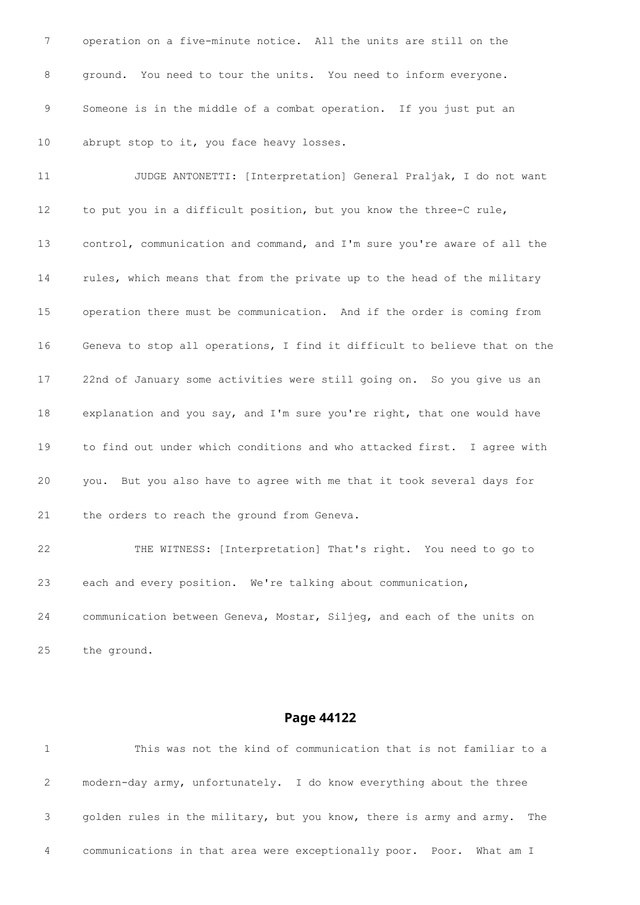operation on a five-minute notice. All the units are still on the ground. You need to tour the units. You need to inform everyone. Someone is in the middle of a combat operation. If you just put an 10 abrupt stop to it, you face heavy losses.

 JUDGE ANTONETTI: [Interpretation] General Praljak, I do not want to put you in a difficult position, but you know the three-C rule, control, communication and command, and I'm sure you're aware of all the rules, which means that from the private up to the head of the military operation there must be communication. And if the order is coming from Geneva to stop all operations, I find it difficult to believe that on the 22nd of January some activities were still going on. So you give us an explanation and you say, and I'm sure you're right, that one would have to find out under which conditions and who attacked first. I agree with you. But you also have to agree with me that it took several days for the orders to reach the ground from Geneva.

 THE WITNESS: [Interpretation] That's right. You need to go to each and every position. We're talking about communication, communication between Geneva, Mostar, Siljeg, and each of the units on

the ground.

#### **Page 44122**

 This was not the kind of communication that is not familiar to a modern-day army, unfortunately. I do know everything about the three golden rules in the military, but you know, there is army and army. The communications in that area were exceptionally poor. Poor. What am I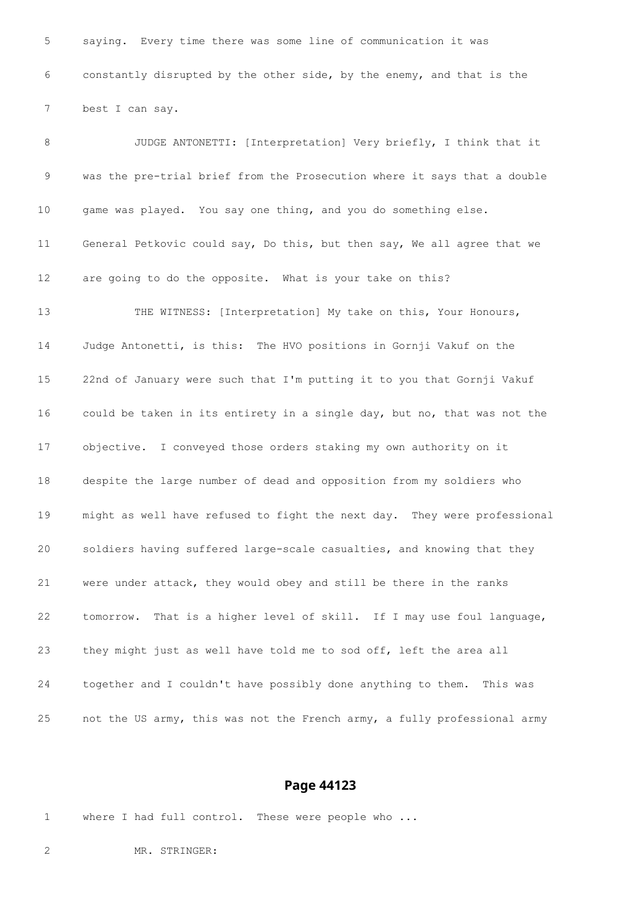saying. Every time there was some line of communication it was constantly disrupted by the other side, by the enemy, and that is the best I can say.

 JUDGE ANTONETTI: [Interpretation] Very briefly, I think that it was the pre-trial brief from the Prosecution where it says that a double game was played. You say one thing, and you do something else. General Petkovic could say, Do this, but then say, We all agree that we are going to do the opposite. What is your take on this? THE WITNESS: [Interpretation] My take on this, Your Honours, Judge Antonetti, is this: The HVO positions in Gornji Vakuf on the 22nd of January were such that I'm putting it to you that Gornji Vakuf could be taken in its entirety in a single day, but no, that was not the objective. I conveyed those orders staking my own authority on it despite the large number of dead and opposition from my soldiers who might as well have refused to fight the next day. They were professional soldiers having suffered large-scale casualties, and knowing that they were under attack, they would obey and still be there in the ranks tomorrow. That is a higher level of skill. If I may use foul language, they might just as well have told me to sod off, left the area all together and I couldn't have possibly done anything to them. This was not the US army, this was not the French army, a fully professional army

#### **Page 44123**

where I had full control. These were people who ...

MR. STRINGER: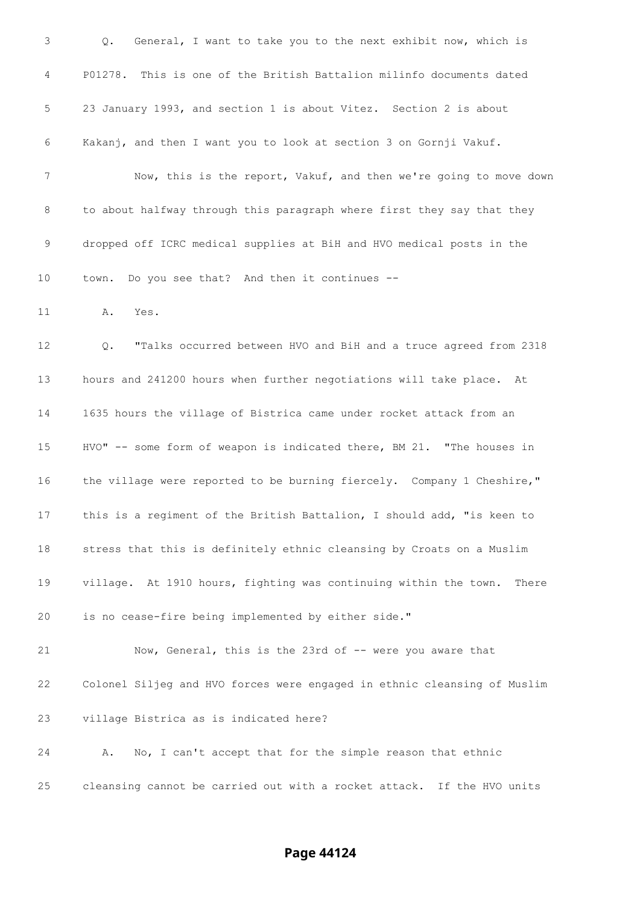Q. General, I want to take you to the next exhibit now, which is P01278. This is one of the British Battalion milinfo documents dated 23 January 1993, and section 1 is about Vitez. Section 2 is about Kakanj, and then I want you to look at section 3 on Gornji Vakuf. Now, this is the report, Vakuf, and then we're going to move down to about halfway through this paragraph where first they say that they dropped off ICRC medical supplies at BiH and HVO medical posts in the town. Do you see that? And then it continues -- A. Yes. Q. "Talks occurred between HVO and BiH and a truce agreed from 2318 hours and 241200 hours when further negotiations will take place. At 1635 hours the village of Bistrica came under rocket attack from an HVO" -- some form of weapon is indicated there, BM 21. "The houses in 16 the village were reported to be burning fiercely. Company 1 Cheshire," this is a regiment of the British Battalion, I should add, "is keen to stress that this is definitely ethnic cleansing by Croats on a Muslim village. At 1910 hours, fighting was continuing within the town. There is no cease-fire being implemented by either side." Now, General, this is the 23rd of -- were you aware that Colonel Siljeg and HVO forces were engaged in ethnic cleansing of Muslim village Bistrica as is indicated here? A. No, I can't accept that for the simple reason that ethnic cleansing cannot be carried out with a rocket attack. If the HVO units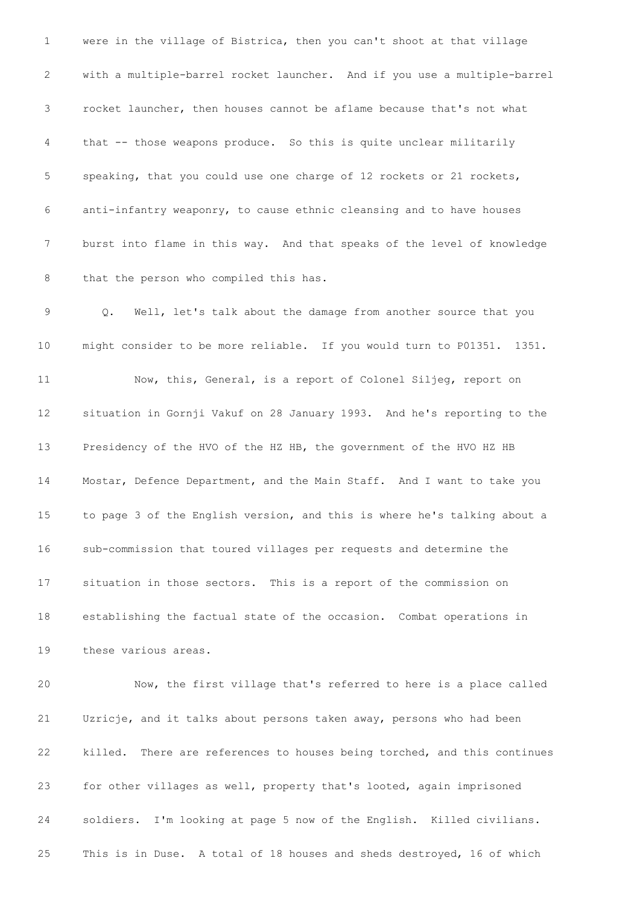were in the village of Bistrica, then you can't shoot at that village with a multiple-barrel rocket launcher. And if you use a multiple-barrel rocket launcher, then houses cannot be aflame because that's not what that -- those weapons produce. So this is quite unclear militarily speaking, that you could use one charge of 12 rockets or 21 rockets, anti-infantry weaponry, to cause ethnic cleansing and to have houses burst into flame in this way. And that speaks of the level of knowledge 8 that the person who compiled this has. Q. Well, let's talk about the damage from another source that you might consider to be more reliable. If you would turn to P01351. 1351. Now, this, General, is a report of Colonel Siljeg, report on situation in Gornji Vakuf on 28 January 1993. And he's reporting to the Presidency of the HVO of the HZ HB, the government of the HVO HZ HB Mostar, Defence Department, and the Main Staff. And I want to take you to page 3 of the English version, and this is where he's talking about a sub-commission that toured villages per requests and determine the situation in those sectors. This is a report of the commission on establishing the factual state of the occasion. Combat operations in these various areas. Now, the first village that's referred to here is a place called Uzricje, and it talks about persons taken away, persons who had been killed. There are references to houses being torched, and this continues for other villages as well, property that's looted, again imprisoned

soldiers. I'm looking at page 5 now of the English. Killed civilians.

This is in Duse. A total of 18 houses and sheds destroyed, 16 of which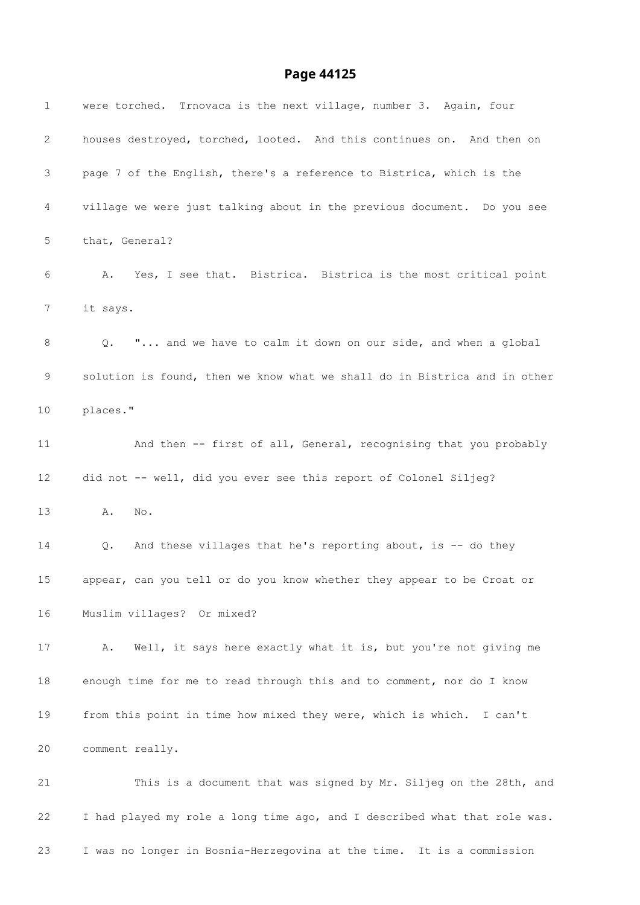| $\mathbf{1}$ | were torched. Trnovaca is the next village, number 3. Again, four         |
|--------------|---------------------------------------------------------------------------|
| 2            | houses destroyed, torched, looted. And this continues on. And then on     |
| 3            | page 7 of the English, there's a reference to Bistrica, which is the      |
| 4            | village we were just talking about in the previous document. Do you see   |
| 5            | that, General?                                                            |
| 6            | A. Yes, I see that. Bistrica. Bistrica is the most critical point         |
| 7            | it says.                                                                  |
| 8            | " and we have to calm it down on our side, and when a global<br>Q.        |
| 9            | solution is found, then we know what we shall do in Bistrica and in other |
| 10           | places."                                                                  |
| 11           | And then -- first of all, General, recognising that you probably          |
| 12           | did not -- well, did you ever see this report of Colonel Siljeg?          |
| 13           | Α.<br>No.                                                                 |
| 14           | And these villages that he's reporting about, is -- do they<br>Q.         |
| 15           | appear, can you tell or do you know whether they appear to be Croat or    |
| 16           | Muslim villages? Or mixed?                                                |
| 17           | Well, it says here exactly what it is, but you're not giving me<br>Α.     |
| 18           | enough time for me to read through this and to comment, nor do I know     |
| 19           | from this point in time how mixed they were, which is which. I can't      |
| 20           | comment really.                                                           |
| 21           | This is a document that was signed by Mr. Siljeg on the 28th, and         |
| 22           | I had played my role a long time ago, and I described what that role was. |
| 23           | I was no longer in Bosnia-Herzegovina at the time. It is a commission     |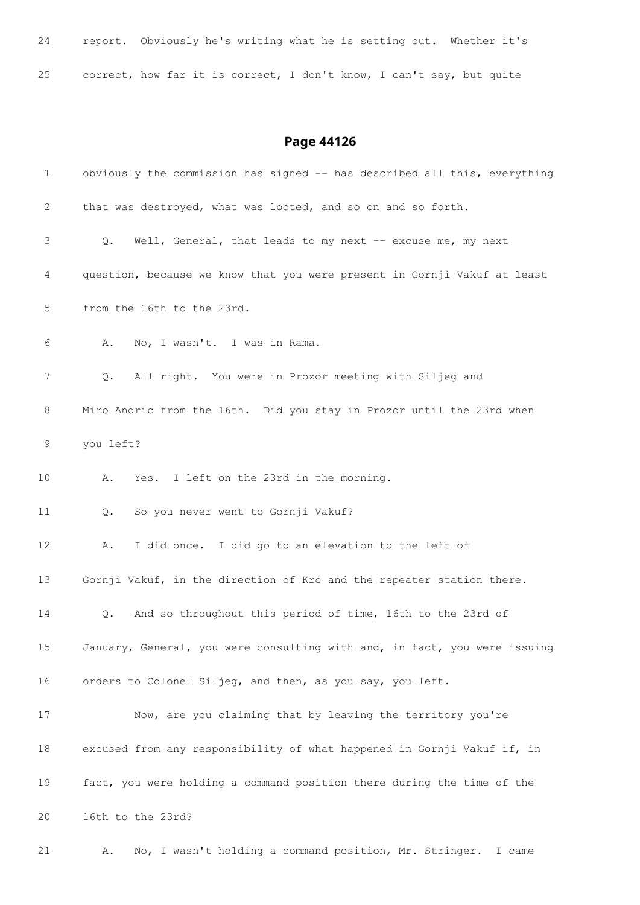| 24 | report. Obviously he's writing what he is setting out. Whether it's  |  |  |  |  |  |  |  |  |
|----|----------------------------------------------------------------------|--|--|--|--|--|--|--|--|
| 25 | correct, how far it is correct, I don't know, I can't say, but quite |  |  |  |  |  |  |  |  |

| $\mathbf 1$ | obviously the commission has signed -- has described all this, everything   |
|-------------|-----------------------------------------------------------------------------|
| 2           | that was destroyed, what was looted, and so on and so forth.                |
| 3           | Well, General, that leads to my next -- excuse me, my next<br>$Q_{\bullet}$ |
| 4           | question, because we know that you were present in Gornji Vakuf at least    |
| 5           | from the 16th to the 23rd.                                                  |
| 6           | No, I wasn't. I was in Rama.<br>Α.                                          |
| 7           | All right. You were in Prozor meeting with Siljeg and<br>Q.                 |
| 8           | Miro Andric from the 16th. Did you stay in Prozor until the 23rd when       |
| 9           | you left?                                                                   |
| 10          | Yes. I left on the 23rd in the morning.<br>Α.                               |
| 11          | So you never went to Gornji Vakuf?<br>Q.                                    |
| 12          | I did once. I did go to an elevation to the left of<br>Α.                   |
| 13          | Gornji Vakuf, in the direction of Krc and the repeater station there.       |
| 14          | And so throughout this period of time, 16th to the 23rd of<br>Q.            |
| 15          | January, General, you were consulting with and, in fact, you were issuing   |
| 16          | orders to Colonel Siljeg, and then, as you say, you left.                   |
| 17          | Now, are you claiming that by leaving the territory you're                  |
| 18          | excused from any responsibility of what happened in Gornji Vakuf if, in     |
| 19          | fact, you were holding a command position there during the time of the      |
| 20          | 16th to the 23rd?                                                           |
| 21          | No, I wasn't holding a command position, Mr. Stringer. I came<br>Α.         |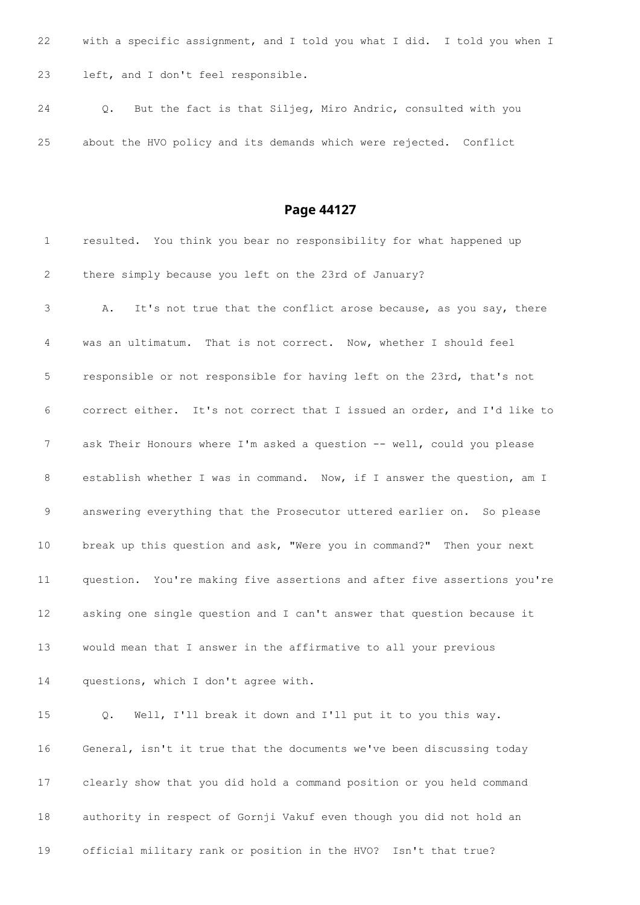with a specific assignment, and I told you what I did. I told you when I left, and I don't feel responsible.

 Q. But the fact is that Siljeg, Miro Andric, consulted with you about the HVO policy and its demands which were rejected. Conflict

| $\mathbf 1$    | resulted. You think you bear no responsibility for what happened up      |
|----------------|--------------------------------------------------------------------------|
| 2              | there simply because you left on the 23rd of January?                    |
| $\mathfrak{Z}$ | It's not true that the conflict arose because, as you say, there<br>Α.   |
| 4              | was an ultimatum. That is not correct. Now, whether I should feel        |
| 5              | responsible or not responsible for having left on the 23rd, that's not   |
| 6              | correct either. It's not correct that I issued an order, and I'd like to |
| 7              | ask Their Honours where I'm asked a question -- well, could you please   |
| 8              | establish whether I was in command. Now, if I answer the question, am I  |
| 9              | answering everything that the Prosecutor uttered earlier on. So please   |
| 10             | break up this question and ask, "Were you in command?" Then your next    |
| 11             | question. You're making five assertions and after five assertions you're |
| 12             | asking one single question and I can't answer that question because it   |
| 13             | would mean that I answer in the affirmative to all your previous         |
| 14             | questions, which I don't agree with.                                     |
| 15             | Well, I'll break it down and I'll put it to you this way.<br>Q.          |
| 16             | General, isn't it true that the documents we've been discussing today    |
| 17             | clearly show that you did hold a command position or you held command    |
| 18             | authority in respect of Gornji Vakuf even though you did not hold an     |
| 19             | official military rank or position in the HVO? Isn't that true?          |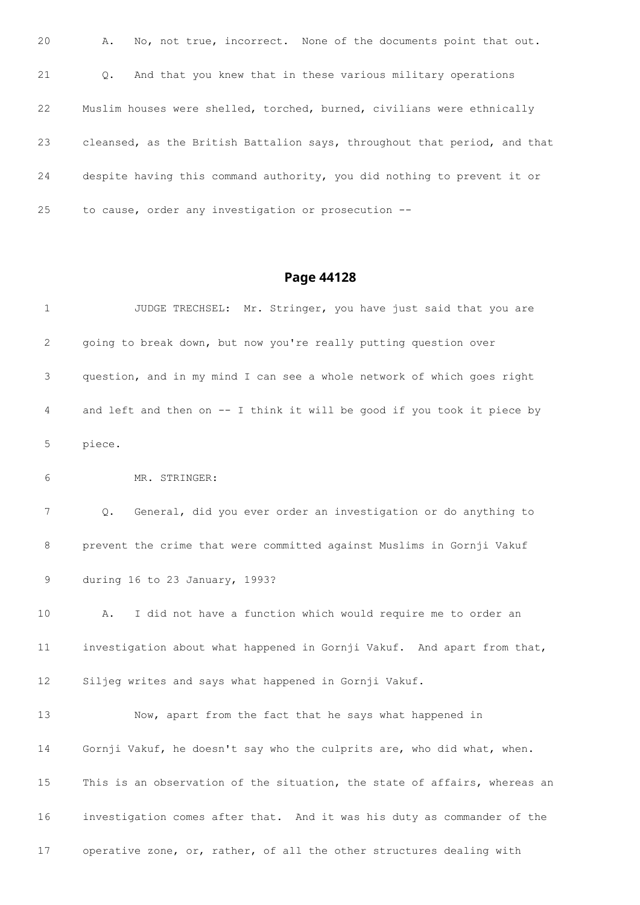| 20 | Α.        | No, not true, incorrect. None of the documents point that out.            |
|----|-----------|---------------------------------------------------------------------------|
| 21 | $\circ$ . | And that you knew that in these various military operations               |
| 22 |           | Muslim houses were shelled, torched, burned, civilians were ethnically    |
| 23 |           | cleansed, as the British Battalion says, throughout that period, and that |
| 24 |           | despite having this command authority, you did nothing to prevent it or   |
| 25 |           | to cause, order any investigation or prosecution --                       |

| 1               | JUDGE TRECHSEL: Mr. Stringer, you have just said that you are             |
|-----------------|---------------------------------------------------------------------------|
| 2               | going to break down, but now you're really putting question over          |
| 3               | question, and in my mind I can see a whole network of which goes right    |
| 4               | and left and then on -- I think it will be good if you took it piece by   |
| 5               | piece.                                                                    |
| 6               | MR. STRINGER:                                                             |
| 7               | General, did you ever order an investigation or do anything to<br>Q.      |
| 8               | prevent the crime that were committed against Muslims in Gornji Vakuf     |
| 9               | during 16 to 23 January, 1993?                                            |
| 10 <sub>o</sub> | I did not have a function which would require me to order an<br>Α.        |
| 11              | investigation about what happened in Gornji Vakuf. And apart from that,   |
| 12              | Siljeg writes and says what happened in Gornji Vakuf.                     |
| 13              | Now, apart from the fact that he says what happened in                    |
| 14              | Gornji Vakuf, he doesn't say who the culprits are, who did what, when.    |
| 15              | This is an observation of the situation, the state of affairs, whereas an |
| 16              | investigation comes after that. And it was his duty as commander of the   |
| 17              | operative zone, or, rather, of all the other structures dealing with      |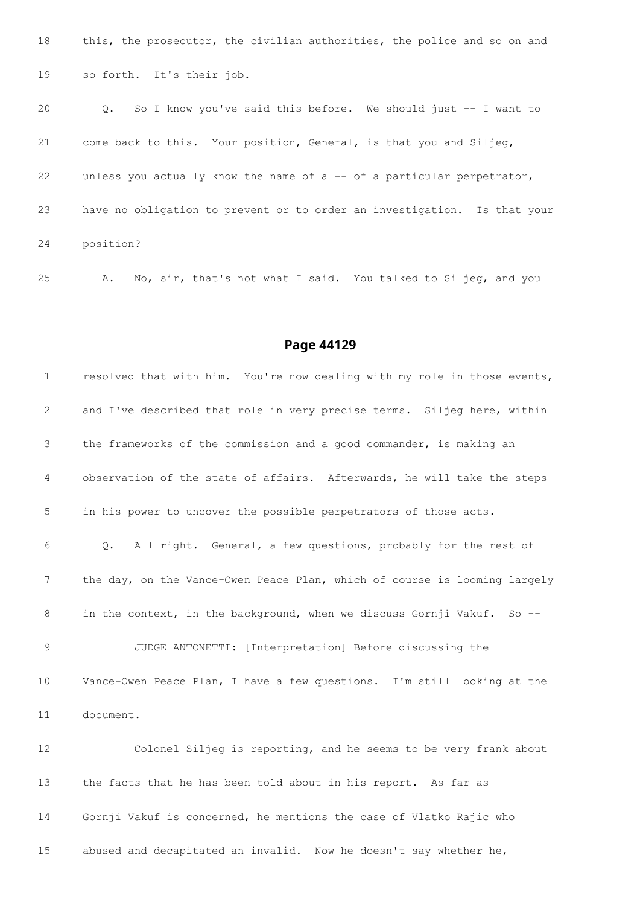18 this, the prosecutor, the civilian authorities, the police and so on and so forth. It's their job.

 Q. So I know you've said this before. We should just -- I want to come back to this. Your position, General, is that you and Siljeg, 22 unless you actually know the name of a -- of a particular perpetrator, have no obligation to prevent or to order an investigation. Is that your position?

A. No, sir, that's not what I said. You talked to Siljeg, and you

#### **Page 44129**

 resolved that with him. You're now dealing with my role in those events, and I've described that role in very precise terms. Siljeg here, within the frameworks of the commission and a good commander, is making an observation of the state of affairs. Afterwards, he will take the steps in his power to uncover the possible perpetrators of those acts. Q. All right. General, a few questions, probably for the rest of 7 the day, on the Vance-Owen Peace Plan, which of course is looming largely 8 in the context, in the background, when we discuss Gornji Vakuf. So -- JUDGE ANTONETTI: [Interpretation] Before discussing the Vance-Owen Peace Plan, I have a few questions. I'm still looking at the document. Colonel Siljeg is reporting, and he seems to be very frank about the facts that he has been told about in his report. As far as Gornji Vakuf is concerned, he mentions the case of Vlatko Rajic who abused and decapitated an invalid. Now he doesn't say whether he,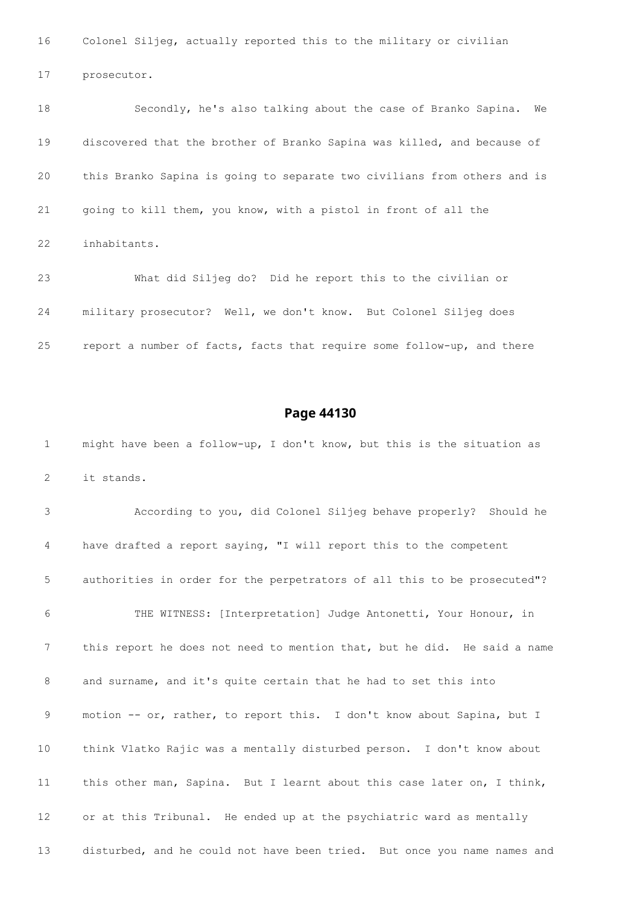Colonel Siljeg, actually reported this to the military or civilian

prosecutor.

 Secondly, he's also talking about the case of Branko Sapina. We discovered that the brother of Branko Sapina was killed, and because of this Branko Sapina is going to separate two civilians from others and is going to kill them, you know, with a pistol in front of all the inhabitants. What did Siljeg do? Did he report this to the civilian or

 military prosecutor? Well, we don't know. But Colonel Siljeg does report a number of facts, facts that require some follow-up, and there

#### **Page 44130**

 might have been a follow-up, I don't know, but this is the situation as it stands.

 According to you, did Colonel Siljeg behave properly? Should he have drafted a report saying, "I will report this to the competent authorities in order for the perpetrators of all this to be prosecuted"? THE WITNESS: [Interpretation] Judge Antonetti, Your Honour, in this report he does not need to mention that, but he did. He said a name and surname, and it's quite certain that he had to set this into motion -- or, rather, to report this. I don't know about Sapina, but I think Vlatko Rajic was a mentally disturbed person. I don't know about this other man, Sapina. But I learnt about this case later on, I think, or at this Tribunal. He ended up at the psychiatric ward as mentally disturbed, and he could not have been tried. But once you name names and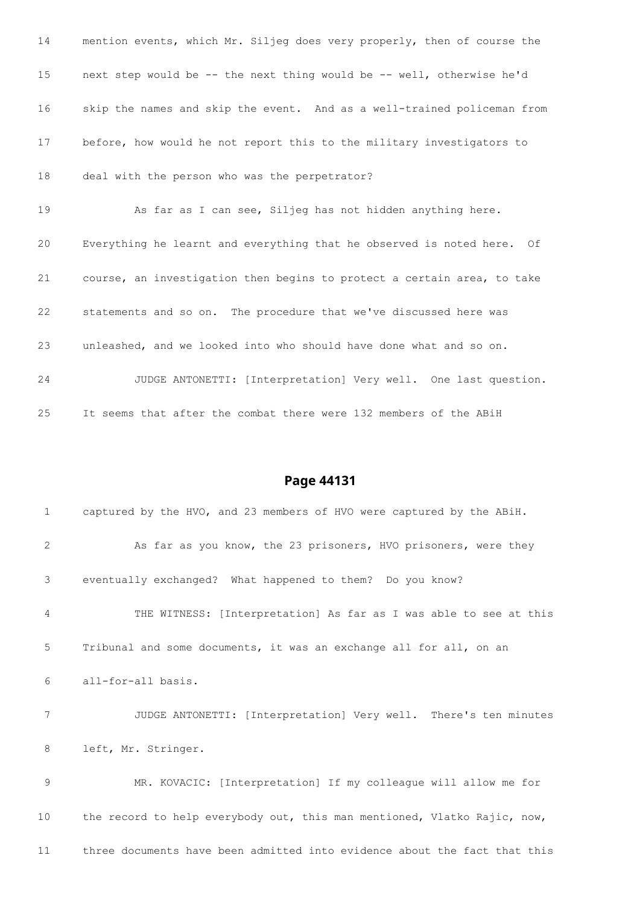| 14 | mention events, which Mr. Siljeg does very properly, then of course the |
|----|-------------------------------------------------------------------------|
| 15 | next step would be -- the next thing would be -- well, otherwise he'd   |
| 16 | skip the names and skip the event. And as a well-trained policeman from |
| 17 | before, how would he not report this to the military investigators to   |
| 18 | deal with the person who was the perpetrator?                           |
| 19 | As far as I can see, Siljeg has not hidden anything here.               |
| 20 | Everything he learnt and everything that he observed is noted here. Of  |
| 21 | course, an investigation then begins to protect a certain area, to take |
| 22 | statements and so on. The procedure that we've discussed here was       |
| 23 | unleashed, and we looked into who should have done what and so on.      |
| 24 | JUDGE ANTONETTI: [Interpretation] Very well. One last question.         |
| 25 | It seems that after the combat there were 132 members of the ABiH       |

| 1              | captured by the HVO, and 23 members of HVO were captured by the ABiH.    |
|----------------|--------------------------------------------------------------------------|
| $\overline{2}$ | As far as you know, the 23 prisoners, HVO prisoners, were they           |
| 3              | eventually exchanged? What happened to them? Do you know?                |
| 4              | THE WITNESS: [Interpretation] As far as I was able to see at this        |
| 5              | Tribunal and some documents, it was an exchange all for all, on an       |
| 6              | all-for-all basis.                                                       |
| 7              | JUDGE ANTONETTI: [Interpretation] Very well. There's ten minutes         |
| 8              | left, Mr. Stringer.                                                      |
| 9              | MR. KOVACIC: [Interpretation] If my colleague will allow me for          |
| 10             | the record to help everybody out, this man mentioned, Vlatko Rajic, now, |
|                |                                                                          |

three documents have been admitted into evidence about the fact that this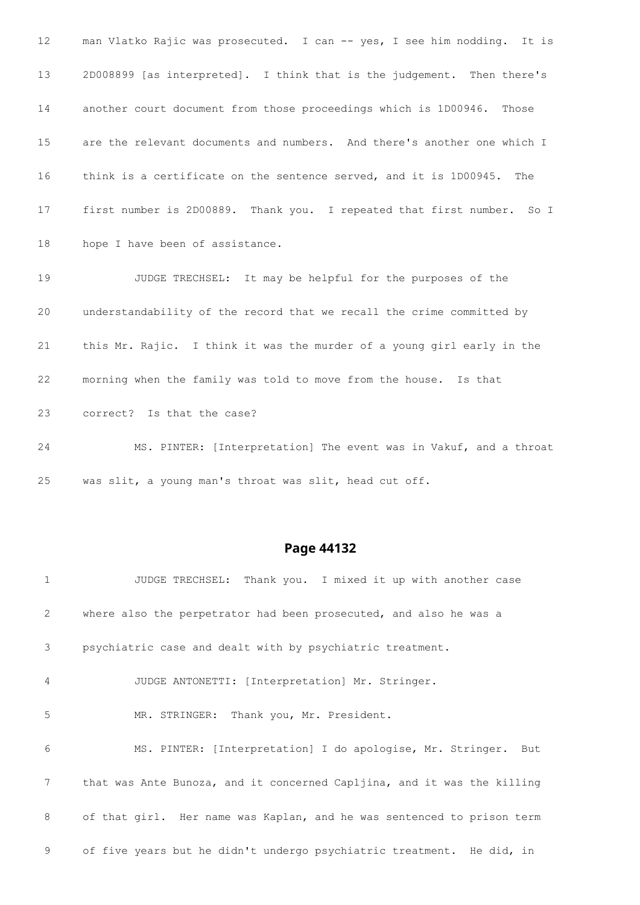man Vlatko Rajic was prosecuted. I can -- yes, I see him nodding. It is 2D008899 [as interpreted]. I think that is the judgement. Then there's another court document from those proceedings which is 1D00946. Those are the relevant documents and numbers. And there's another one which I think is a certificate on the sentence served, and it is 1D00945. The first number is 2D00889. Thank you. I repeated that first number. So I hope I have been of assistance. JUDGE TRECHSEL: It may be helpful for the purposes of the understandability of the record that we recall the crime committed by this Mr. Rajic. I think it was the murder of a young girl early in the morning when the family was told to move from the house. Is that correct? Is that the case? MS. PINTER: [Interpretation] The event was in Vakuf, and a throat

was slit, a young man's throat was slit, head cut off.

#### **Page 44132**

 JUDGE TRECHSEL: Thank you. I mixed it up with another case where also the perpetrator had been prosecuted, and also he was a psychiatric case and dealt with by psychiatric treatment. JUDGE ANTONETTI: [Interpretation] Mr. Stringer. MR. STRINGER: Thank you, Mr. President. MS. PINTER: [Interpretation] I do apologise, Mr. Stringer. But that was Ante Bunoza, and it concerned Capljina, and it was the killing of that girl. Her name was Kaplan, and he was sentenced to prison term of five years but he didn't undergo psychiatric treatment. He did, in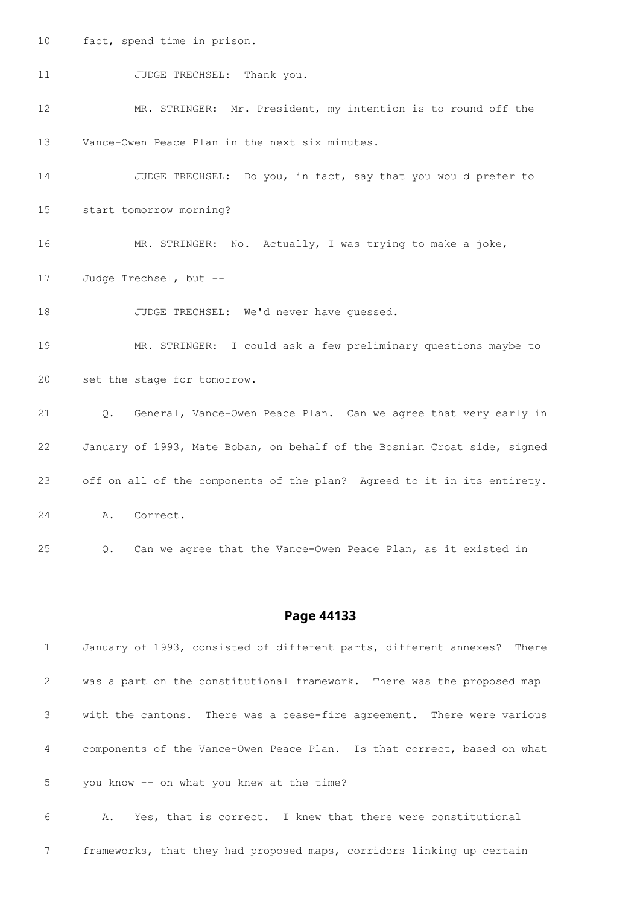fact, spend time in prison.

11 JUDGE TRECHSEL: Thank you.

 MR. STRINGER: Mr. President, my intention is to round off the Vance-Owen Peace Plan in the next six minutes.

 JUDGE TRECHSEL: Do you, in fact, say that you would prefer to start tomorrow morning?

MR. STRINGER: No. Actually, I was trying to make a joke,

Judge Trechsel, but --

18 JUDGE TRECHSEL: We'd never have quessed.

 MR. STRINGER: I could ask a few preliminary questions maybe to set the stage for tomorrow.

 Q. General, Vance-Owen Peace Plan. Can we agree that very early in January of 1993, Mate Boban, on behalf of the Bosnian Croat side, signed off on all of the components of the plan? Agreed to it in its entirety. A. Correct.

Q. Can we agree that the Vance-Owen Peace Plan, as it existed in

#### **Page 44133**

| 1              | January of 1993, consisted of different parts, different annexes? There |
|----------------|-------------------------------------------------------------------------|
| $\overline{2}$ | was a part on the constitutional framework. There was the proposed map  |
| 3              | with the cantons. There was a cease-fire agreement. There were various  |
| $\overline{4}$ | components of the Vance-Owen Peace Plan. Is that correct, based on what |
| 5              | you know -- on what you knew at the time?                               |
| 6              | A. Yes, that is correct. I knew that there were constitutional          |

frameworks, that they had proposed maps, corridors linking up certain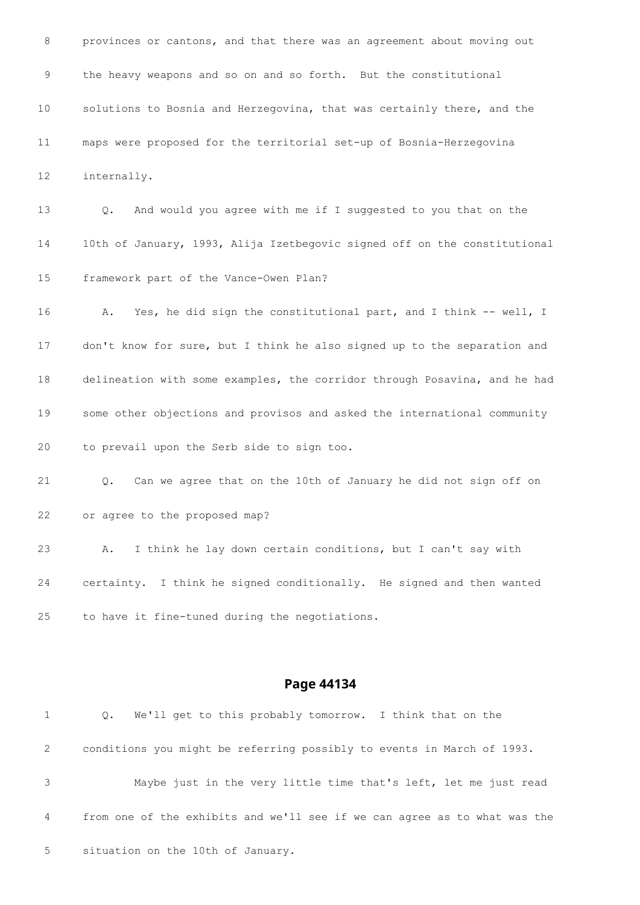provinces or cantons, and that there was an agreement about moving out the heavy weapons and so on and so forth. But the constitutional solutions to Bosnia and Herzegovina, that was certainly there, and the maps were proposed for the territorial set-up of Bosnia-Herzegovina internally. Q. And would you agree with me if I suggested to you that on the 10th of January, 1993, Alija Izetbegovic signed off on the constitutional framework part of the Vance-Owen Plan? 16 A. Yes, he did sign the constitutional part, and I think -- well, I don't know for sure, but I think he also signed up to the separation and delineation with some examples, the corridor through Posavina, and he had some other objections and provisos and asked the international community to prevail upon the Serb side to sign too. Q. Can we agree that on the 10th of January he did not sign off on or agree to the proposed map? A. I think he lay down certain conditions, but I can't say with certainty. I think he signed conditionally. He signed and then wanted to have it fine-tuned during the negotiations.

| 1 | Q. We'll get to this probably tomorrow. I think that on the               |
|---|---------------------------------------------------------------------------|
| 2 | conditions you might be referring possibly to events in March of 1993.    |
| 3 | Maybe just in the very little time that's left, let me just read          |
| 4 | from one of the exhibits and we'll see if we can agree as to what was the |
| 5 | situation on the 10th of January.                                         |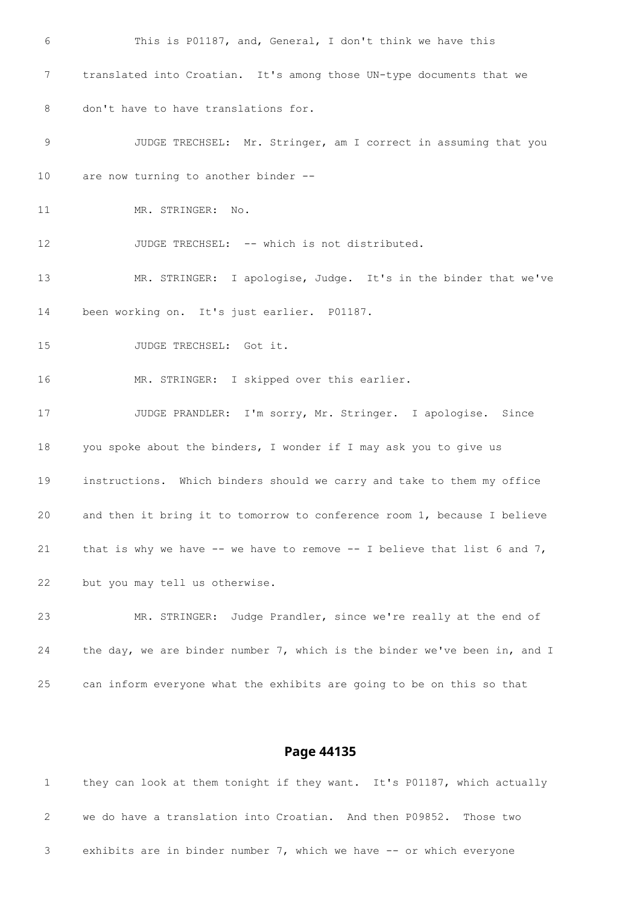This is P01187, and, General, I don't think we have this translated into Croatian. It's among those UN-type documents that we don't have to have translations for. JUDGE TRECHSEL: Mr. Stringer, am I correct in assuming that you are now turning to another binder -- 11 MR. STRINGER: No. 12 JUDGE TRECHSEL: -- which is not distributed. MR. STRINGER: I apologise, Judge. It's in the binder that we've been working on. It's just earlier. P01187. 15 JUDGE TRECHSEL: Got it. MR. STRINGER: I skipped over this earlier. JUDGE PRANDLER: I'm sorry, Mr. Stringer. I apologise. Since 18 you spoke about the binders, I wonder if I may ask you to give us instructions. Which binders should we carry and take to them my office and then it bring it to tomorrow to conference room 1, because I believe 21 that is why we have  $--$  we have to remove  $--$  I believe that list 6 and 7, but you may tell us otherwise. MR. STRINGER: Judge Prandler, since we're really at the end of 24 the day, we are binder number 7, which is the binder we've been in, and I can inform everyone what the exhibits are going to be on this so that

|   |                                                                     |  | they can look at them tonight if they want. It's P01187, which actually |
|---|---------------------------------------------------------------------|--|-------------------------------------------------------------------------|
| 2 | we do have a translation into Croatian. And then P09852. Those two  |  |                                                                         |
|   | exhibits are in binder number 7, which we have -- or which everyone |  |                                                                         |